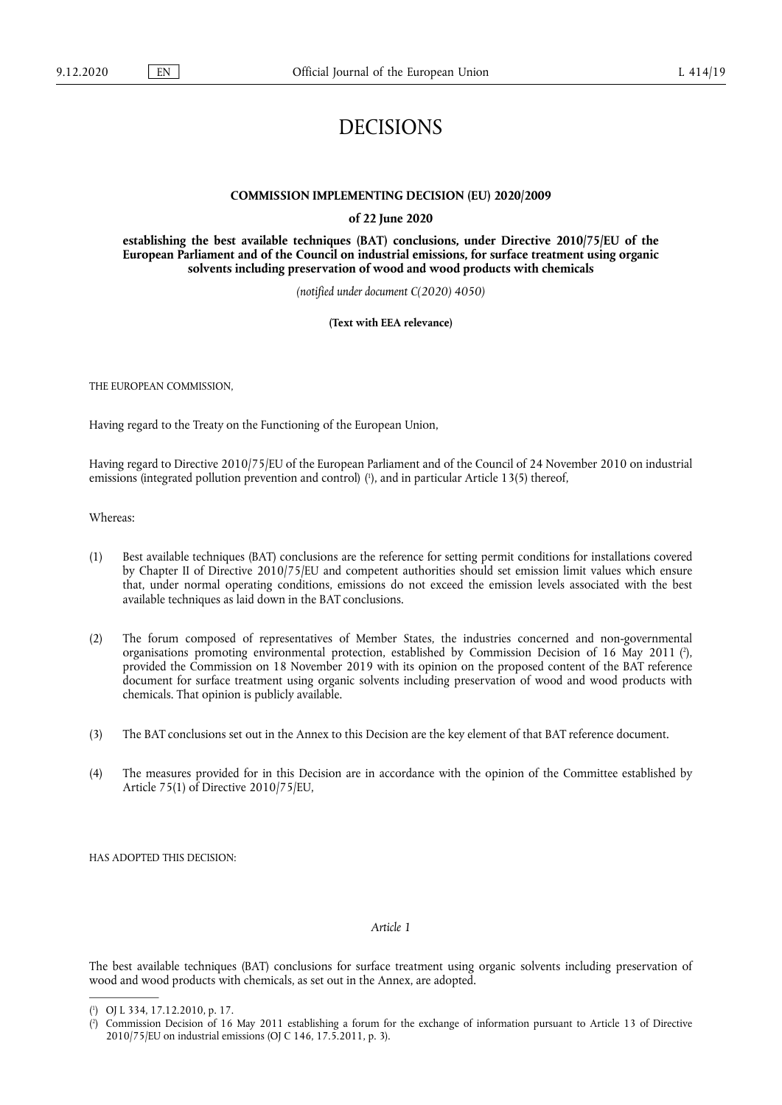# DECISIONS

#### **COMMISSION IMPLEMENTING DECISION (EU) 2020/2009**

#### **of 22 June 2020**

**establishing the best available techniques (BAT) conclusions, under Directive 2010/75/EU of the European Parliament and of the Council on industrial emissions, for surface treatment using organic solvents including preservation of wood and wood products with chemicals** 

*(notified under document C(2020) 4050)* 

**(Text with EEA relevance)** 

THE EUROPEAN COMMISSION,

Having regard to the Treaty on the Functioning of the European Union,

<span id="page-0-2"></span>Having regard to Directive 2010/75/EU of the European Parliament and of the Council of 24 November 2010 on industrial emissions (integrated pollution prevention and control) (<sup>1</sup>), and in particular Article 13(5) thereof,

Whereas:

- (1) Best available techniques (BAT) conclusions are the reference for setting permit conditions for installations covered by Chapter II of Directive 2010/75/EU and competent authorities should set emission limit values which ensure that, under normal operating conditions, emissions do not exceed the emission levels associated with the best available techniques as laid down in the BAT conclusions.
- <span id="page-0-3"></span>(2) The forum composed of representatives of Member States, the industries concerned and non-governmental organisations promoting environmental protection, established by Commission Decision of 16 May 2011 (?), provided the Commission on 18 November 2019 with its opinion on the proposed content of the BAT reference document for surface treatment using organic solvents including preservation of wood and wood products with chemicals. That opinion is publicly available.
- (3) The BAT conclusions set out in the Annex to this Decision are the key element of that BAT reference document.
- (4) The measures provided for in this Decision are in accordance with the opinion of the Committee established by Article 75(1) of Directive 2010/75/EU,

HAS ADOPTED THIS DECISION:

## *Article 1*

The best available techniques (BAT) conclusions for surface treatment using organic solvents including preservation of wood and wood products with chemicals, as set out in the Annex, are adopted.

<span id="page-0-0"></span><sup>(</sup> 1 [\) O](#page-0-2)J L 334, 17.12.2010, p. 17.

<span id="page-0-1"></span><sup>(</sup> 2 [\) C](#page-0-3)ommission Decision of 16 May 2011 establishing a forum for the exchange of information pursuant to Article 13 of Directive 2010/75/EU on industrial emissions (OJ C 146, 17.5.2011, p. 3).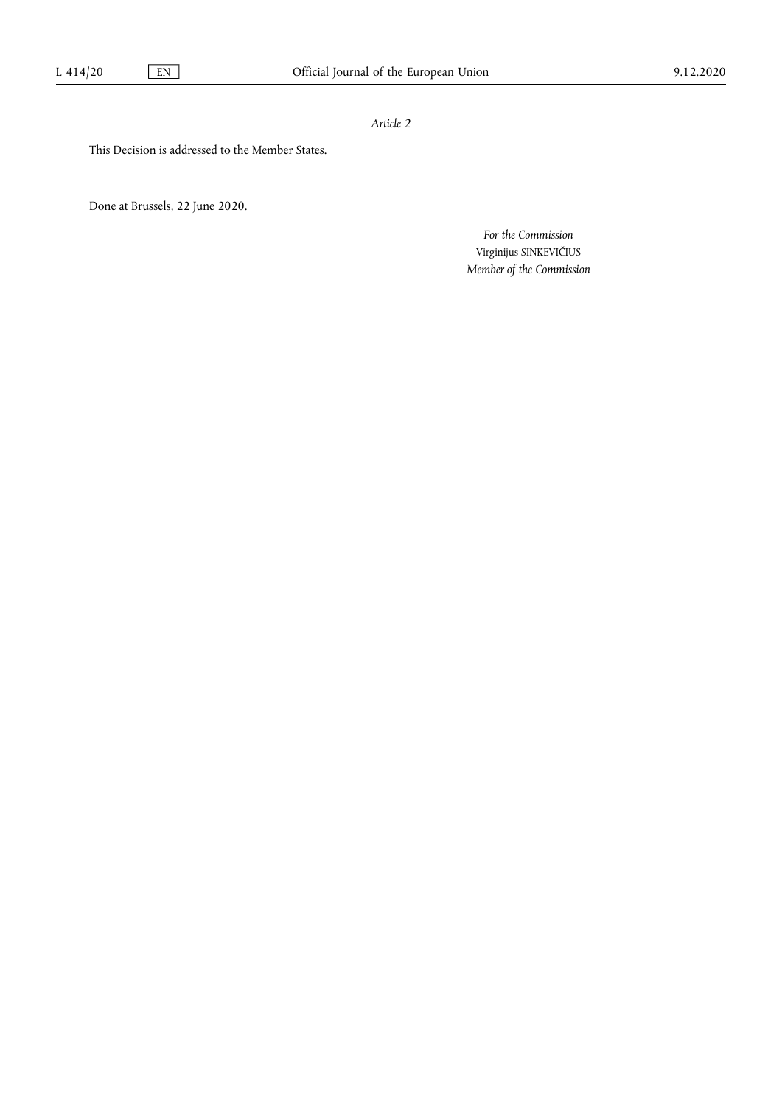## *Article 2*

This Decision is addressed to the Member States.

Done at Brussels, 22 June 2020.

*For the Commission*  Virginijus SINKEVIČIUS *Member of the Commission*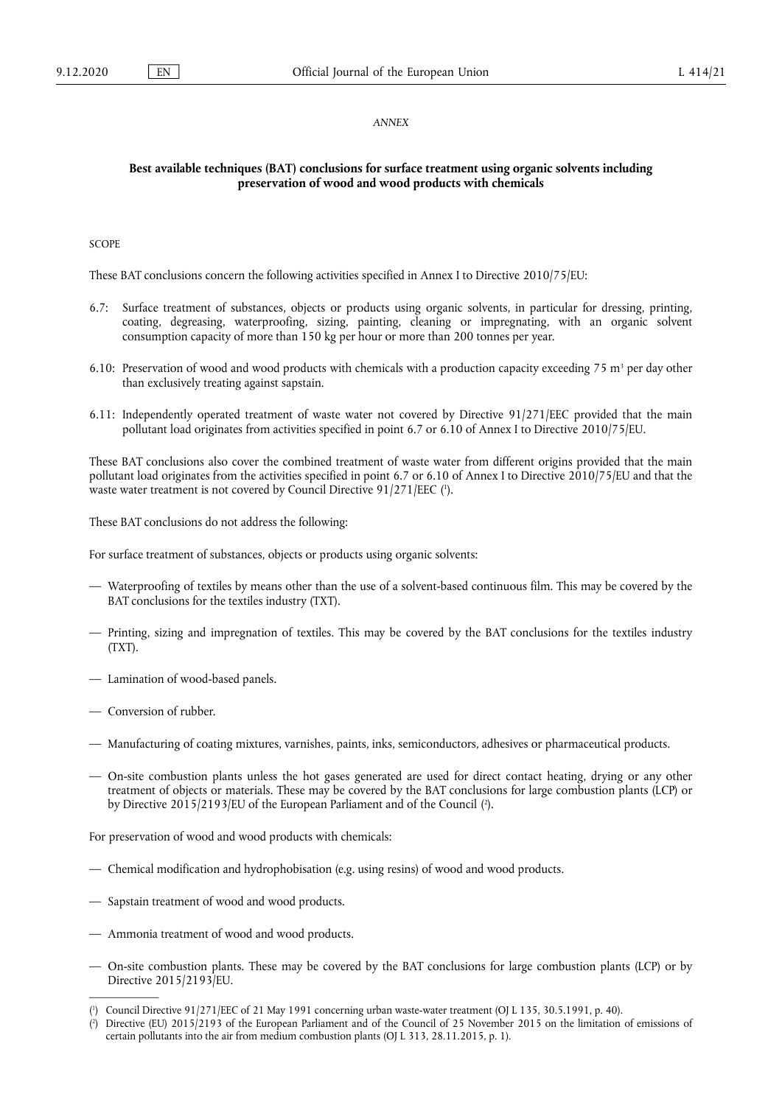#### *ANNEX*

### **Best available techniques (BAT) conclusions for surface treatment using organic solvents including preservation of wood and wood products with chemicals**

**SCOPE** 

These BAT conclusions concern the following activities specified in Annex I to Directive 2010/75/EU:

- 6.7: Surface treatment of substances, objects or products using organic solvents, in particular for dressing, printing, coating, degreasing, waterproofing, sizing, painting, cleaning or impregnating, with an organic solvent consumption capacity of more than 150 kg per hour or more than 200 tonnes per year.
- 6.10: Preservation of wood and wood products with chemicals with a production capacity exceeding 75 m<sup>3</sup> per day other than exclusively treating against sapstain.
- 6.11: Independently operated treatment of waste water not covered by Directive 91/271/EEC provided that the main pollutant load originates from activities specified in point 6.7 or 6.10 of Annex I to Directive 2010/75/EU.

<span id="page-2-2"></span>These BAT conclusions also cover the combined treatment of waste water from different origins provided that the main pollutant load originates from the activities specified in point 6.7 or 6.10 of Annex I to Directive 2010/75/EU and that the waste water treatment is not covered by Council Directive  $91/271/EEC$  ( $\degree$ ).

These BAT conclusions do not address the following:

For surface treatment of substances, objects or products using organic solvents:

- Waterproofing of textiles by means other than the use of a solvent-based continuous film. This may be covered by the BAT conclusions for the textiles industry (TXT).
- Printing, sizing and impregnation of textiles. This may be covered by the BAT conclusions for the textiles industry (TXT).
- Lamination of wood-based panels.
- Conversion of rubber.
- Manufacturing of coating mixtures, varnishes, paints, inks, semiconductors, adhesives or pharmaceutical products.
- <span id="page-2-3"></span>— On-site combustion plants unless the hot gases generated are used for direct contact heating, drying or any other treatment of objects or materials. These may be covered by the BAT conclusions for large combustion plants (LCP) or by Directive 2015/2193/EU of the European Parliament and of the Counci[l \(2](#page-2-1) ).

For preservation of wood and wood products with chemicals:

- Chemical modification and hydrophobisation (e.g. using resins) of wood and wood products.
- Sapstain treatment of wood and wood products.
- Ammonia treatment of wood and wood products.
- On-site combustion plants. These may be covered by the BAT conclusions for large combustion plants (LCP) or by Directive 2015/2193/EU.

<span id="page-2-0"></span><sup>(</sup> 1 [\) C](#page-2-2)ouncil Directive 91/271/EEC of 21 May 1991 concerning urban waste-water treatment (OJ L 135, 30.5.1991, p. 40).

<span id="page-2-1"></span><sup>(</sup> 2 [\) D](#page-2-3)irective (EU) 2015/2193 of the European Parliament and of the Council of 25 November 2015 on the limitation of emissions of certain pollutants into the air from medium combustion plants (OJ L 313, 28.11.2015, p. 1).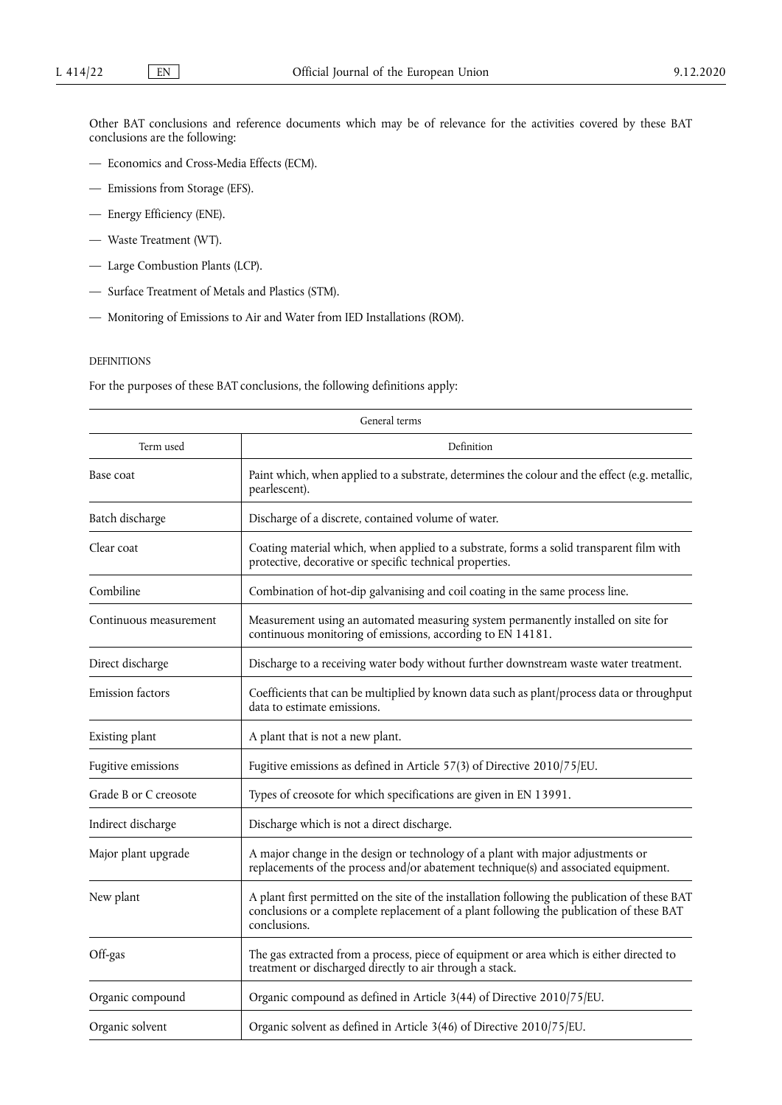Other BAT conclusions and reference documents which may be of relevance for the activities covered by these BAT conclusions are the following:

- Economics and Cross-Media Effects (ECM).
- Emissions from Storage (EFS).
- Energy Efficiency (ENE).
- Waste Treatment (WT).
- Large Combustion Plants (LCP).
- Surface Treatment of Metals and Plastics (STM).
- Monitoring of Emissions to Air and Water from IED Installations (ROM).

#### DEFINITIONS

For the purposes of these BAT conclusions, the following definitions apply:

|                         | General terms                                                                                                                                                                                             |  |
|-------------------------|-----------------------------------------------------------------------------------------------------------------------------------------------------------------------------------------------------------|--|
| Term used<br>Definition |                                                                                                                                                                                                           |  |
| Base coat               | Paint which, when applied to a substrate, determines the colour and the effect (e.g. metallic,<br>pearlescent).                                                                                           |  |
| Batch discharge         | Discharge of a discrete, contained volume of water.                                                                                                                                                       |  |
| Clear coat              | Coating material which, when applied to a substrate, forms a solid transparent film with<br>protective, decorative or specific technical properties.                                                      |  |
| Combiline               | Combination of hot-dip galvanising and coil coating in the same process line.                                                                                                                             |  |
| Continuous measurement  | Measurement using an automated measuring system permanently installed on site for<br>continuous monitoring of emissions, according to EN 14181.                                                           |  |
| Direct discharge        | Discharge to a receiving water body without further downstream waste water treatment.                                                                                                                     |  |
| <b>Emission</b> factors | Coefficients that can be multiplied by known data such as plant/process data or throughput<br>data to estimate emissions.                                                                                 |  |
| Existing plant          | A plant that is not a new plant.                                                                                                                                                                          |  |
| Fugitive emissions      | Fugitive emissions as defined in Article 57(3) of Directive 2010/75/EU.                                                                                                                                   |  |
| Grade B or C creosote   | Types of creosote for which specifications are given in EN 13991.                                                                                                                                         |  |
| Indirect discharge      | Discharge which is not a direct discharge.                                                                                                                                                                |  |
| Major plant upgrade     | A major change in the design or technology of a plant with major adjustments or<br>replacements of the process and/or abatement technique(s) and associated equipment.                                    |  |
| New plant               | A plant first permitted on the site of the installation following the publication of these BAT<br>conclusions or a complete replacement of a plant following the publication of these BAT<br>conclusions. |  |
| Off-gas                 | The gas extracted from a process, piece of equipment or area which is either directed to<br>treatment or discharged directly to air through a stack.                                                      |  |
| Organic compound        | Organic compound as defined in Article 3(44) of Directive 2010/75/EU.                                                                                                                                     |  |
| Organic solvent         | Organic solvent as defined in Article 3(46) of Directive 2010/75/EU.                                                                                                                                      |  |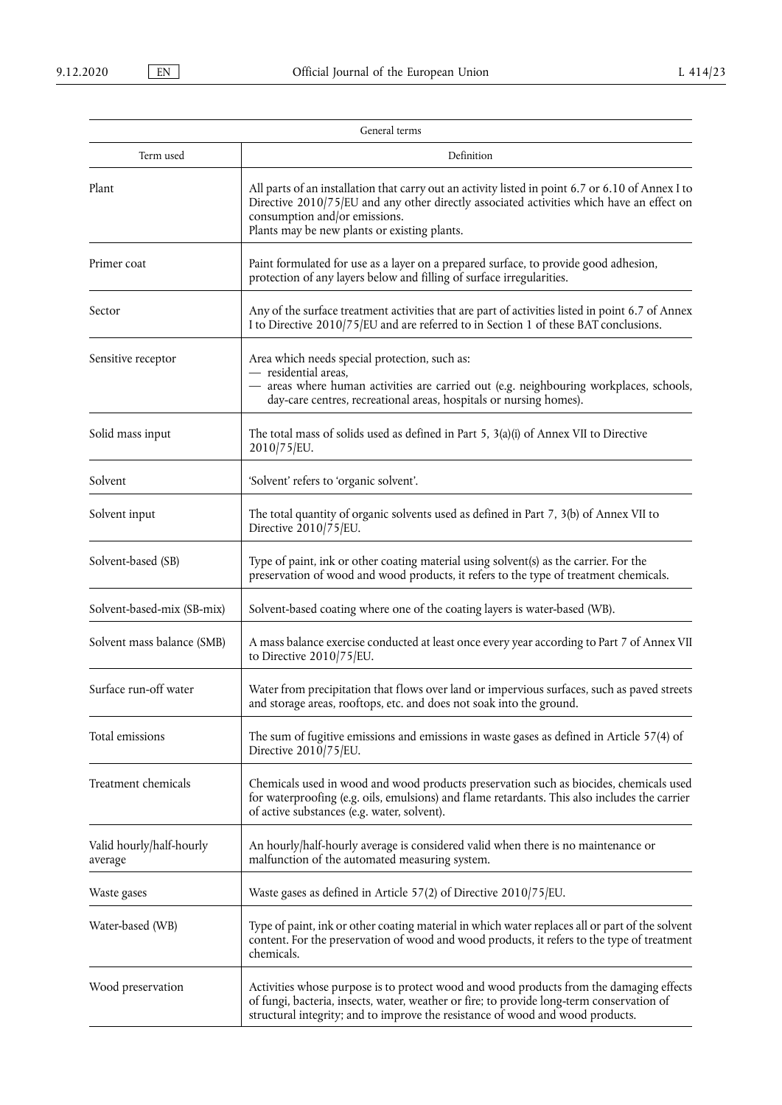|                                     | General terms                                                                                                                                                                                                                                                                   |  |
|-------------------------------------|---------------------------------------------------------------------------------------------------------------------------------------------------------------------------------------------------------------------------------------------------------------------------------|--|
| Term used                           | Definition                                                                                                                                                                                                                                                                      |  |
| Plant                               | All parts of an installation that carry out an activity listed in point 6.7 or 6.10 of Annex I to<br>Directive 2010/75/EU and any other directly associated activities which have an effect on<br>consumption and/or emissions.<br>Plants may be new plants or existing plants. |  |
| Primer coat                         | Paint formulated for use as a layer on a prepared surface, to provide good adhesion,<br>protection of any layers below and filling of surface irregularities.                                                                                                                   |  |
| Sector                              | Any of the surface treatment activities that are part of activities listed in point 6.7 of Annex<br>I to Directive 2010/75/EU and are referred to in Section 1 of these BAT conclusions.                                                                                        |  |
| Sensitive receptor                  | Area which needs special protection, such as:<br>- residential areas,<br>- areas where human activities are carried out (e.g. neighbouring workplaces, schools,<br>day-care centres, recreational areas, hospitals or nursing homes).                                           |  |
| Solid mass input                    | The total mass of solids used as defined in Part 5, $3(a)(i)$ of Annex VII to Directive<br>2010/75/EU.                                                                                                                                                                          |  |
| Solvent                             | 'Solvent' refers to 'organic solvent'.                                                                                                                                                                                                                                          |  |
| Solvent input                       | The total quantity of organic solvents used as defined in Part 7, 3(b) of Annex VII to<br>Directive 2010/75/EU.                                                                                                                                                                 |  |
| Solvent-based (SB)                  | Type of paint, ink or other coating material using solvent(s) as the carrier. For the<br>preservation of wood and wood products, it refers to the type of treatment chemicals.                                                                                                  |  |
| Solvent-based-mix (SB-mix)          | Solvent-based coating where one of the coating layers is water-based (WB).                                                                                                                                                                                                      |  |
| Solvent mass balance (SMB)          | A mass balance exercise conducted at least once every year according to Part 7 of Annex VII<br>to Directive 2010/75/EU.                                                                                                                                                         |  |
| Surface run-off water               | Water from precipitation that flows over land or impervious surfaces, such as paved streets<br>and storage areas, rooftops, etc. and does not soak into the ground.                                                                                                             |  |
| Total emissions                     | The sum of fugitive emissions and emissions in waste gases as defined in Article 57(4) of<br>Directive 2010/75/EU.                                                                                                                                                              |  |
| Treatment chemicals                 | Chemicals used in wood and wood products preservation such as biocides, chemicals used<br>for waterproofing (e.g. oils, emulsions) and flame retardants. This also includes the carrier<br>of active substances (e.g. water, solvent).                                          |  |
| Valid hourly/half-hourly<br>average | An hourly/half-hourly average is considered valid when there is no maintenance or<br>malfunction of the automated measuring system.                                                                                                                                             |  |
| Waste gases                         | Waste gases as defined in Article 57(2) of Directive 2010/75/EU.                                                                                                                                                                                                                |  |
| Water-based (WB)                    | Type of paint, ink or other coating material in which water replaces all or part of the solvent<br>content. For the preservation of wood and wood products, it refers to the type of treatment<br>chemicals.                                                                    |  |
| Wood preservation                   | Activities whose purpose is to protect wood and wood products from the damaging effects<br>of fungi, bacteria, insects, water, weather or fire; to provide long-term conservation of<br>structural integrity; and to improve the resistance of wood and wood products.          |  |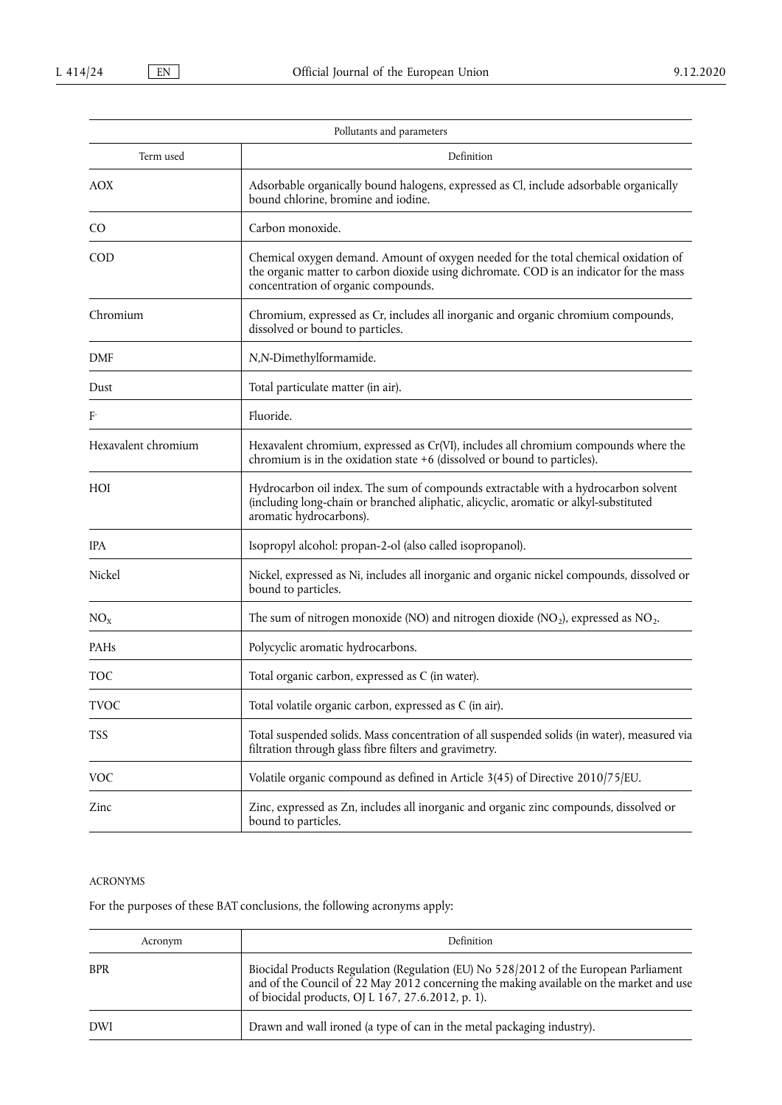|                     | Pollutants and parameters                                                                                                                                                                                             |  |
|---------------------|-----------------------------------------------------------------------------------------------------------------------------------------------------------------------------------------------------------------------|--|
| Term used           | Definition                                                                                                                                                                                                            |  |
| <b>AOX</b>          | Adsorbable organically bound halogens, expressed as Cl, include adsorbable organically<br>bound chlorine, bromine and iodine.                                                                                         |  |
| C <sub>O</sub>      | Carbon monoxide.                                                                                                                                                                                                      |  |
| COD                 | Chemical oxygen demand. Amount of oxygen needed for the total chemical oxidation of<br>the organic matter to carbon dioxide using dichromate. COD is an indicator for the mass<br>concentration of organic compounds. |  |
| Chromium            | Chromium, expressed as Cr, includes all inorganic and organic chromium compounds,<br>dissolved or bound to particles.                                                                                                 |  |
| <b>DMF</b>          | N,N-Dimethylformamide.                                                                                                                                                                                                |  |
| Dust                | Total particulate matter (in air).                                                                                                                                                                                    |  |
| F                   | Fluoride.                                                                                                                                                                                                             |  |
| Hexavalent chromium | Hexavalent chromium, expressed as Cr(VI), includes all chromium compounds where the<br>chromium is in the oxidation state +6 (dissolved or bound to particles).                                                       |  |
| HOI                 | Hydrocarbon oil index. The sum of compounds extractable with a hydrocarbon solvent<br>(including long-chain or branched aliphatic, alicyclic, aromatic or alkyl-substituted<br>aromatic hydrocarbons).                |  |
| <b>IPA</b>          | Isopropyl alcohol: propan-2-ol (also called isopropanol).                                                                                                                                                             |  |
| Nickel              | Nickel, expressed as Ni, includes all inorganic and organic nickel compounds, dissolved or<br>bound to particles.                                                                                                     |  |
| NO <sub>x</sub>     | The sum of nitrogen monoxide (NO) and nitrogen dioxide (NO <sub>2</sub> ), expressed as NO <sub>2</sub> .                                                                                                             |  |
| PAHs                | Polycyclic aromatic hydrocarbons.                                                                                                                                                                                     |  |
| <b>TOC</b>          | Total organic carbon, expressed as C (in water).                                                                                                                                                                      |  |
| <b>TVOC</b>         | Total volatile organic carbon, expressed as C (in air).                                                                                                                                                               |  |
| <b>TSS</b>          | Total suspended solids. Mass concentration of all suspended solids (in water), measured via<br>filtration through glass fibre filters and gravimetry.                                                                 |  |
| <b>VOC</b>          | Volatile organic compound as defined in Article 3(45) of Directive 2010/75/EU.                                                                                                                                        |  |
| Zinc                | Zinc, expressed as Zn, includes all inorganic and organic zinc compounds, dissolved or<br>bound to particles.                                                                                                         |  |

## ACRONYMS

For the purposes of these BAT conclusions, the following acronyms apply:

| Acronym    | Definition                                                                                                                                                                                                                           |  |
|------------|--------------------------------------------------------------------------------------------------------------------------------------------------------------------------------------------------------------------------------------|--|
| <b>BPR</b> | Biocidal Products Regulation (Regulation (EU) No 528/2012 of the European Parliament<br>and of the Council of 22 May 2012 concerning the making available on the market and use<br>of biocidal products, OJ L 167, 27.6.2012, p. 1). |  |
| <b>DWI</b> | Drawn and wall ironed (a type of can in the metal packaging industry).                                                                                                                                                               |  |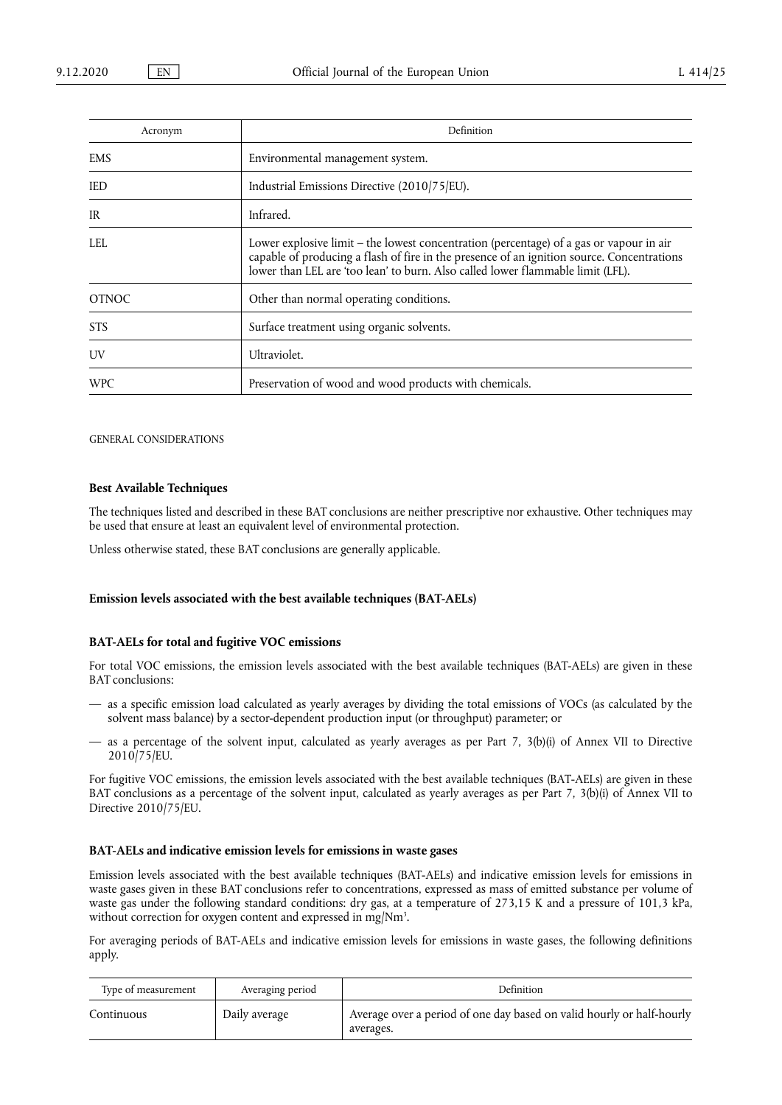| Acronym      | Definition                                                                                                                                                                                                                                                                 |  |
|--------------|----------------------------------------------------------------------------------------------------------------------------------------------------------------------------------------------------------------------------------------------------------------------------|--|
| <b>EMS</b>   | Environmental management system.                                                                                                                                                                                                                                           |  |
| <b>IED</b>   | Industrial Emissions Directive (2010/75/EU).                                                                                                                                                                                                                               |  |
| IR           | Infrared.                                                                                                                                                                                                                                                                  |  |
| LEL.         | Lower explosive limit $-$ the lowest concentration (percentage) of a gas or vapour in air<br>capable of producing a flash of fire in the presence of an ignition source. Concentrations<br>lower than LEL are 'too lean' to burn. Also called lower flammable limit (LFL). |  |
| <b>OTNOC</b> | Other than normal operating conditions.                                                                                                                                                                                                                                    |  |
| STS.         | Surface treatment using organic solvents.                                                                                                                                                                                                                                  |  |
| UV           | Ultraviolet.                                                                                                                                                                                                                                                               |  |
| <b>WPC</b>   | Preservation of wood and wood products with chemicals.                                                                                                                                                                                                                     |  |

GENERAL CONSIDERATIONS

#### **Best Available Techniques**

The techniques listed and described in these BAT conclusions are neither prescriptive nor exhaustive. Other techniques may be used that ensure at least an equivalent level of environmental protection.

Unless otherwise stated, these BAT conclusions are generally applicable.

#### **Emission levels associated with the best available techniques (BAT-AELs)**

#### **BAT-AELs for total and fugitive VOC emissions**

For total VOC emissions, the emission levels associated with the best available techniques (BAT-AELs) are given in these BAT conclusions:

- as a specific emission load calculated as yearly averages by dividing the total emissions of VOCs (as calculated by the solvent mass balance) by a sector-dependent production input (or throughput) parameter; or
- as a percentage of the solvent input, calculated as yearly averages as per Part 7,  $3(b)(i)$  of Annex VII to Directive 2010/75/EU.

For fugitive VOC emissions, the emission levels associated with the best available techniques (BAT-AELs) are given in these BAT conclusions as a percentage of the solvent input, calculated as yearly averages as per Part 7, 3(b)(i) of Annex VII to Directive 2010/75/EU.

#### **BAT-AELs and indicative emission levels for emissions in waste gases**

Emission levels associated with the best available techniques (BAT-AELs) and indicative emission levels for emissions in waste gases given in these BAT conclusions refer to concentrations, expressed as mass of emitted substance per volume of waste gas under the following standard conditions: dry gas, at a temperature of 273,15 K and a pressure of 101,3 kPa, without correction for oxygen content and expressed in mg/Nm<sup>3</sup>.

For averaging periods of BAT-AELs and indicative emission levels for emissions in waste gases, the following definitions apply.

| Type of measurement<br>Averaging period |               | Definition                                                                         |
|-----------------------------------------|---------------|------------------------------------------------------------------------------------|
| Continuous                              | Daily average | Average over a period of one day based on valid hourly or half-hourly<br>averages. |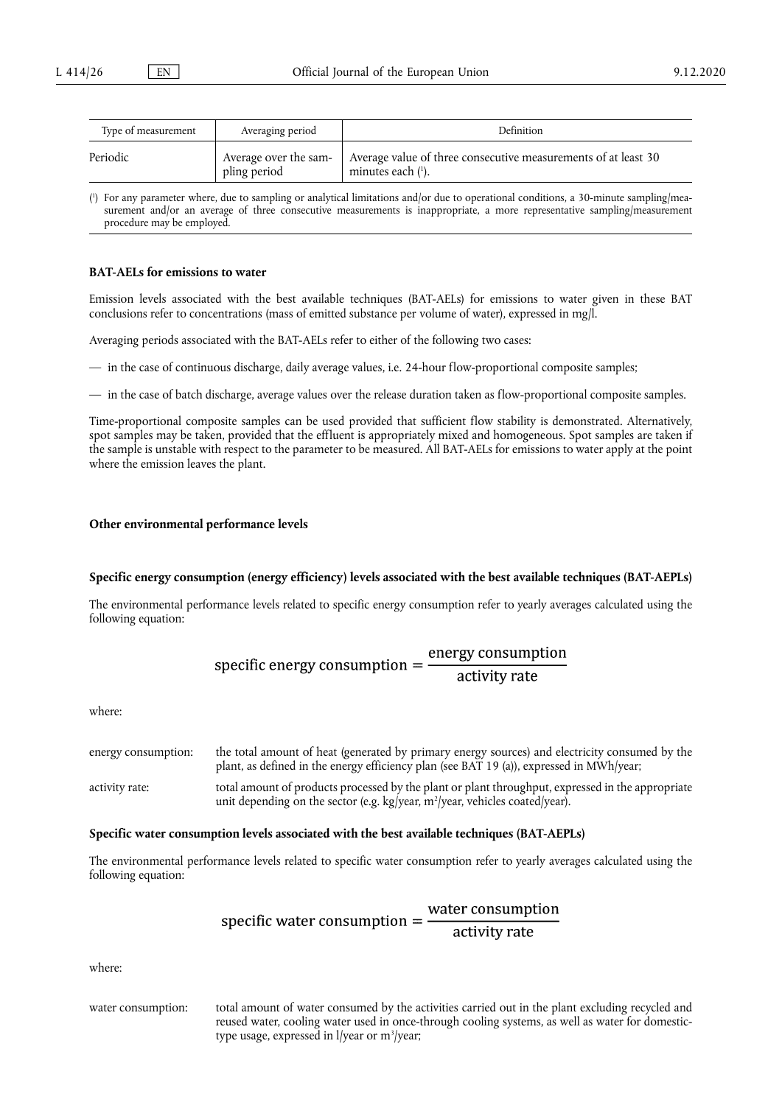<span id="page-7-1"></span>

| Type of measurement | Averaging period                      | <b>Definition</b>                                                                      |  |
|---------------------|---------------------------------------|----------------------------------------------------------------------------------------|--|
| Periodic            | Average over the sam-<br>pling period | Average value of three consecutive measurements of at least 30<br>minutes each $(1)$ . |  |

<span id="page-7-0"></span>( 1 [\)](#page-7-1) For any parameter where, due to sampling or analytical limitations and/or due to operational conditions, a 30-minute sampling/measurement and/or an average of three consecutive measurements is inappropriate, a more representative sampling/measurement procedure may be employed.

#### **BAT-AELs for emissions to water**

Emission levels associated with the best available techniques (BAT-AELs) for emissions to water given in these BAT conclusions refer to concentrations (mass of emitted substance per volume of water), expressed in mg/l.

Averaging periods associated with the BAT-AELs refer to either of the following two cases:

— in the case of continuous discharge, daily average values, i.e. 24-hour flow-proportional composite samples;

— in the case of batch discharge, average values over the release duration taken as flow-proportional composite samples.

Time-proportional composite samples can be used provided that sufficient flow stability is demonstrated. Alternatively, spot samples may be taken, provided that the effluent is appropriately mixed and homogeneous. Spot samples are taken if the sample is unstable with respect to the parameter to be measured. All BAT-AELs for emissions to water apply at the point where the emission leaves the plant.

#### **Other environmental performance levels**

#### **Specific energy consumption (energy efficiency) levels associated with the best available techniques (BAT-AEPLs)**

The environmental performance levels related to specific energy consumption refer to yearly averages calculated using the following equation:

specific energy consumption = 
$$
\frac{\text{energy consumption}}{\text{activity rate}}
$$

where:

energy consumption: the total amount of heat (generated by primary energy sources) and electricity consumed by the plant, as defined in the energy efficiency plan (see BAT 19 (a)), expressed in MWh/year; activity rate: total amount of products processed by the plant or plant throughput, expressed in the appropriate unit depending on the sector (e.g. kg/year, m2 /year, vehicles coated/year).

#### **Specific water consumption levels associated with the best available techniques (BAT-AEPLs)**

The environmental performance levels related to specific water consumption refer to yearly averages calculated using the following equation:

specific water consumption = 
$$
\frac{\text{water consumption}}{\text{activity rate}}
$$

where:

water consumption: total amount of water consumed by the activities carried out in the plant excluding recycled and reused water, cooling water used in once-through cooling systems, as well as water for domestictype usage, expressed in l/year or m<sup>3</sup>/year;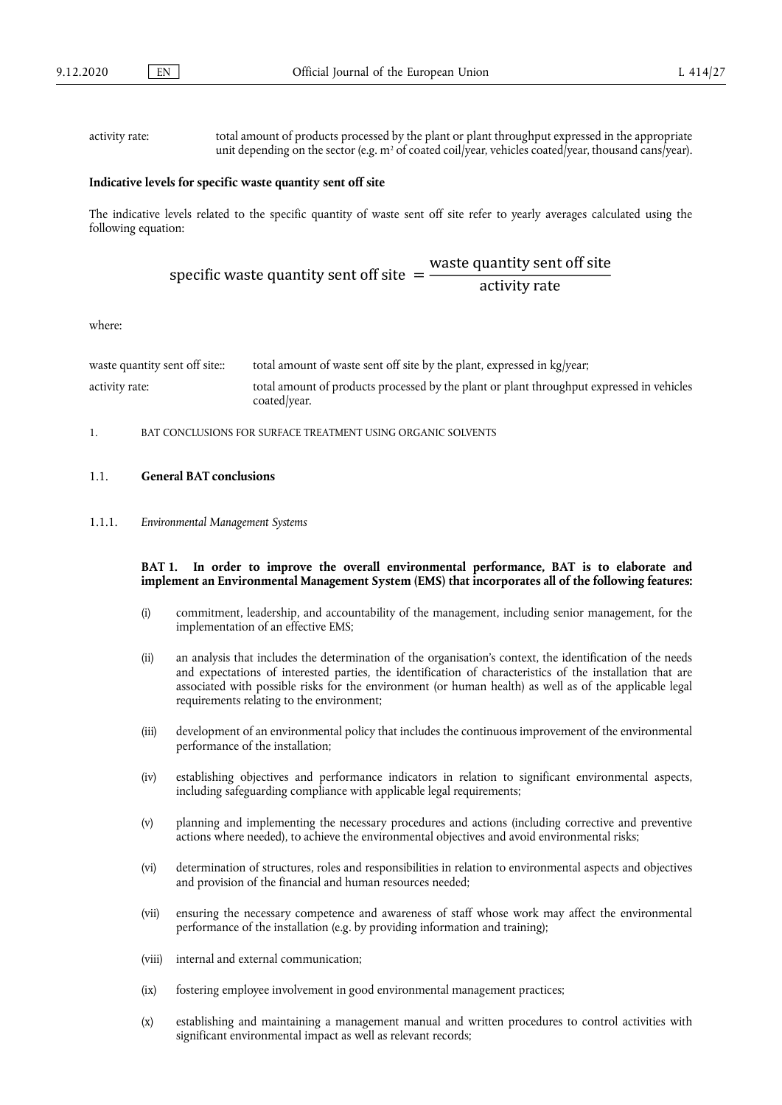$\sim$ 

#### activity rate: total amount of products processed by the plant or plant throughput expressed in the appropriate unit depending on the sector (e.g. m<sup>2</sup> of coated coil/year, vehicles coated/year, thousand cans/year).

#### **Indicative levels for specific waste quantity sent off site**

The indicative levels related to the specific quantity of waste sent off site refer to yearly averages calculated using the following equation:

specific waste quantity sent off site = 
$$
\frac{\text{waste quantity sent off site}}{\text{activity rate}}
$$

where:

| waste quantity sent off site: | total amount of waste sent off site by the plant, expressed in kg/year;                                   |
|-------------------------------|-----------------------------------------------------------------------------------------------------------|
| activity rate:                | total amount of products processed by the plant or plant throughput expressed in vehicles<br>coated/year. |

1. BAT CONCLUSIONS FOR SURFACE TREATMENT USING ORGANIC SOLVENTS

#### 1.1. **General BAT conclusions**

1.1.1. *Environmental Management Systems* 

#### **BAT 1. In order to improve the overall environmental performance, BAT is to elaborate and implement an Environmental Management System (EMS) that incorporates all of the following features:**

- (i) commitment, leadership, and accountability of the management, including senior management, for the implementation of an effective EMS;
- (ii) an analysis that includes the determination of the organisation's context, the identification of the needs and expectations of interested parties, the identification of characteristics of the installation that are associated with possible risks for the environment (or human health) as well as of the applicable legal requirements relating to the environment;
- (iii) development of an environmental policy that includes the continuous improvement of the environmental performance of the installation;
- (iv) establishing objectives and performance indicators in relation to significant environmental aspects, including safeguarding compliance with applicable legal requirements;
- (v) planning and implementing the necessary procedures and actions (including corrective and preventive actions where needed), to achieve the environmental objectives and avoid environmental risks;
- (vi) determination of structures, roles and responsibilities in relation to environmental aspects and objectives and provision of the financial and human resources needed;
- (vii) ensuring the necessary competence and awareness of staff whose work may affect the environmental performance of the installation (e.g. by providing information and training);
- (viii) internal and external communication;
- (ix) fostering employee involvement in good environmental management practices;
- (x) establishing and maintaining a management manual and written procedures to control activities with significant environmental impact as well as relevant records;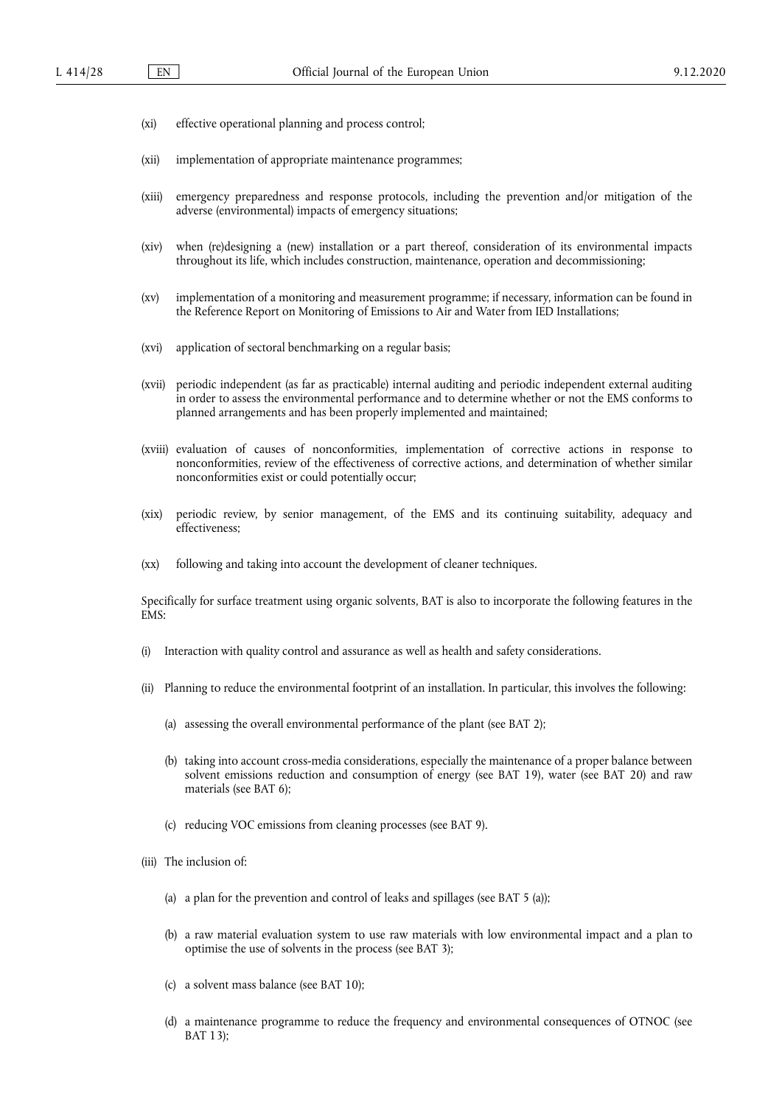- (xi) effective operational planning and process control;
- (xii) implementation of appropriate maintenance programmes;
- (xiii) emergency preparedness and response protocols, including the prevention and/or mitigation of the adverse (environmental) impacts of emergency situations;
- (xiv) when (re)designing a (new) installation or a part thereof, consideration of its environmental impacts throughout its life, which includes construction, maintenance, operation and decommissioning;
- (xv) implementation of a monitoring and measurement programme; if necessary, information can be found in the Reference Report on Monitoring of Emissions to Air and Water from IED Installations;
- (xvi) application of sectoral benchmarking on a regular basis;
- (xvii) periodic independent (as far as practicable) internal auditing and periodic independent external auditing in order to assess the environmental performance and to determine whether or not the EMS conforms to planned arrangements and has been properly implemented and maintained;
- (xviii) evaluation of causes of nonconformities, implementation of corrective actions in response to nonconformities, review of the effectiveness of corrective actions, and determination of whether similar nonconformities exist or could potentially occur;
- (xix) periodic review, by senior management, of the EMS and its continuing suitability, adequacy and effectiveness;
- (xx) following and taking into account the development of cleaner techniques.

Specifically for surface treatment using organic solvents, BAT is also to incorporate the following features in the EMS:

- (i) Interaction with quality control and assurance as well as health and safety considerations.
- (ii) Planning to reduce the environmental footprint of an installation. In particular, this involves the following:
	- (a) assessing the overall environmental performance of the plant (see BAT 2);
	- (b) taking into account cross-media considerations, especially the maintenance of a proper balance between solvent emissions reduction and consumption of energy (see BAT 19), water (see BAT 20) and raw materials (see BAT 6);
	- (c) reducing VOC emissions from cleaning processes (see BAT 9).
- (iii) The inclusion of:
	- (a) a plan for the prevention and control of leaks and spillages (see BAT 5 (a));
	- (b) a raw material evaluation system to use raw materials with low environmental impact and a plan to optimise the use of solvents in the process (see BAT 3);
	- (c) a solvent mass balance (see BAT 10);
	- (d) a maintenance programme to reduce the frequency and environmental consequences of OTNOC (see BAT 13);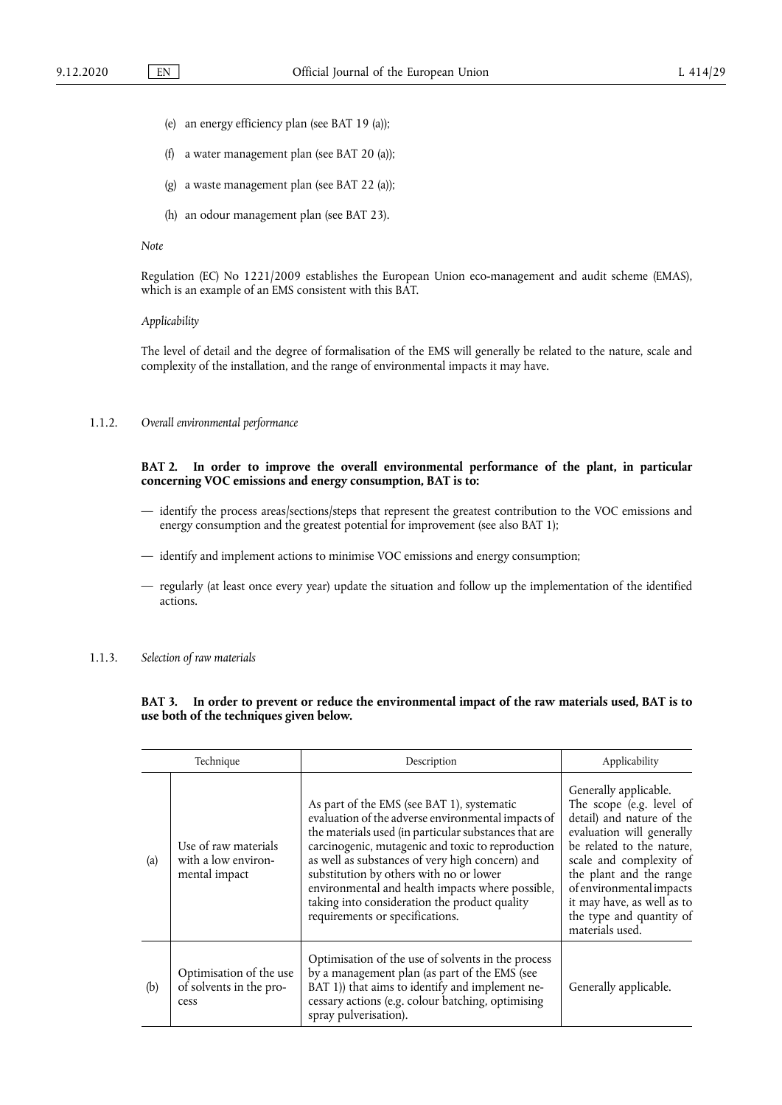- (e) an energy efficiency plan (see BAT 19 (a));
- (f) a water management plan (see BAT 20 (a));
- (g) a waste management plan (see BAT 22 (a));
- (h) an odour management plan (see BAT 23).

#### *Note*

Regulation (EC) No 1221/2009 establishes the European Union eco-management and audit scheme (EMAS), which is an example of an EMS consistent with this BAT.

#### *Applicability*

The level of detail and the degree of formalisation of the EMS will generally be related to the nature, scale and complexity of the installation, and the range of environmental impacts it may have.

#### 1.1.2. *Overall environmental performance*

#### **BAT 2. In order to improve the overall environmental performance of the plant, in particular concerning VOC emissions and energy consumption, BAT is to:**

- identify the process areas/sections/steps that represent the greatest contribution to the VOC emissions and energy consumption and the greatest potential for improvement (see also BAT 1);
- identify and implement actions to minimise VOC emissions and energy consumption;
- regularly (at least once every year) update the situation and follow up the implementation of the identified actions.

#### 1.1.3. *Selection of raw materials*

## **BAT 3. In order to prevent or reduce the environmental impact of the raw materials used, BAT is to use both of the techniques given below.**

| Technique |                                                              | Description                                                                                                                                                                                                                                                                                                                                                                                                                                          | Applicability                                                                                                                                                                                                                                                                                           |  |
|-----------|--------------------------------------------------------------|------------------------------------------------------------------------------------------------------------------------------------------------------------------------------------------------------------------------------------------------------------------------------------------------------------------------------------------------------------------------------------------------------------------------------------------------------|---------------------------------------------------------------------------------------------------------------------------------------------------------------------------------------------------------------------------------------------------------------------------------------------------------|--|
| (a)       | Use of raw materials<br>with a low environ-<br>mental impact | As part of the EMS (see BAT 1), systematic<br>evaluation of the adverse environmental impacts of<br>the materials used (in particular substances that are<br>carcinogenic, mutagenic and toxic to reproduction<br>as well as substances of very high concern) and<br>substitution by others with no or lower<br>environmental and health impacts where possible,<br>taking into consideration the product quality<br>requirements or specifications. | Generally applicable.<br>The scope (e.g. level of<br>detail) and nature of the<br>evaluation will generally<br>be related to the nature,<br>scale and complexity of<br>the plant and the range<br>of environmental impacts<br>it may have, as well as to<br>the type and quantity of<br>materials used. |  |
| (b)       | Optimisation of the use<br>of solvents in the pro-<br>cess   | Optimisation of the use of solvents in the process<br>by a management plan (as part of the EMS (see<br>BAT 1)) that aims to identify and implement ne-<br>cessary actions (e.g. colour batching, optimising<br>spray pulverisation).                                                                                                                                                                                                                 | Generally applicable.                                                                                                                                                                                                                                                                                   |  |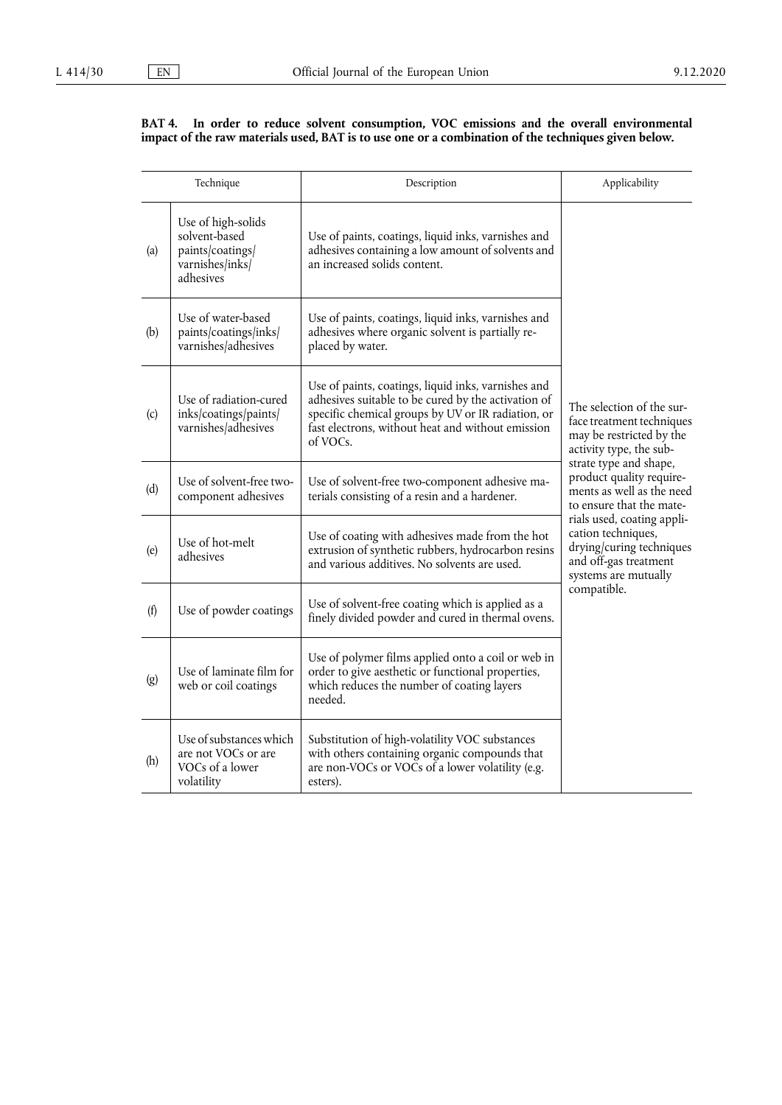#### **BAT 4. In order to reduce solvent consumption, VOC emissions and the overall environmental impact of the raw materials used, BAT is to use one or a combination of the techniques given below.**

|     | Technique                                                                               | Description                                                                                                                                                                                                                       | Applicability                                                                                                                 |
|-----|-----------------------------------------------------------------------------------------|-----------------------------------------------------------------------------------------------------------------------------------------------------------------------------------------------------------------------------------|-------------------------------------------------------------------------------------------------------------------------------|
| (a) | Use of high-solids<br>solvent-based<br>paints/coatings/<br>varnishes/inks/<br>adhesives | Use of paints, coatings, liquid inks, varnishes and<br>adhesives containing a low amount of solvents and<br>an increased solids content.                                                                                          |                                                                                                                               |
| (b) | Use of water-based<br>paints/coatings/inks/<br>varnishes/adhesives                      | Use of paints, coatings, liquid inks, varnishes and<br>adhesives where organic solvent is partially re-<br>placed by water.                                                                                                       |                                                                                                                               |
| (c) | Use of radiation-cured<br>inks/coatings/paints/<br>varnishes/adhesives                  | Use of paints, coatings, liquid inks, varnishes and<br>adhesives suitable to be cured by the activation of<br>specific chemical groups by UV or IR radiation, or<br>fast electrons, without heat and without emission<br>of VOCs. | The selection of the sur-<br>face treatment techniques<br>may be restricted by the<br>activity type, the sub-                 |
| (d) | Use of solvent-free two-<br>component adhesives                                         | Use of solvent-free two-component adhesive ma-<br>terials consisting of a resin and a hardener.                                                                                                                                   | strate type and shape,<br>product quality require-<br>ments as well as the need<br>to ensure that the mate-                   |
| (e) | Use of hot-melt<br>adhesives                                                            | Use of coating with adhesives made from the hot<br>extrusion of synthetic rubbers, hydrocarbon resins<br>and various additives. No solvents are used.                                                                             | rials used, coating appli-<br>cation techniques,<br>drying/curing techniques<br>and off-gas treatment<br>systems are mutually |
| (f) | Use of powder coatings                                                                  | Use of solvent-free coating which is applied as a<br>finely divided powder and cured in thermal ovens.                                                                                                                            | compatible.                                                                                                                   |
| (g) | Use of laminate film for<br>web or coil coatings                                        | Use of polymer films applied onto a coil or web in<br>order to give aesthetic or functional properties,<br>which reduces the number of coating layers<br>needed.                                                                  |                                                                                                                               |
| (h) | Use of substances which<br>are not VOCs or are<br>VOCs of a lower<br>volatility         | Substitution of high-volatility VOC substances<br>with others containing organic compounds that<br>are non-VOCs or VOCs of a lower volatility (e.g.<br>esters).                                                                   |                                                                                                                               |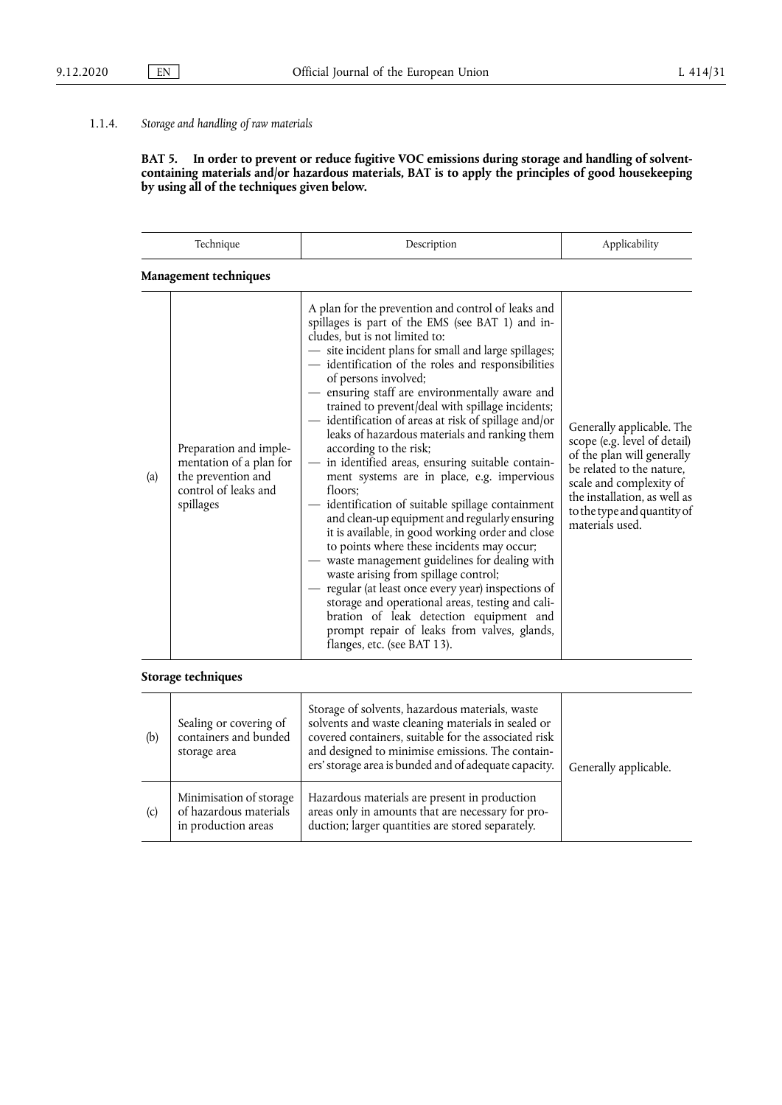## 1.1.4. *Storage and handling of raw materials*

**BAT 5. In order to prevent or reduce fugitive VOC emissions during storage and handling of solventcontaining materials and/or hazardous materials, BAT is to apply the principles of good housekeeping by using all of the techniques given below.** 

| Technique |                                                                                                              | Description                                                                                                                                                                                                                                                                                                                                                                                                                                                                                                                                                                                                                                                                                                                                                                                                                                                                                                                                                                                                                                                                                                                                                             | Applicability                                                                                                                                                                                                                     |
|-----------|--------------------------------------------------------------------------------------------------------------|-------------------------------------------------------------------------------------------------------------------------------------------------------------------------------------------------------------------------------------------------------------------------------------------------------------------------------------------------------------------------------------------------------------------------------------------------------------------------------------------------------------------------------------------------------------------------------------------------------------------------------------------------------------------------------------------------------------------------------------------------------------------------------------------------------------------------------------------------------------------------------------------------------------------------------------------------------------------------------------------------------------------------------------------------------------------------------------------------------------------------------------------------------------------------|-----------------------------------------------------------------------------------------------------------------------------------------------------------------------------------------------------------------------------------|
|           | Management techniques                                                                                        |                                                                                                                                                                                                                                                                                                                                                                                                                                                                                                                                                                                                                                                                                                                                                                                                                                                                                                                                                                                                                                                                                                                                                                         |                                                                                                                                                                                                                                   |
| (a)       | Preparation and imple-<br>mentation of a plan for<br>the prevention and<br>control of leaks and<br>spillages | A plan for the prevention and control of leaks and<br>spillages is part of the EMS (see BAT 1) and in-<br>cludes, but is not limited to:<br>- site incident plans for small and large spillages;<br>- identification of the roles and responsibilities<br>of persons involved;<br>- ensuring staff are environmentally aware and<br>trained to prevent/deal with spillage incidents;<br>- identification of areas at risk of spillage and/or<br>leaks of hazardous materials and ranking them<br>according to the risk;<br>- in identified areas, ensuring suitable contain-<br>ment systems are in place, e.g. impervious<br>floors:<br>- identification of suitable spillage containment<br>and clean-up equipment and regularly ensuring<br>it is available, in good working order and close<br>to points where these incidents may occur;<br>waste management guidelines for dealing with<br>waste arising from spillage control;<br>regular (at least once every year) inspections of<br>storage and operational areas, testing and cali-<br>bration of leak detection equipment and<br>prompt repair of leaks from valves, glands,<br>flanges, etc. (see BAT 13). | Generally applicable. The<br>scope (e.g. level of detail)<br>of the plan will generally<br>be related to the nature,<br>scale and complexity of<br>the installation, as well as<br>to the type and quantity of<br>materials used. |

## **Storage techniques**

| (b) | Sealing or covering of<br>containers and bunded<br>storage area          | Storage of solvents, hazardous materials, waste<br>solvents and waste cleaning materials in sealed or<br>covered containers, suitable for the associated risk<br>and designed to minimise emissions. The contain-<br>ers' storage area is bunded and of adequate capacity. | Generally applicable. |
|-----|--------------------------------------------------------------------------|----------------------------------------------------------------------------------------------------------------------------------------------------------------------------------------------------------------------------------------------------------------------------|-----------------------|
| (c) | Minimisation of storage<br>of hazardous materials<br>in production areas | Hazardous materials are present in production<br>areas only in amounts that are necessary for pro-<br>duction; larger quantities are stored separately.                                                                                                                    |                       |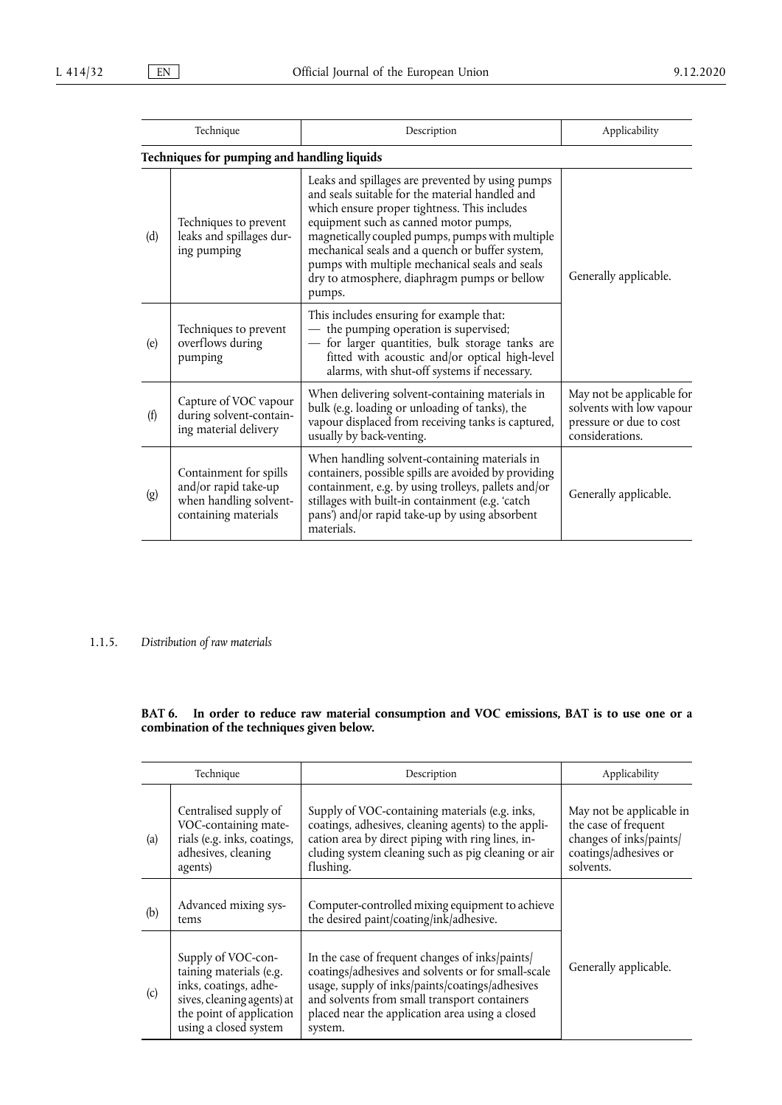| Technique |                                                                                                  | Description                                                                                                                                                                                                                                                                                                                                                                                                    | Applicability                                                                                       |
|-----------|--------------------------------------------------------------------------------------------------|----------------------------------------------------------------------------------------------------------------------------------------------------------------------------------------------------------------------------------------------------------------------------------------------------------------------------------------------------------------------------------------------------------------|-----------------------------------------------------------------------------------------------------|
|           | Techniques for pumping and handling liquids                                                      |                                                                                                                                                                                                                                                                                                                                                                                                                |                                                                                                     |
| (d)       | Techniques to prevent<br>leaks and spillages dur-<br>ing pumping                                 | Leaks and spillages are prevented by using pumps<br>and seals suitable for the material handled and<br>which ensure proper tightness. This includes<br>equipment such as canned motor pumps,<br>magnetically coupled pumps, pumps with multiple<br>mechanical seals and a quench or buffer system,<br>pumps with multiple mechanical seals and seals<br>dry to atmosphere, diaphragm pumps or bellow<br>pumps. | Generally applicable.                                                                               |
| (e)       | Techniques to prevent<br>overflows during<br>pumping                                             | This includes ensuring for example that:<br>- the pumping operation is supervised;<br>for larger quantities, bulk storage tanks are<br>fitted with acoustic and/or optical high-level<br>alarms, with shut-off systems if necessary.                                                                                                                                                                           |                                                                                                     |
| (f)       | Capture of VOC vapour<br>during solvent-contain-<br>ing material delivery                        | When delivering solvent-containing materials in<br>bulk (e.g. loading or unloading of tanks), the<br>vapour displaced from receiving tanks is captured,<br>usually by back-venting.                                                                                                                                                                                                                            | May not be applicable for<br>solvents with low vapour<br>pressure or due to cost<br>considerations. |
| (g)       | Containment for spills<br>and/or rapid take-up<br>when handling solvent-<br>containing materials | When handling solvent-containing materials in<br>containers, possible spills are avoided by providing<br>containment, e.g. by using trolleys, pallets and/or<br>stillages with built-in containment (e.g. 'catch<br>pans') and/or rapid take-up by using absorbent<br>materials.                                                                                                                               | Generally applicable.                                                                               |

## 1.1.5. *Distribution of raw materials*

**BAT 6. In order to reduce raw material consumption and VOC emissions, BAT is to use one or a combination of the techniques given below.** 

| Technique |                                                                                                                                                           | Description                                                                                                                                                                                                                                                            | Applicability                                                                                                     |
|-----------|-----------------------------------------------------------------------------------------------------------------------------------------------------------|------------------------------------------------------------------------------------------------------------------------------------------------------------------------------------------------------------------------------------------------------------------------|-------------------------------------------------------------------------------------------------------------------|
| (a)       | Centralised supply of<br>VOC-containing mate-<br>rials (e.g. inks, coatings,<br>adhesives, cleaning<br>agents)                                            | Supply of VOC-containing materials (e.g. inks,<br>coatings, adhesives, cleaning agents) to the appli-<br>cation area by direct piping with ring lines, in-<br>cluding system cleaning such as pig cleaning or air<br>flushing.                                         | May not be applicable in<br>the case of frequent<br>changes of inks/paints/<br>coatings/adhesives or<br>solvents. |
| (b)       | Advanced mixing sys-<br>tems                                                                                                                              | Computer-controlled mixing equipment to achieve<br>the desired paint/coating/ink/adhesive.                                                                                                                                                                             |                                                                                                                   |
| (c)       | Supply of VOC-con-<br>taining materials (e.g.<br>inks, coatings, adhe-<br>sives, cleaning agents) at<br>the point of application<br>using a closed system | In the case of frequent changes of inks/paints/<br>coatings/adhesives and solvents or for small-scale<br>usage, supply of inks/paints/coatings/adhesives<br>and solvents from small transport containers<br>placed near the application area using a closed<br>system. | Generally applicable.                                                                                             |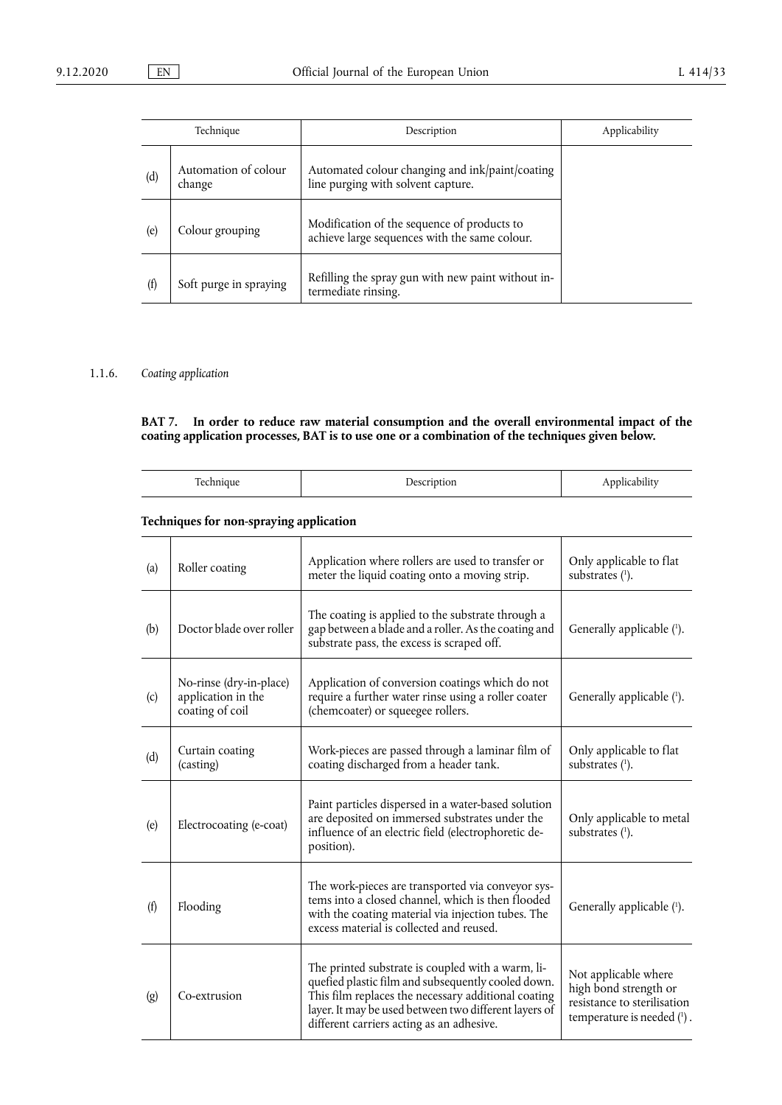| Technique |                                | Description                                                                                  | Applicability |
|-----------|--------------------------------|----------------------------------------------------------------------------------------------|---------------|
| (d)       | Automation of colour<br>change | Automated colour changing and ink/paint/coating<br>line purging with solvent capture.        |               |
| (e)       | Colour grouping                | Modification of the sequence of products to<br>achieve large sequences with the same colour. |               |
| (f)       | Soft purge in spraying         | Refilling the spray gun with new paint without in-<br>termediate rinsing.                    |               |

## 1.1.6. *Coating application*

l,

**BAT 7. In order to reduce raw material consumption and the overall environmental impact of the coating application processes, BAT is to use one or a combination of the techniques given below.** 

| m<br>------- | $- - - - -$ | . .<br>$\mathbf{r}$ |
|--------------|-------------|---------------------|

## **Techniques for non-spraying application**

<span id="page-14-0"></span>

| (a) | Roller coating                                                   | Application where rollers are used to transfer or<br>meter the liquid coating onto a moving strip.                                                                                                                                                                   | Only applicable to flat<br>substrates $(1)$ .                                                              |
|-----|------------------------------------------------------------------|----------------------------------------------------------------------------------------------------------------------------------------------------------------------------------------------------------------------------------------------------------------------|------------------------------------------------------------------------------------------------------------|
| (b) | Doctor blade over roller                                         | The coating is applied to the substrate through a<br>gap between a blade and a roller. As the coating and<br>substrate pass, the excess is scraped off.                                                                                                              | Generally applicable (1).                                                                                  |
| (c) | No-rinse (dry-in-place)<br>application in the<br>coating of coil | Application of conversion coatings which do not<br>require a further water rinse using a roller coater<br>(chemcoater) or squeegee rollers.                                                                                                                          | Generally applicable (1).                                                                                  |
| (d) | Curtain coating<br>(casting)                                     | Work-pieces are passed through a laminar film of<br>coating discharged from a header tank.                                                                                                                                                                           | Only applicable to flat<br>substrates $(1)$ .                                                              |
| (e) | Electrocoating (e-coat)                                          | Paint particles dispersed in a water-based solution<br>are deposited on immersed substrates under the<br>influence of an electric field (electrophoretic de-<br>position).                                                                                           | Only applicable to metal<br>substrates (1).                                                                |
| (f) | Flooding                                                         | The work-pieces are transported via conveyor sys-<br>tems into a closed channel, which is then flooded<br>with the coating material via injection tubes. The<br>excess material is collected and reused.                                                             | Generally applicable (1).                                                                                  |
| (g) | Co-extrusion                                                     | The printed substrate is coupled with a warm, li-<br>quefied plastic film and subsequently cooled down.<br>This film replaces the necessary additional coating<br>layer. It may be used between two different layers of<br>different carriers acting as an adhesive. | Not applicable where<br>high bond strength or<br>resistance to sterilisation<br>temperature is needed (1). |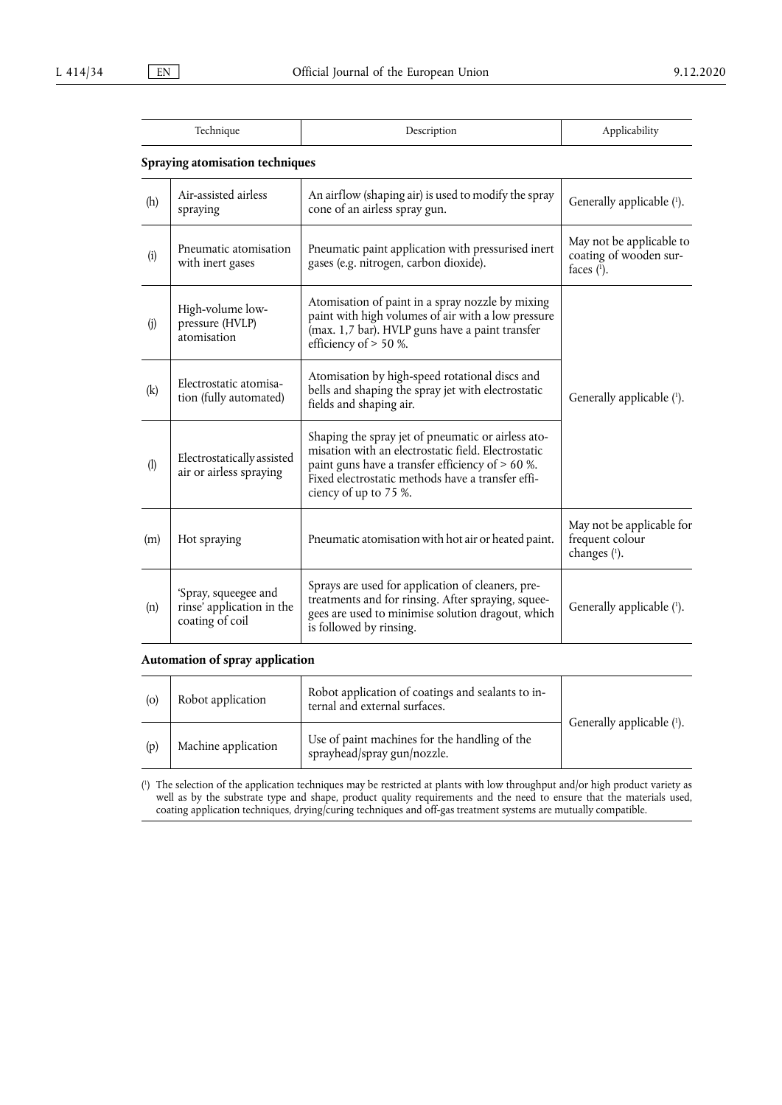| l'echnique | Description          |
|------------|----------------------|
|            | <b>Applicability</b> |
|            |                      |

## **Spraying atomisation techniques**

| (h) | Air-assisted airless<br>spraying                                     | An airflow (shaping air) is used to modify the spray<br>cone of an airless spray gun.                                                                                                                                                         | Generally applicable (1).                                           |
|-----|----------------------------------------------------------------------|-----------------------------------------------------------------------------------------------------------------------------------------------------------------------------------------------------------------------------------------------|---------------------------------------------------------------------|
| (i) | Pneumatic atomisation<br>with inert gases                            | Pneumatic paint application with pressurised inert<br>gases (e.g. nitrogen, carbon dioxide).                                                                                                                                                  | May not be applicable to<br>coating of wooden sur-<br>faces $(1)$ . |
| (j) | High-volume low-<br>pressure (HVLP)<br>atomisation                   | Atomisation of paint in a spray nozzle by mixing<br>paint with high volumes of air with a low pressure<br>(max. 1,7 bar). HVLP guns have a paint transfer<br>efficiency of > 50 %.                                                            |                                                                     |
| (k) | Electrostatic atomisa-<br>tion (fully automated)                     | Atomisation by high-speed rotational discs and<br>bells and shaping the spray jet with electrostatic<br>fields and shaping air.                                                                                                               | Generally applicable (1).                                           |
| (1) | Electrostatically assisted<br>air or airless spraying                | Shaping the spray jet of pneumatic or airless ato-<br>misation with an electrostatic field. Electrostatic<br>paint guns have a transfer efficiency of $> 60$ %.<br>Fixed electrostatic methods have a transfer effi-<br>ciency of up to 75 %. |                                                                     |
| (m) | Hot spraying                                                         | Pneumatic atomisation with hot air or heated paint.                                                                                                                                                                                           | May not be applicable for<br>frequent colour<br>changes (1).        |
| (n) | 'Spray, squeegee and<br>rinse' application in the<br>coating of coil | Sprays are used for application of cleaners, pre-<br>treatments and for rinsing. After spraying, squee-<br>gees are used to minimise solution dragout, which<br>is followed by rinsing.                                                       | Generally applicable (1).                                           |

## **Automation of spray application**

| (0) | Robot application   | Robot application of coatings and sealants to in-<br>ternal and external surfaces. |                           |
|-----|---------------------|------------------------------------------------------------------------------------|---------------------------|
| (p) | Machine application | Use of paint machines for the handling of the<br>sprayhead/spray gun/nozzle.       | Generally applicable (1). |

<span id="page-15-0"></span>[\(](#page-14-0) 1 ) The selection of the application techniques may be restricted at plants with low throughput and/or high product variety as well as by the substrate type and shape, product quality requirements and the need to ensure that the materials used, coating application techniques, drying/curing techniques and off-gas treatment systems are mutually compatible.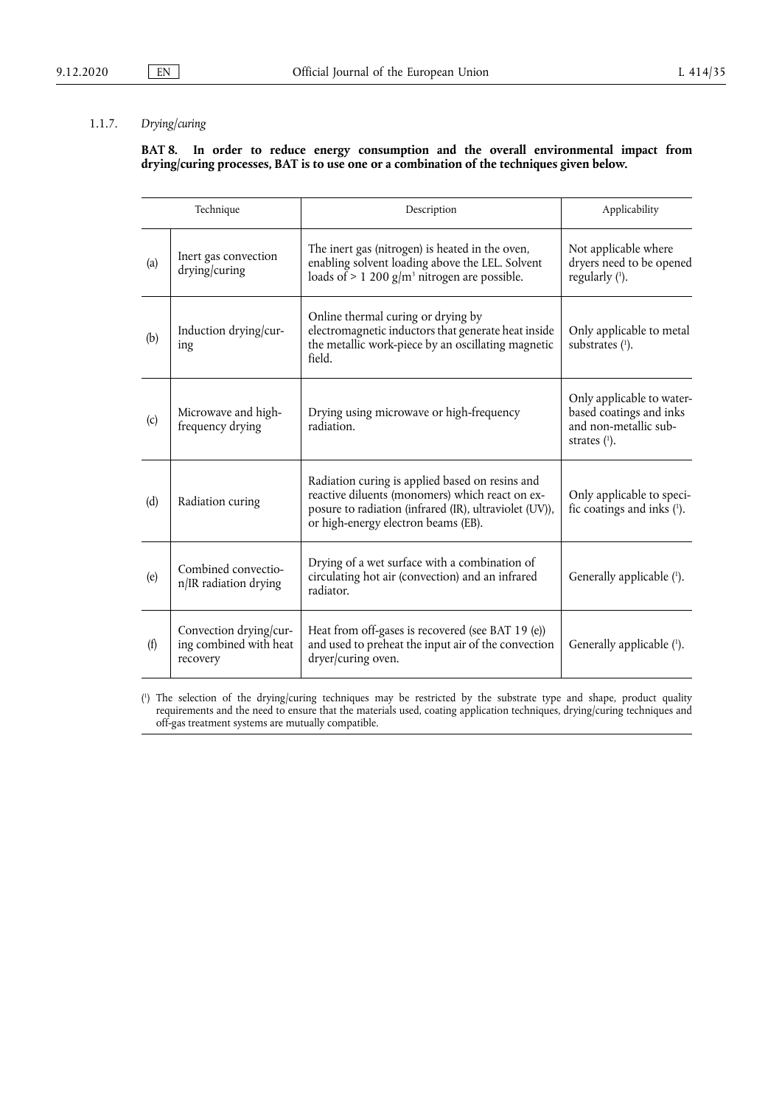## 1.1.7. *Drying/curing*

## **BAT 8. In order to reduce energy consumption and the overall environmental impact from drying/curing processes, BAT is to use one or a combination of the techniques given below.**

|     | Technique                                                    | Description                                                                                                                                                                                         | Applicability                                                                                    |
|-----|--------------------------------------------------------------|-----------------------------------------------------------------------------------------------------------------------------------------------------------------------------------------------------|--------------------------------------------------------------------------------------------------|
| (a) | Inert gas convection<br>drying/curing                        | The inert gas (nitrogen) is heated in the oven,<br>enabling solvent loading above the LEL. Solvent<br>loads of $> 1$ 200 g/m <sup>3</sup> nitrogen are possible.                                    | Not applicable where<br>dryers need to be opened<br>regularly (1).                               |
| (b) | Induction drying/cur-<br>ing                                 | Online thermal curing or drying by<br>electromagnetic inductors that generate heat inside<br>the metallic work-piece by an oscillating magnetic<br>field.                                           | Only applicable to metal<br>substrates (1).                                                      |
| (c) | Microwave and high-<br>frequency drying                      | Drying using microwave or high-frequency<br>radiation.                                                                                                                                              | Only applicable to water-<br>based coatings and inks<br>and non-metallic sub-<br>strates $(1)$ . |
| (d) | Radiation curing                                             | Radiation curing is applied based on resins and<br>reactive diluents (monomers) which react on ex-<br>posure to radiation (infrared (IR), ultraviolet (UV)),<br>or high-energy electron beams (EB). | Only applicable to speci-<br>fic coatings and inks $(1)$ .                                       |
| (e) | Combined convectio-<br>n/IR radiation drying                 | Drying of a wet surface with a combination of<br>circulating hot air (convection) and an infrared<br>radiator.                                                                                      | Generally applicable (1).                                                                        |
| (f) | Convection drying/cur-<br>ing combined with heat<br>recovery | Heat from off-gases is recovered (see BAT 19 (e))<br>and used to preheat the input air of the convection<br>dryer/curing oven.                                                                      | Generally applicable (1).                                                                        |

<span id="page-16-1"></span><span id="page-16-0"></span>[\(](#page-16-1) 1 ) The selection of the drying/curing techniques may be restricted by the substrate type and shape, product quality requirements and the need to ensure that the materials used, coating application techniques, drying/curing techniques and off-gas treatment systems are mutually compatible.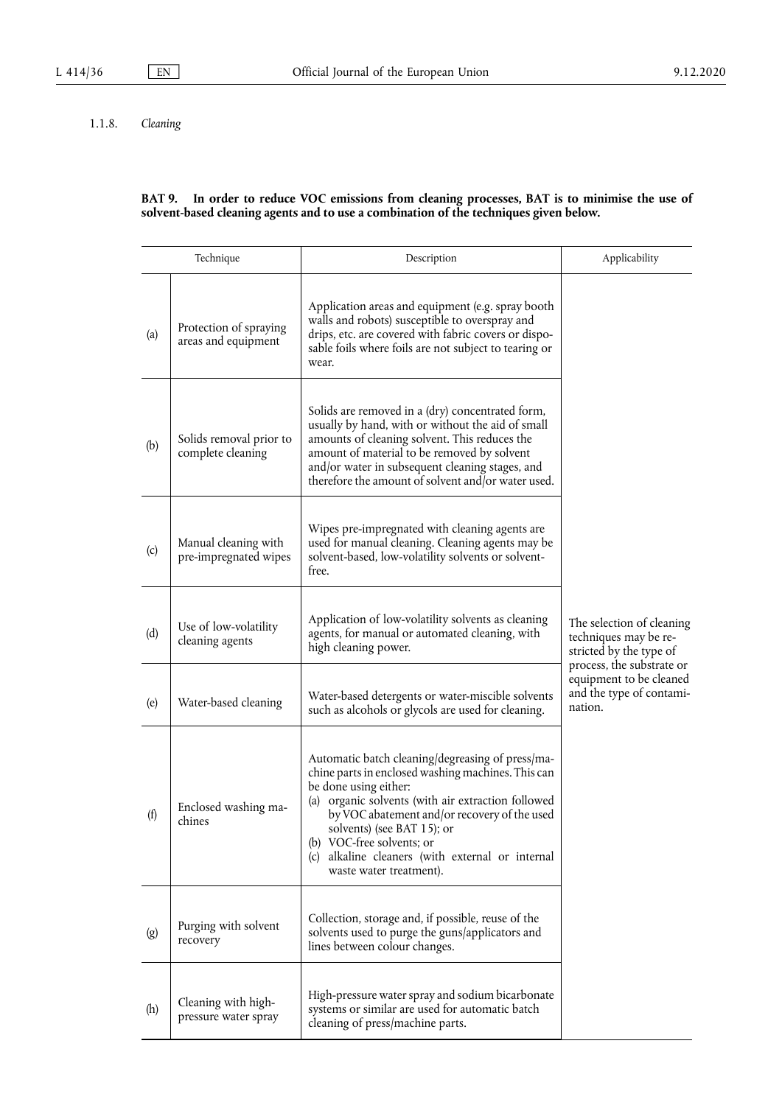## 1.1.8. *Cleaning*

#### **BAT 9. In order to reduce VOC emissions from cleaning processes, BAT is to minimise the use of solvent-based cleaning agents and to use a combination of the techniques given below.**

| Technique |                                               | Description                                                                                                                                                                                                                                                                                                                                                                     | Applicability                                                                                              |
|-----------|-----------------------------------------------|---------------------------------------------------------------------------------------------------------------------------------------------------------------------------------------------------------------------------------------------------------------------------------------------------------------------------------------------------------------------------------|------------------------------------------------------------------------------------------------------------|
| (a)       | Protection of spraying<br>areas and equipment | Application areas and equipment (e.g. spray booth<br>walls and robots) susceptible to overspray and<br>drips, etc. are covered with fabric covers or dispo-<br>sable foils where foils are not subject to tearing or<br>wear.                                                                                                                                                   |                                                                                                            |
| (b)       | Solids removal prior to<br>complete cleaning  | Solids are removed in a (dry) concentrated form,<br>usually by hand, with or without the aid of small<br>amounts of cleaning solvent. This reduces the<br>amount of material to be removed by solvent<br>and/or water in subsequent cleaning stages, and<br>therefore the amount of solvent and/or water used.                                                                  |                                                                                                            |
| (c)       | Manual cleaning with<br>pre-impregnated wipes | Wipes pre-impregnated with cleaning agents are<br>used for manual cleaning. Cleaning agents may be<br>solvent-based, low-volatility solvents or solvent-<br>free.                                                                                                                                                                                                               |                                                                                                            |
| (d)       | Use of low-volatility<br>cleaning agents      | Application of low-volatility solvents as cleaning<br>agents, for manual or automated cleaning, with<br>high cleaning power.                                                                                                                                                                                                                                                    | The selection of cleaning<br>techniques may be re-<br>stricted by the type of<br>process, the substrate or |
| (e)       | Water-based cleaning                          | Water-based detergents or water-miscible solvents<br>such as alcohols or glycols are used for cleaning.                                                                                                                                                                                                                                                                         | equipment to be cleaned<br>and the type of contami-<br>nation.                                             |
| (f)       | Enclosed washing ma-<br>chines                | Automatic batch cleaning/degreasing of press/ma-<br>chine parts in enclosed washing machines. This can<br>be done using either:<br>(a) organic solvents (with air extraction followed<br>by VOC abatement and/or recovery of the used<br>solvents) (see BAT 15); or<br>(b) VOC-free solvents; or<br>(c) alkaline cleaners (with external or internal<br>waste water treatment). |                                                                                                            |
| (g)       | Purging with solvent<br>recovery              | Collection, storage and, if possible, reuse of the<br>solvents used to purge the guns/applicators and<br>lines between colour changes.                                                                                                                                                                                                                                          |                                                                                                            |
| (h)       | Cleaning with high-<br>pressure water spray   | High-pressure water spray and sodium bicarbonate<br>systems or similar are used for automatic batch<br>cleaning of press/machine parts.                                                                                                                                                                                                                                         |                                                                                                            |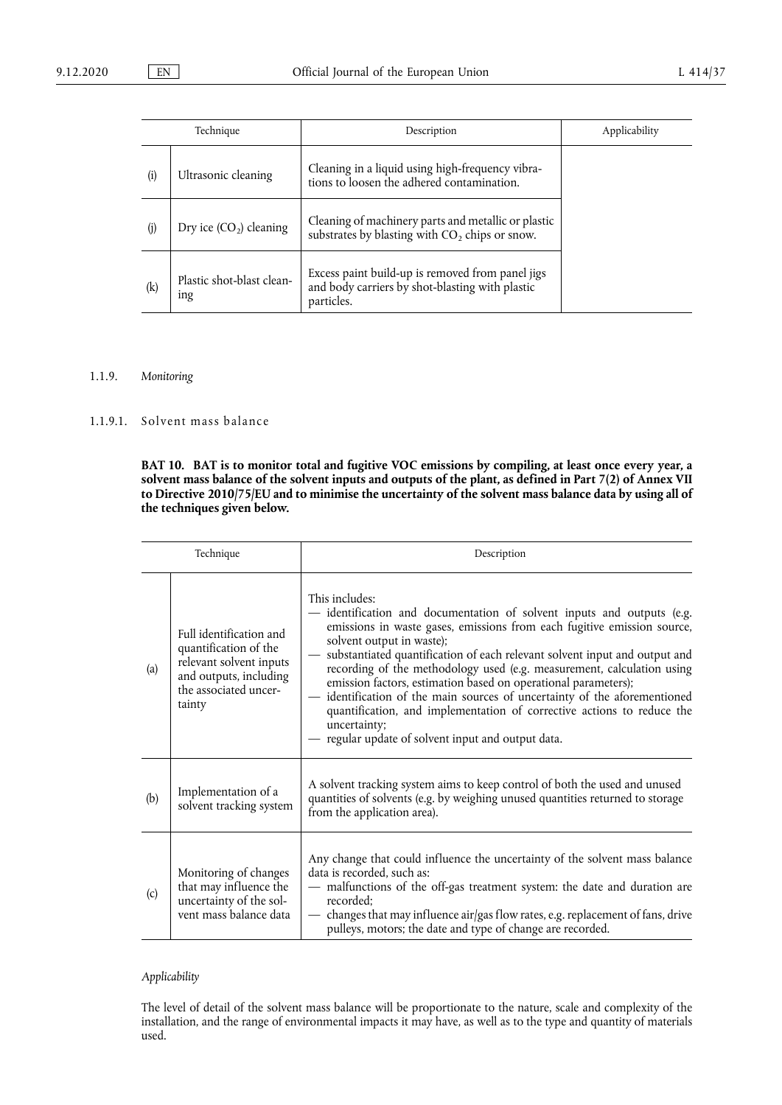| Technique |                                              | Description                                                                                                       | Applicability |
|-----------|----------------------------------------------|-------------------------------------------------------------------------------------------------------------------|---------------|
| (i)       | Ultrasonic cleaning                          | Cleaning in a liquid using high-frequency vibra-<br>tions to loosen the adhered contamination.                    |               |
| (i)       | Dry ice $(CO_2)$ cleaning                    | Cleaning of machinery parts and metallic or plastic<br>substrates by blasting with $CO2$ chips or snow.           |               |
| (k)       | Plastic shot-blast clean-<br><sub>1</sub> ng | Excess paint build-up is removed from panel jigs<br>and body carriers by shot-blasting with plastic<br>particles. |               |

## 1.1.9. *Monitoring*

## 1.1.9.1. Solvent mass balance

**BAT 10. BAT is to monitor total and fugitive VOC emissions by compiling, at least once every year, a solvent mass balance of the solvent inputs and outputs of the plant, as defined in Part 7(2) of Annex VII to Directive 2010/75/EU and to minimise the uncertainty of the solvent mass balance data by using all of the techniques given below.** 

| Technique |                                                                                                                                          | Description                                                                                                                                                                                                                                                                                                                                                                                                                                                                                                                                                                                                                                             |
|-----------|------------------------------------------------------------------------------------------------------------------------------------------|---------------------------------------------------------------------------------------------------------------------------------------------------------------------------------------------------------------------------------------------------------------------------------------------------------------------------------------------------------------------------------------------------------------------------------------------------------------------------------------------------------------------------------------------------------------------------------------------------------------------------------------------------------|
| (a)       | Full identification and<br>quantification of the<br>relevant solvent inputs<br>and outputs, including<br>the associated uncer-<br>tainty | This includes:<br>- identification and documentation of solvent inputs and outputs (e.g.<br>emissions in waste gases, emissions from each fugitive emission source,<br>solvent output in waste);<br>- substantiated quantification of each relevant solvent input and output and<br>recording of the methodology used (e.g. measurement, calculation using<br>emission factors, estimation based on operational parameters);<br>- identification of the main sources of uncertainty of the aforementioned<br>quantification, and implementation of corrective actions to reduce the<br>uncertainty;<br>regular update of solvent input and output data. |
| (b)       | Implementation of a<br>solvent tracking system                                                                                           | A solvent tracking system aims to keep control of both the used and unused<br>quantities of solvents (e.g. by weighing unused quantities returned to storage<br>from the application area).                                                                                                                                                                                                                                                                                                                                                                                                                                                             |
| (c)       | Monitoring of changes<br>that may influence the<br>uncertainty of the sol-<br>vent mass balance data                                     | Any change that could influence the uncertainty of the solvent mass balance<br>data is recorded, such as:<br>- malfunctions of the off-gas treatment system: the date and duration are<br>recorded:<br>— changes that may influence air/gas flow rates, e.g. replacement of fans, drive<br>pulleys, motors; the date and type of change are recorded.                                                                                                                                                                                                                                                                                                   |

## *Applicability*

The level of detail of the solvent mass balance will be proportionate to the nature, scale and complexity of the installation, and the range of environmental impacts it may have, as well as to the type and quantity of materials used.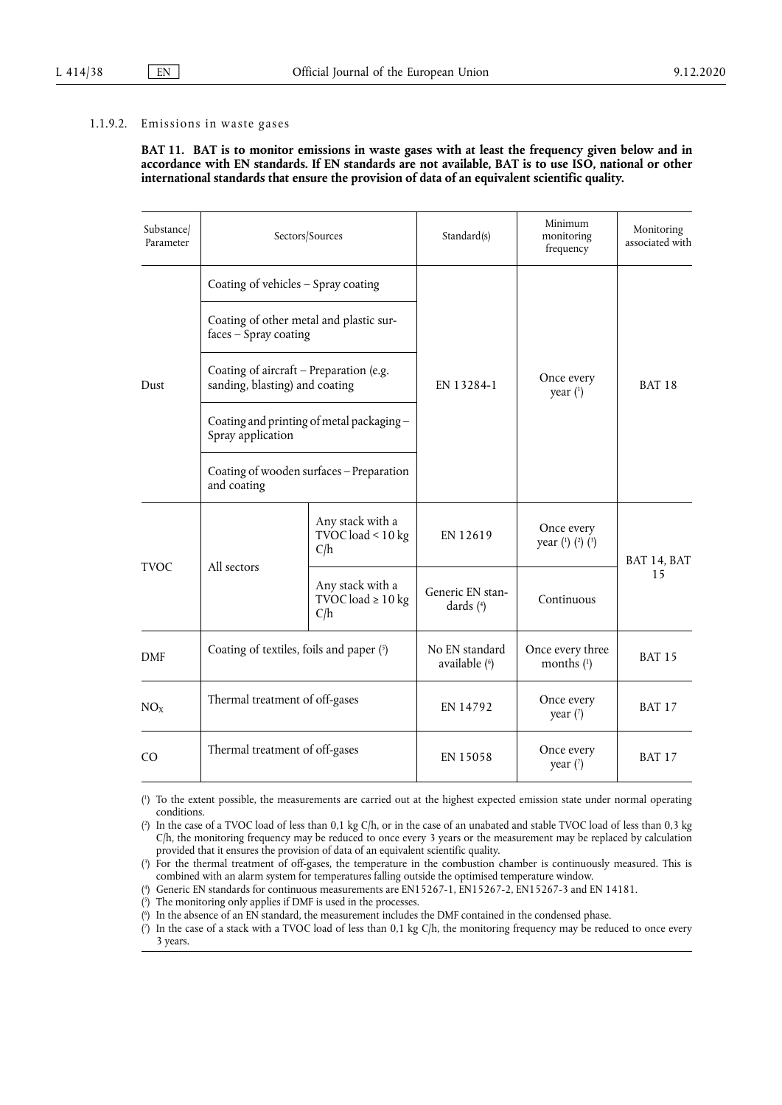#### 1.1.9.2. Emissions in waste gases

**BAT 11. BAT is to monitor emissions in waste gases with at least the frequency given below and in accordance with EN standards. If EN standards are not available, BAT is to use ISO, national or other international standards that ensure the provision of data of an equivalent scientific quality.** 

| Substance/<br>Parameter | Sectors/Sources                                                           |                                                | Standard(s)                     | Minimum<br>monitoring<br>frequency            | Monitoring<br>associated with |
|-------------------------|---------------------------------------------------------------------------|------------------------------------------------|---------------------------------|-----------------------------------------------|-------------------------------|
|                         | Coating of vehicles - Spray coating                                       |                                                |                                 |                                               | <b>BAT 18</b>                 |
|                         | Coating of other metal and plastic sur-<br>faces - Spray coating          |                                                | EN 13284-1                      | Once every<br>year $(1)$                      |                               |
| Dust                    | Coating of aircraft - Preparation (e.g.<br>sanding, blasting) and coating |                                                |                                 |                                               |                               |
|                         | Coating and printing of metal packaging-<br>Spray application             |                                                |                                 |                                               |                               |
|                         | Coating of wooden surfaces - Preparation<br>and coating                   |                                                |                                 |                                               |                               |
|                         |                                                                           | Any stack with a<br>TVOC load < $10$ kg<br>C/h | EN 12619                        | Once every<br>year $(^{1})$ $(^{2})$ $(^{3})$ | BAT 14, BAT                   |
| <b>TVOC</b>             | All sectors<br>Any stack with a<br>TVOC load $\geq 10$ kg<br>C/h          |                                                | Generic EN stan-<br>dards $(4)$ | Continuous                                    | 15                            |
| <b>DMF</b>              | Coating of textiles, foils and paper (5)                                  |                                                | No EN standard<br>available (6) | Once every three<br>months $(1)$              | <b>BAT 15</b>                 |
| NO <sub>X</sub>         | Thermal treatment of off-gases                                            |                                                | EN 14792                        | Once every<br>year $(7)$                      | <b>BAT 17</b>                 |
| CO                      | Thermal treatment of off-gases                                            |                                                | EN 15058                        | Once every<br>year $(7)$                      | <b>BAT 17</b>                 |

<span id="page-19-12"></span><span id="page-19-11"></span><span id="page-19-10"></span><span id="page-19-9"></span><span id="page-19-8"></span><span id="page-19-7"></span><span id="page-19-0"></span>[\(](#page-19-7) 1 ) To the extent possible, the measurements are carried out at the highest expected emission state under normal operating conditions.

<span id="page-19-1"></span> $($ <sup>2</sup> ) In the case of a TVOC load of less than 0,1 kg C/h, or in the case of an unabated and stable TVOC load of less than 0,3 kg C/h, the monitoring frequency may be reduced to once every 3 years or the measurement may be replaced by calculation provided that it ensures the provision of data of an equivalent scientific quality.

<span id="page-19-2"></span>[\(](#page-19-8) 3 ) For the thermal treatment of off-gases, the temperature in the combustion chamber is continuously measured. This is combined with an alarm system for temperatures falling outside the optimised temperature window.

<span id="page-19-3"></span>[\(](#page-19-9) 4 ) Generic EN standards for continuous measurements are EN15267-1, EN15267-2, EN15267-3 and EN 14181.

<span id="page-19-4"></span>[\(](#page-19-10) 5 ) The monitoring only applies if DMF is used in the processes.

<span id="page-19-5"></span>[\(](#page-19-11) 6 ) In the absence of an EN standard, the measurement includes the DMF contained in the condensed phase.

<span id="page-19-6"></span> $($ <sup>7</sup> ) In the case of a stack with a TVOC load of less than 0,1 kg C/h, the monitoring frequency may be reduced to once every 3 years.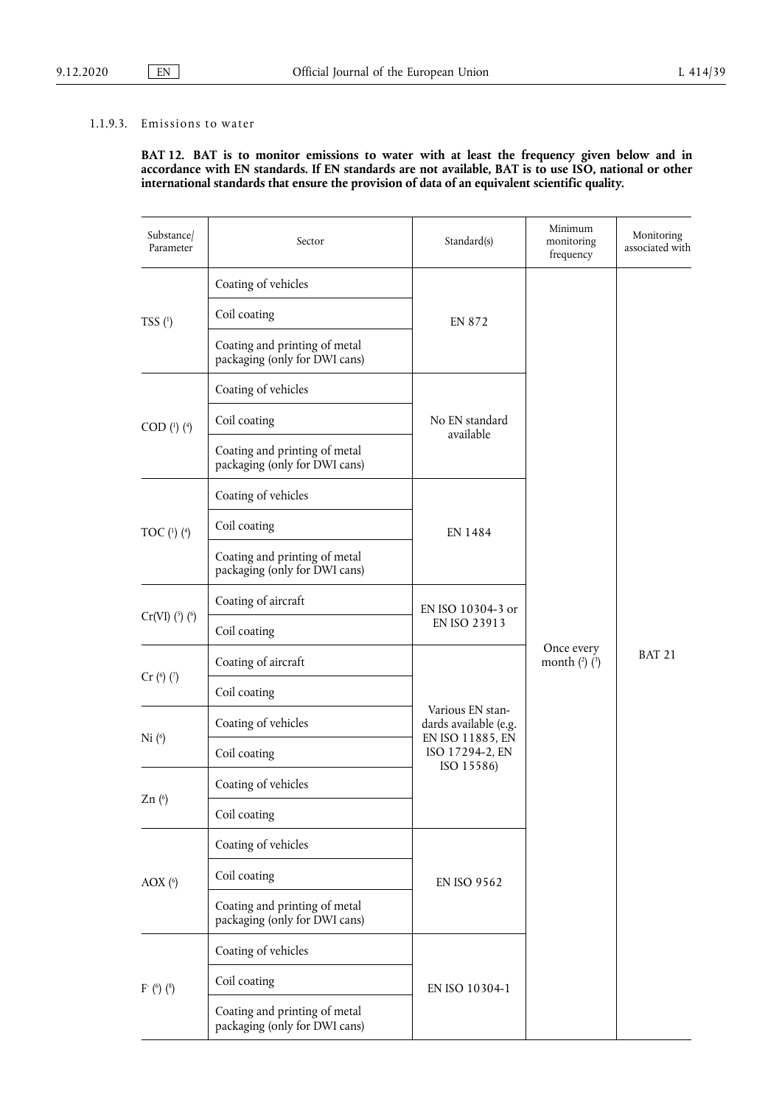## 1.1.9.3. Emissions to water

**BAT 12. BAT is to monitor emissions to water with at least the frequency given below and in accordance with EN standards. If EN standards are not available, BAT is to use ISO, national or other international standards that ensure the provision of data of an equivalent scientific quality.** 

<span id="page-20-4"></span><span id="page-20-3"></span><span id="page-20-2"></span><span id="page-20-1"></span><span id="page-20-0"></span>

| Substance/<br>Parameter  | Sector                                                         | Standard(s)                 | Minimum<br>monitoring<br>frequency                                                                                                                                       | Monitoring<br>associated with |
|--------------------------|----------------------------------------------------------------|-----------------------------|--------------------------------------------------------------------------------------------------------------------------------------------------------------------------|-------------------------------|
| TSS(1)                   | Coating of vehicles                                            |                             |                                                                                                                                                                          |                               |
|                          | Coil coating                                                   | EN 872                      |                                                                                                                                                                          |                               |
|                          | Coating and printing of metal<br>packaging (only for DWI cans) |                             |                                                                                                                                                                          |                               |
|                          | Coating of vehicles                                            |                             |                                                                                                                                                                          |                               |
| $COD$ (1) (4)            | Coil coating                                                   | No EN standard<br>available |                                                                                                                                                                          |                               |
|                          | Coating and printing of metal<br>packaging (only for DWI cans) |                             |                                                                                                                                                                          |                               |
|                          | Coating of vehicles                                            |                             |                                                                                                                                                                          |                               |
| TOC $(^{1})$ $(^{4})$    | Coil coating                                                   | EN 1484                     |                                                                                                                                                                          | <b>BAT 21</b>                 |
|                          | Coating and printing of metal<br>packaging (only for DWI cans) |                             |                                                                                                                                                                          |                               |
|                          | Coating of aircraft                                            |                             | EN ISO 10304-3 or<br>EN ISO 23913<br>Once every<br>month $(^2)$ $(^3)$<br>Various EN stan-<br>dards available (e.g.<br>EN ISO 11885, EN<br>ISO 17294-2, EN<br>ISO 15586) |                               |
| $Cr(VI)$ (5) (6)         | Coil coating                                                   |                             |                                                                                                                                                                          |                               |
|                          | Coating of aircraft                                            |                             |                                                                                                                                                                          |                               |
| $Cr$ ( $\binom{6}{7}$ )  | Coil coating                                                   |                             |                                                                                                                                                                          |                               |
|                          | Coating of vehicles                                            |                             |                                                                                                                                                                          |                               |
| Ni <sup>(6)</sup>        | Coil coating                                                   |                             |                                                                                                                                                                          |                               |
|                          | Coating of vehicles                                            |                             |                                                                                                                                                                          |                               |
| Zn(6)                    | Coil coating                                                   |                             |                                                                                                                                                                          |                               |
|                          | Coating of vehicles                                            |                             |                                                                                                                                                                          |                               |
| AOX $($ <sup>6</sup> $)$ | Coil coating                                                   | <b>EN ISO 9562</b>          |                                                                                                                                                                          |                               |
|                          | Coating and printing of metal<br>packaging (only for DWI cans) |                             |                                                                                                                                                                          |                               |
|                          | Coating of vehicles                                            |                             |                                                                                                                                                                          |                               |
| $F^{\text{-}}$ (6) (8)   | Coil coating                                                   | EN ISO 10304-1              |                                                                                                                                                                          |                               |
|                          | Coating and printing of metal<br>packaging (only for DWI cans) |                             |                                                                                                                                                                          |                               |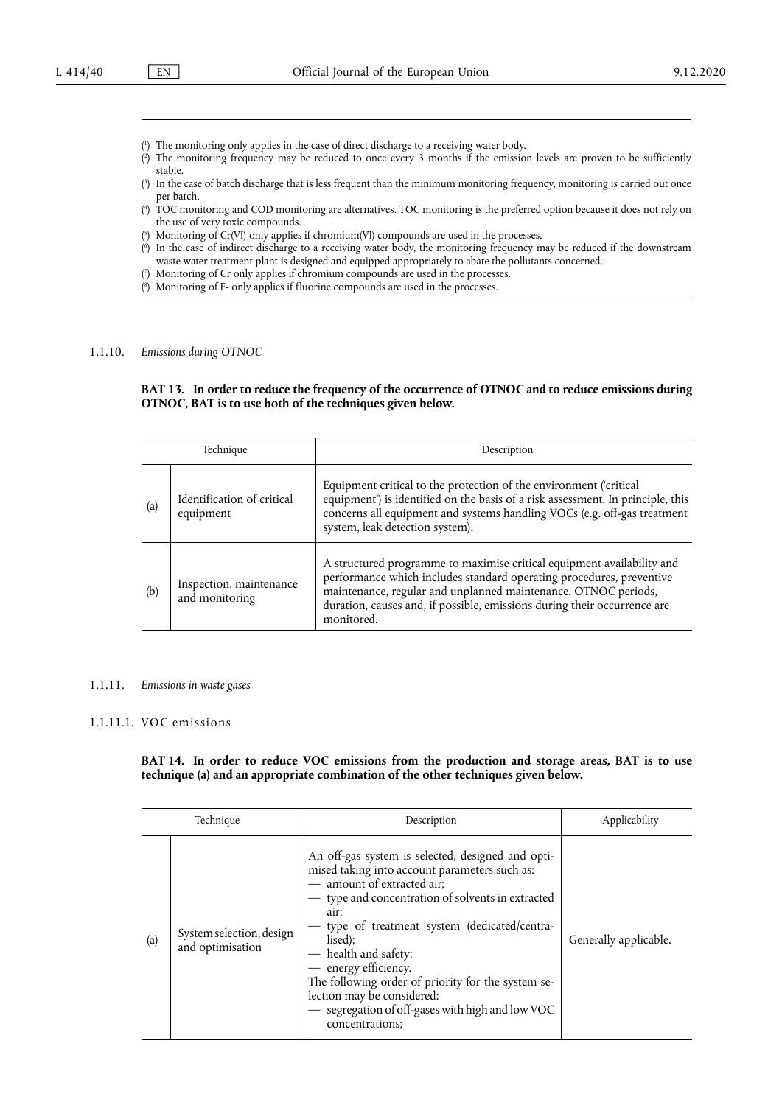- <span id="page-21-0"></span>[\(](#page-20-0) 1 ) The monitoring only applies in the case of direct discharge to a receiving water body.
- <span id="page-21-1"></span>[\(](#page-20-1) 2 ) The monitoring frequency may be reduced to once every 3 months if the emission levels are proven to be sufficiently stable.
- <span id="page-21-2"></span>[\(](#page-20-1) 3 ) In the case of batch discharge that is less frequent than the minimum monitoring frequency, monitoring is carried out once per batch.
- <span id="page-21-3"></span>[\(](#page-20-0) 4 ) TOC monitoring and COD monitoring are alternatives. TOC monitoring is the preferred option because it does not rely on the use of very toxic compounds.
- <span id="page-21-4"></span>[\(](#page-20-2) 5 ) Monitoring of Cr(VI) only applies if chromium(VI) compounds are used in the processes.
- <span id="page-21-5"></span>[\(](#page-20-3) 6 ) In the case of indirect discharge to a receiving water body, the monitoring frequency may be reduced if the downstream waste water treatment plant is designed and equipped appropriately to abate the pollutants concerned.
- <span id="page-21-6"></span>[\(](#page-20-4) 7 ) Monitoring of Cr only applies if chromium compounds are used in the processes.
- <span id="page-21-7"></span>[\(](#page-20-3) 8 ) Monitoring of F- only applies if fluorine compounds are used in the processes.

#### 1.1.10. *Emissions during OTNOC*

#### **BAT 13. In order to reduce the frequency of the occurrence of OTNOC and to reduce emissions during OTNOC, BAT is to use both of the techniques given below.**

| Technique |                                           | Description                                                                                                                                                                                                                                                                                                |  |
|-----------|-------------------------------------------|------------------------------------------------------------------------------------------------------------------------------------------------------------------------------------------------------------------------------------------------------------------------------------------------------------|--|
| (a)       | Identification of critical<br>equipment   | Equipment critical to the protection of the environment ('critical<br>equipment') is identified on the basis of a risk assessment. In principle, this<br>concerns all equipment and systems handling VOCs (e.g. off-gas treatment<br>system, leak detection system).                                       |  |
| (b)       | Inspection, maintenance<br>and monitoring | A structured programme to maximise critical equipment availability and<br>performance which includes standard operating procedures, preventive<br>maintenance, regular and unplanned maintenance. OTNOC periods,<br>duration, causes and, if possible, emissions during their occurrence are<br>monitored. |  |

#### 1.1.11. *Emissions in waste gases*

#### 1.1.11.1. VOC emissions

## **BAT 14. In order to reduce VOC emissions from the production and storage areas, BAT is to use technique (a) and an appropriate combination of the other techniques given below.**

| Technique |                                              | Description                                                                                                                                                                                                                                                                                                                                                                                                                                                          | Applicability         |
|-----------|----------------------------------------------|----------------------------------------------------------------------------------------------------------------------------------------------------------------------------------------------------------------------------------------------------------------------------------------------------------------------------------------------------------------------------------------------------------------------------------------------------------------------|-----------------------|
| (a)       | System selection, design<br>and optimisation | An off-gas system is selected, designed and opti-<br>mised taking into account parameters such as:<br>- amount of extracted air;<br>- type and concentration of solvents in extracted<br>air;<br>- type of treatment system (dedicated/centra-<br>lised):<br>- health and safety;<br>- energy efficiency.<br>The following order of priority for the system se-<br>lection may be considered:<br>- segregation of off-gases with high and low VOC<br>concentrations; | Generally applicable. |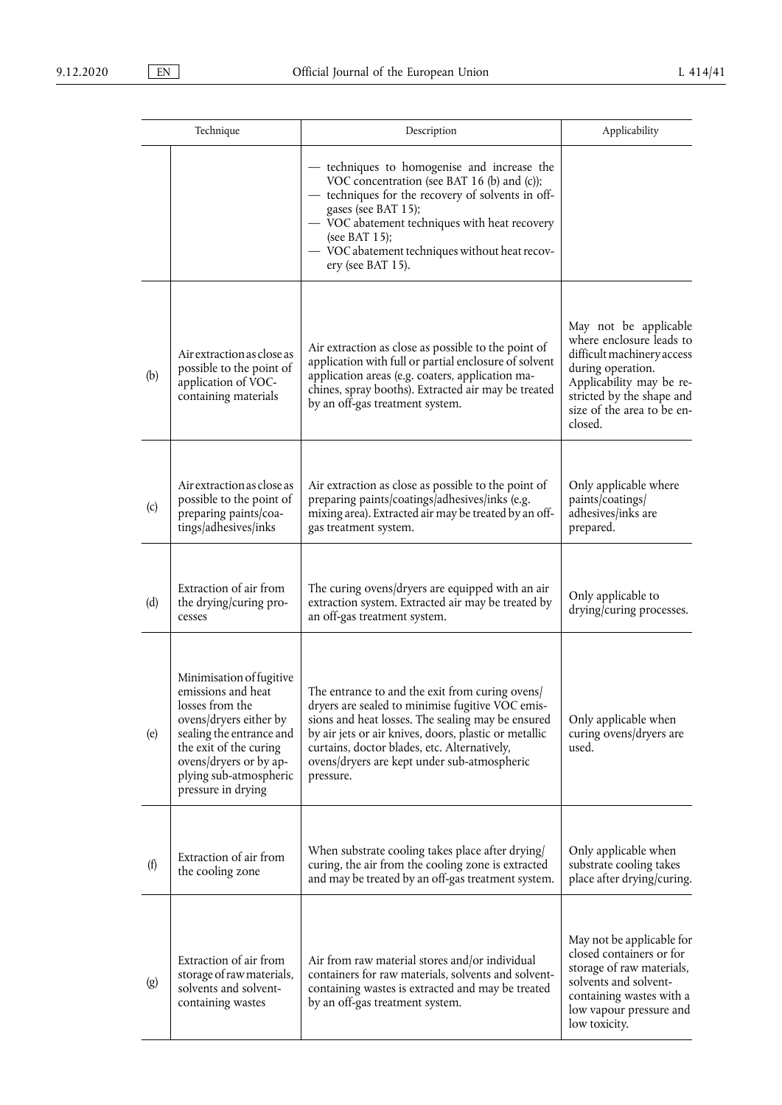| Technique |                                                                                                                                                                                                                             | Description                                                                                                                                                                                                                                                                                                                   | Applicability                                                                                                                                                                                          |
|-----------|-----------------------------------------------------------------------------------------------------------------------------------------------------------------------------------------------------------------------------|-------------------------------------------------------------------------------------------------------------------------------------------------------------------------------------------------------------------------------------------------------------------------------------------------------------------------------|--------------------------------------------------------------------------------------------------------------------------------------------------------------------------------------------------------|
|           |                                                                                                                                                                                                                             | - techniques to homogenise and increase the<br>VOC concentration (see BAT 16 (b) and (c));<br>- techniques for the recovery of solvents in off-<br>gases (see BAT 15);<br>- VOC abatement techniques with heat recovery<br>(see BAT $15$ );<br>- VOC abatement techniques without heat recov-<br>ery (see BAT 15).            |                                                                                                                                                                                                        |
| (b)       | Air extraction as close as<br>possible to the point of<br>application of VOC-<br>containing materials                                                                                                                       | Air extraction as close as possible to the point of<br>application with full or partial enclosure of solvent<br>application areas (e.g. coaters, application ma-<br>chines, spray booths). Extracted air may be treated<br>by an off-gas treatment system.                                                                    | May not be applicable<br>where enclosure leads to<br>difficult machinery access<br>during operation.<br>Applicability may be re-<br>stricted by the shape and<br>size of the area to be en-<br>closed. |
| (c)       | Air extraction as close as<br>possible to the point of<br>preparing paints/coa-<br>tings/adhesives/inks                                                                                                                     | Air extraction as close as possible to the point of<br>preparing paints/coatings/adhesives/inks (e.g.<br>mixing area). Extracted air may be treated by an off-<br>gas treatment system.                                                                                                                                       | Only applicable where<br>paints/coatings/<br>adhesives/inks are<br>prepared.                                                                                                                           |
| (d)       | Extraction of air from<br>the drying/curing pro-<br>cesses                                                                                                                                                                  | The curing ovens/dryers are equipped with an air<br>extraction system. Extracted air may be treated by<br>an off-gas treatment system.                                                                                                                                                                                        | Only applicable to<br>drying/curing processes.                                                                                                                                                         |
| (e)       | Minimisation of fugitive<br>emissions and heat<br>losses from the<br>ovens/dryers either by<br>sealing the entrance and<br>the exit of the curing<br>ovens/dryers or by ap-<br>plying sub-atmospheric<br>pressure in drying | The entrance to and the exit from curing ovens/<br>dryers are sealed to minimise fugitive VOC emis-<br>sions and heat losses. The sealing may be ensured<br>by air jets or air knives, doors, plastic or metallic<br>curtains, doctor blades, etc. Alternatively,<br>ovens/dryers are kept under sub-atmospheric<br>pressure. | Only applicable when<br>curing ovens/dryers are<br>used.                                                                                                                                               |
| (f)       | Extraction of air from<br>the cooling zone                                                                                                                                                                                  | When substrate cooling takes place after drying/<br>curing, the air from the cooling zone is extracted<br>and may be treated by an off-gas treatment system.                                                                                                                                                                  | Only applicable when<br>substrate cooling takes<br>place after drying/curing.                                                                                                                          |
| (g)       | Extraction of air from<br>storage of raw materials,<br>solvents and solvent-<br>containing wastes                                                                                                                           | Air from raw material stores and/or individual<br>containers for raw materials, solvents and solvent-<br>containing wastes is extracted and may be treated<br>by an off-gas treatment system.                                                                                                                                 | May not be applicable for<br>closed containers or for<br>storage of raw materials,<br>solvents and solvent-<br>containing wastes with a<br>low vapour pressure and<br>low toxicity.                    |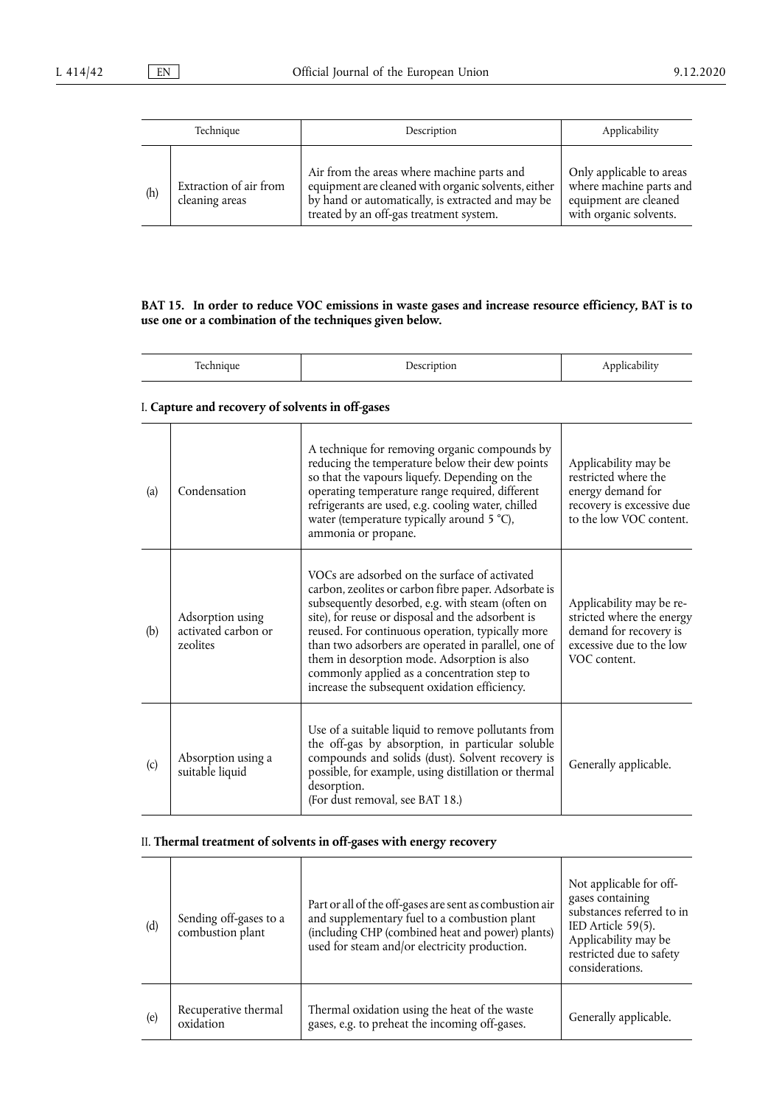| Technique |                                          | Description                                                                                                                                                                                       | Applicability                                                                                          |
|-----------|------------------------------------------|---------------------------------------------------------------------------------------------------------------------------------------------------------------------------------------------------|--------------------------------------------------------------------------------------------------------|
| (h)       | Extraction of air from<br>cleaning areas | Air from the areas where machine parts and<br>equipment are cleaned with organic solvents, either<br>by hand or automatically, is extracted and may be<br>treated by an off-gas treatment system. | Only applicable to areas<br>where machine parts and<br>equipment are cleaned<br>with organic solvents. |

#### **BAT 15. In order to reduce VOC emissions in waste gases and increase resource efficiency, BAT is to use one or a combination of the techniques given below.**

| $\sim$<br>۵۵ | $\lambda$<br>--<br>,,,,, | . . |
|--------------|--------------------------|-----|

# I. **Capture and recovery of solvents in off-gases**

| (a) | Condensation                                        | A technique for removing organic compounds by<br>reducing the temperature below their dew points<br>so that the vapours liquefy. Depending on the<br>operating temperature range required, different<br>refrigerants are used, e.g. cooling water, chilled<br>water (temperature typically around 5 °C),<br>ammonia or propane.                                                                                                                                          | Applicability may be<br>restricted where the<br>energy demand for<br>recovery is excessive due<br>to the low VOC content.   |
|-----|-----------------------------------------------------|--------------------------------------------------------------------------------------------------------------------------------------------------------------------------------------------------------------------------------------------------------------------------------------------------------------------------------------------------------------------------------------------------------------------------------------------------------------------------|-----------------------------------------------------------------------------------------------------------------------------|
| (b) | Adsorption using<br>activated carbon or<br>zeolites | VOCs are adsorbed on the surface of activated<br>carbon, zeolites or carbon fibre paper. Adsorbate is<br>subsequently desorbed, e.g. with steam (often on<br>site), for reuse or disposal and the adsorbent is<br>reused. For continuous operation, typically more<br>than two adsorbers are operated in parallel, one of<br>them in desorption mode. Adsorption is also<br>commonly applied as a concentration step to<br>increase the subsequent oxidation efficiency. | Applicability may be re-<br>stricted where the energy<br>demand for recovery is<br>excessive due to the low<br>VOC content. |
| (c) | Absorption using a<br>suitable liquid               | Use of a suitable liquid to remove pollutants from<br>the off-gas by absorption, in particular soluble<br>compounds and solids (dust). Solvent recovery is<br>possible, for example, using distillation or thermal<br>desorption.<br>(For dust removal, see BAT 18.)                                                                                                                                                                                                     | Generally applicable.                                                                                                       |

## II. **Thermal treatment of solvents in off-gases with energy recovery**

| (d) | Sending off-gases to a<br>combustion plant | Part or all of the off-gases are sent as combustion air<br>and supplementary fuel to a combustion plant<br>(including CHP (combined heat and power) plants)<br>used for steam and/or electricity production. | Not applicable for off-<br>gases containing<br>substances referred to in<br>IED Article 59(5).<br>Applicability may be<br>restricted due to safety<br>considerations. |
|-----|--------------------------------------------|--------------------------------------------------------------------------------------------------------------------------------------------------------------------------------------------------------------|-----------------------------------------------------------------------------------------------------------------------------------------------------------------------|
| (e) | Recuperative thermal<br>oxidation          | Thermal oxidation using the heat of the waste<br>gases, e.g. to preheat the incoming off-gases.                                                                                                              | Generally applicable.                                                                                                                                                 |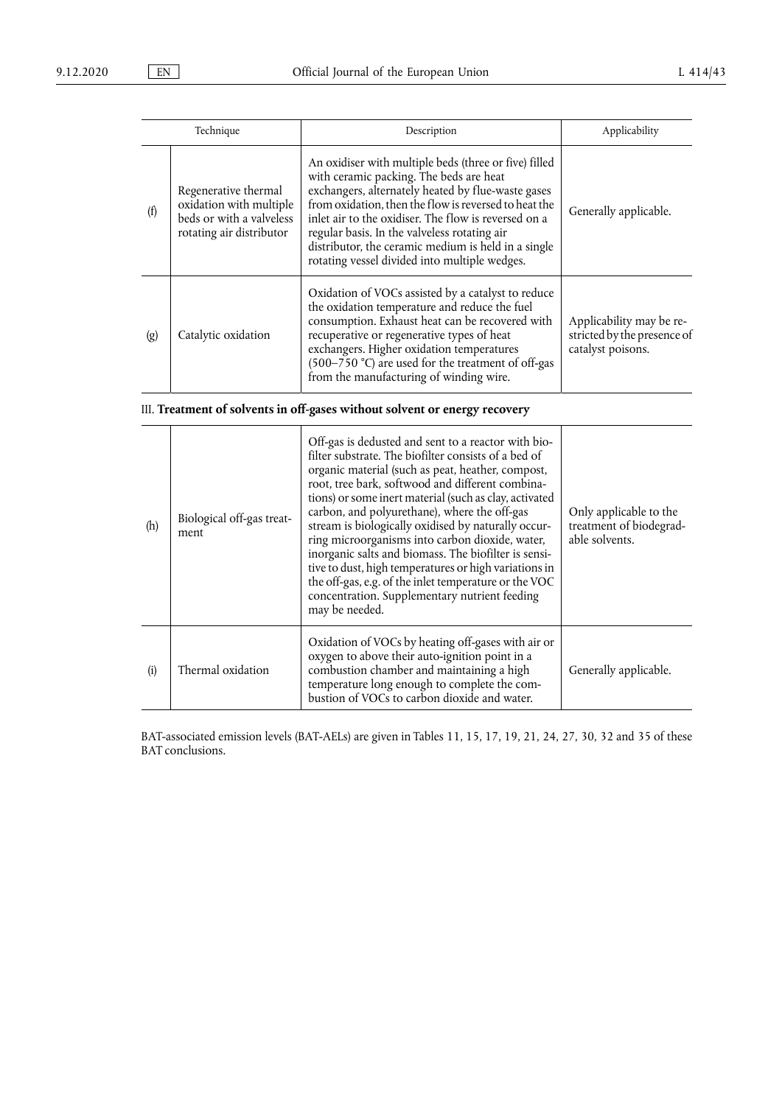| Technique |                                                                                                         | Description                                                                                                                                                                                                                                                                                                                                                                                                                     | Applicability                                                                |
|-----------|---------------------------------------------------------------------------------------------------------|---------------------------------------------------------------------------------------------------------------------------------------------------------------------------------------------------------------------------------------------------------------------------------------------------------------------------------------------------------------------------------------------------------------------------------|------------------------------------------------------------------------------|
| (f)       | Regenerative thermal<br>oxidation with multiple<br>beds or with a valveless<br>rotating air distributor | An oxidiser with multiple beds (three or five) filled<br>with ceramic packing. The beds are heat<br>exchangers, alternately heated by flue-waste gases<br>from oxidation, then the flow is reversed to heat the<br>inlet air to the oxidiser. The flow is reversed on a<br>regular basis. In the valveless rotating air<br>distributor, the ceramic medium is held in a single<br>rotating vessel divided into multiple wedges. | Generally applicable.                                                        |
| (g)       | Catalytic oxidation                                                                                     | Oxidation of VOCs assisted by a catalyst to reduce<br>the oxidation temperature and reduce the fuel<br>consumption. Exhaust heat can be recovered with<br>recuperative or regenerative types of heat<br>exchangers. Higher oxidation temperatures<br>(500–750 °C) are used for the treatment of off-gas<br>from the manufacturing of winding wire.                                                                              | Applicability may be re-<br>stricted by the presence of<br>catalyst poisons. |

III. **Treatment of solvents in off-gases without solvent or energy recovery** 

| (h) | Biological off-gas treat-<br>ment | Off-gas is dedusted and sent to a reactor with bio-<br>filter substrate. The biofilter consists of a bed of<br>organic material (such as peat, heather, compost,<br>root, tree bark, softwood and different combina-<br>tions) or some inert material (such as clay, activated<br>carbon, and polyurethane), where the off-gas<br>stream is biologically oxidised by naturally occur-<br>ring microorganisms into carbon dioxide, water,<br>inorganic salts and biomass. The biofilter is sensi-<br>tive to dust, high temperatures or high variations in<br>the off-gas, e.g. of the inlet temperature or the VOC<br>concentration. Supplementary nutrient feeding<br>may be needed. | Only applicable to the<br>treatment of biodegrad-<br>able solvents. |
|-----|-----------------------------------|---------------------------------------------------------------------------------------------------------------------------------------------------------------------------------------------------------------------------------------------------------------------------------------------------------------------------------------------------------------------------------------------------------------------------------------------------------------------------------------------------------------------------------------------------------------------------------------------------------------------------------------------------------------------------------------|---------------------------------------------------------------------|
| (i) | Thermal oxidation                 | Oxidation of VOCs by heating off-gases with air or<br>oxygen to above their auto-ignition point in a<br>combustion chamber and maintaining a high<br>temperature long enough to complete the com-<br>bustion of VOCs to carbon dioxide and water.                                                                                                                                                                                                                                                                                                                                                                                                                                     | Generally applicable.                                               |

BAT-associated emission levels (BAT-AELs) are given in Tables 11, 15, 17, 19, 21, 24, 27, 30, 32 and 35 of these BAT conclusions.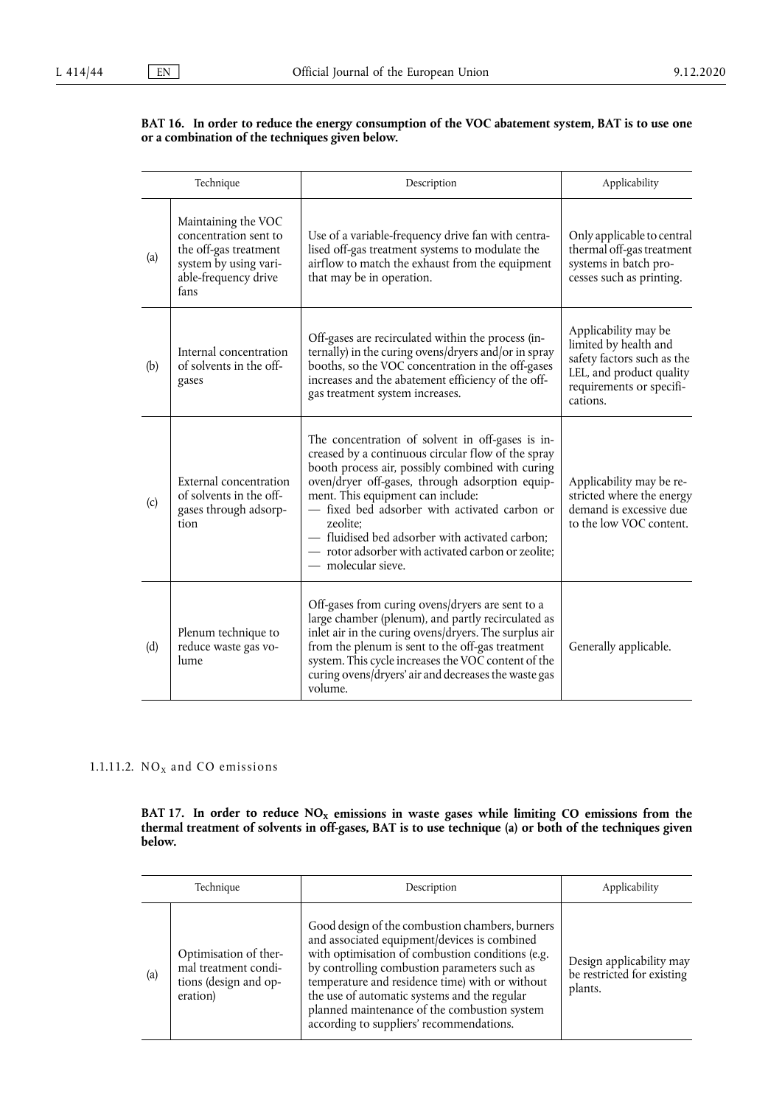#### **BAT 16. In order to reduce the energy consumption of the VOC abatement system, BAT is to use one or a combination of the techniques given below.**

| Technique |                                                                                                                                | Description                                                                                                                                                                                                                                                                                                                                                                                                                                    | Applicability                                                                                                                                   |
|-----------|--------------------------------------------------------------------------------------------------------------------------------|------------------------------------------------------------------------------------------------------------------------------------------------------------------------------------------------------------------------------------------------------------------------------------------------------------------------------------------------------------------------------------------------------------------------------------------------|-------------------------------------------------------------------------------------------------------------------------------------------------|
| (a)       | Maintaining the VOC<br>concentration sent to<br>the off-gas treatment<br>system by using vari-<br>able-frequency drive<br>fans | Use of a variable-frequency drive fan with centra-<br>lised off-gas treatment systems to modulate the<br>airflow to match the exhaust from the equipment<br>that may be in operation.                                                                                                                                                                                                                                                          | Only applicable to central<br>thermal off-gas treatment<br>systems in batch pro-<br>cesses such as printing.                                    |
| (b)       | Internal concentration<br>of solvents in the off-<br>gases                                                                     | Off-gases are recirculated within the process (in-<br>ternally) in the curing ovens/dryers and/or in spray<br>booths, so the VOC concentration in the off-gases<br>increases and the abatement efficiency of the off-<br>gas treatment system increases.                                                                                                                                                                                       | Applicability may be<br>limited by health and<br>safety factors such as the<br>LEL, and product quality<br>requirements or specifi-<br>cations. |
| (c)       | External concentration<br>of solvents in the off-<br>gases through adsorp-<br>tion                                             | The concentration of solvent in off-gases is in-<br>creased by a continuous circular flow of the spray<br>booth process air, possibly combined with curing<br>oven/dryer off-gases, through adsorption equip-<br>ment. This equipment can include:<br>- fixed bed adsorber with activated carbon or<br>zeolite;<br>- fluidised bed adsorber with activated carbon;<br>- rotor adsorber with activated carbon or zeolite;<br>— molecular sieve. | Applicability may be re-<br>stricted where the energy<br>demand is excessive due<br>to the low VOC content.                                     |
| (d)       | Plenum technique to<br>reduce waste gas vo-<br>lume                                                                            | Off-gases from curing ovens/dryers are sent to a<br>large chamber (plenum), and partly recirculated as<br>inlet air in the curing ovens/dryers. The surplus air<br>from the plenum is sent to the off-gas treatment<br>system. This cycle increases the VOC content of the<br>curing ovens/dryers' air and decreases the waste gas<br>volume.                                                                                                  | Generally applicable.                                                                                                                           |

## 1.1.11.2.  $NO<sub>x</sub>$  and CO emissions

BAT 17. In order to reduce  $\mathrm{NO_{X}}$  emissions in waste gases while limiting CO emissions from the **thermal treatment of solvents in off-gases, BAT is to use technique (a) or both of the techniques given below.** 

| Technique |                                                                                    | Description                                                                                                                                                                                                                                                                                                                                                                                        | Applicability                                                     |
|-----------|------------------------------------------------------------------------------------|----------------------------------------------------------------------------------------------------------------------------------------------------------------------------------------------------------------------------------------------------------------------------------------------------------------------------------------------------------------------------------------------------|-------------------------------------------------------------------|
| (a)       | Optimisation of ther-<br>mal treatment condi-<br>tions (design and op-<br>eration) | Good design of the combustion chambers, burners<br>and associated equipment/devices is combined<br>with optimisation of combustion conditions (e.g.<br>by controlling combustion parameters such as<br>temperature and residence time) with or without<br>the use of automatic systems and the regular<br>planned maintenance of the combustion system<br>according to suppliers' recommendations. | Design applicability may<br>be restricted for existing<br>plants. |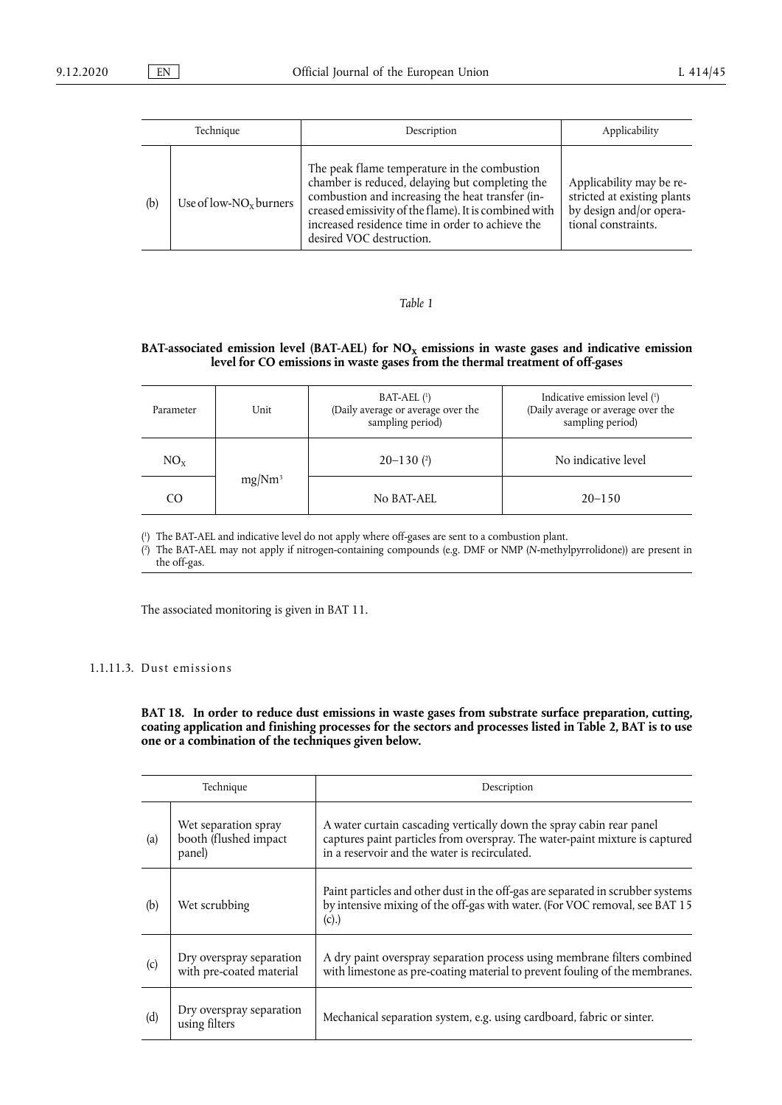| Technique |                           | Description                                                                                                                                                                                                                                                                                  | Applicability                                                                                             |
|-----------|---------------------------|----------------------------------------------------------------------------------------------------------------------------------------------------------------------------------------------------------------------------------------------------------------------------------------------|-----------------------------------------------------------------------------------------------------------|
| (b)       | Use of low- $NOx$ burners | The peak flame temperature in the combustion<br>chamber is reduced, delaying but completing the<br>combustion and increasing the heat transfer (in-<br>creased emissivity of the flame). It is combined with<br>increased residence time in order to achieve the<br>desired VOC destruction. | Applicability may be re-<br>stricted at existing plants<br>by design and/or opera-<br>tional constraints. |

## BAT-associated emission level (BAT-AEL) for NO<sub>x</sub> emissions in waste gases and indicative emission **level for CO emissions in waste gases from the thermal treatment of off-gases**

<span id="page-26-3"></span><span id="page-26-2"></span>

| Parameter | Unit               | $BAT-AEL$ $(1)$<br>(Daily average or average over the<br>sampling period) | Indicative emission level (1)<br>(Daily average or average over the<br>sampling period) |
|-----------|--------------------|---------------------------------------------------------------------------|-----------------------------------------------------------------------------------------|
| $NO_{x}$  | mg/Nm <sup>3</sup> | $20 - 130$ (2)                                                            | No indicative level                                                                     |
| CO        |                    | No BAT-AEL                                                                | $20 - 150$                                                                              |

<span id="page-26-0"></span>[\(](#page-26-2) 1 ) The BAT-AEL and indicative level do not apply where off-gases are sent to a combustion plant.

<span id="page-26-1"></span>[\(](#page-26-3) 2 ) The BAT-AEL may not apply if nitrogen-containing compounds (e.g. DMF or NMP (*N*-methylpyrrolidone)) are present in the off-gas.

The associated monitoring is given in BAT 11.

## 1.1.11.3. Dust emissions

**BAT 18. In order to reduce dust emissions in waste gases from substrate surface preparation, cutting, coating application and finishing processes for the sectors and processes listed in Table 2, BAT is to use one or a combination of the techniques given below.** 

| Technique |                                                          | Description                                                                                                                                                                                           |
|-----------|----------------------------------------------------------|-------------------------------------------------------------------------------------------------------------------------------------------------------------------------------------------------------|
| (a)       | Wet separation spray<br>booth (flushed impact)<br>panel) | A water curtain cascading vertically down the spray cabin rear panel<br>captures paint particles from overspray. The water-paint mixture is captured<br>in a reservoir and the water is recirculated. |
| (b)       | Wet scrubbing                                            | Paint particles and other dust in the off-gas are separated in scrubber systems<br>by intensive mixing of the off-gas with water. (For VOC removal, see BAT 15<br>(c).                                |
| (c)       | Dry overspray separation<br>with pre-coated material     | A dry paint overspray separation process using membrane filters combined<br>with limestone as pre-coating material to prevent fouling of the membranes.                                               |
| (d)       | Dry overspray separation<br>using filters                | Mechanical separation system, e.g. using cardboard, fabric or sinter.                                                                                                                                 |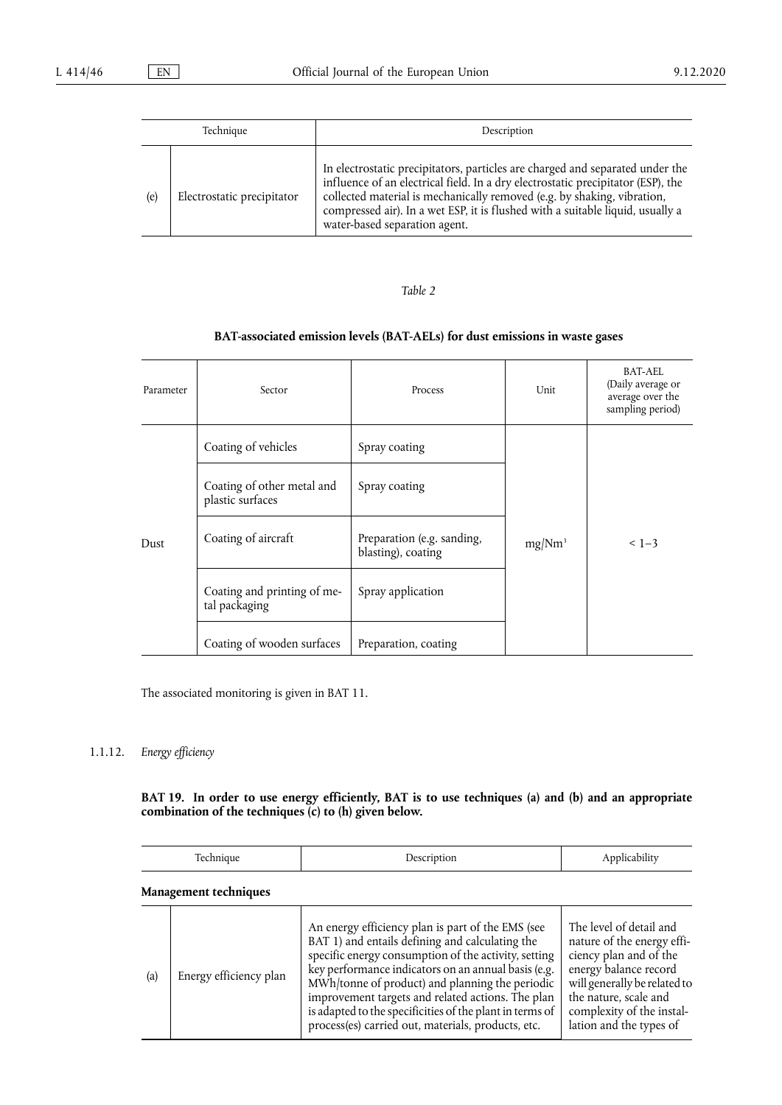| Technique |                            | Description                                                                                                                                                                                                                                                                                                                                                     |
|-----------|----------------------------|-----------------------------------------------------------------------------------------------------------------------------------------------------------------------------------------------------------------------------------------------------------------------------------------------------------------------------------------------------------------|
| (e)       | Electrostatic precipitator | In electrostatic precipitators, particles are charged and separated under the<br>influence of an electrical field. In a dry electrostatic precipitator (ESP), the<br>collected material is mechanically removed (e.g. by shaking, vibration,<br>compressed air). In a wet ESP, it is flushed with a suitable liquid, usually a<br>water-based separation agent. |

## **BAT-associated emission levels (BAT-AELs) for dust emissions in waste gases**

| Parameter | Sector                                         | Process                                          | Unit               | BAT-AEL<br>(Daily average or<br>average over the<br>sampling period) |
|-----------|------------------------------------------------|--------------------------------------------------|--------------------|----------------------------------------------------------------------|
|           | Coating of vehicles                            | Spray coating                                    |                    |                                                                      |
|           | Coating of other metal and<br>plastic surfaces | Spray coating                                    |                    | $< 1 - 3$                                                            |
| Dust      | Coating of aircraft                            | Preparation (e.g. sanding,<br>blasting), coating | mg/Nm <sup>3</sup> |                                                                      |
|           | Coating and printing of me-<br>tal packaging   | Spray application                                |                    |                                                                      |
|           | Coating of wooden surfaces                     | Preparation, coating                             |                    |                                                                      |

The associated monitoring is given in BAT 11.

## 1.1.12. *Energy efficiency*

**BAT 19. In order to use energy efficiently, BAT is to use techniques (a) and (b) and an appropriate combination of the techniques (c) to (h) given below.** 

| Technique |                        | Description                                                                                                                                                                                                                                                                                                                                                                                                                                   | Applicability                                                                                                                                                                                                             |
|-----------|------------------------|-----------------------------------------------------------------------------------------------------------------------------------------------------------------------------------------------------------------------------------------------------------------------------------------------------------------------------------------------------------------------------------------------------------------------------------------------|---------------------------------------------------------------------------------------------------------------------------------------------------------------------------------------------------------------------------|
|           | Management techniques  |                                                                                                                                                                                                                                                                                                                                                                                                                                               |                                                                                                                                                                                                                           |
| (a)       | Energy efficiency plan | An energy efficiency plan is part of the EMS (see<br>BAT 1) and entails defining and calculating the<br>specific energy consumption of the activity, setting<br>key performance indicators on an annual basis (e.g.<br>MWh/tonne of product) and planning the periodic<br>improvement targets and related actions. The plan<br>is adapted to the specificities of the plant in terms of<br>process(es) carried out, materials, products, etc. | The level of detail and<br>nature of the energy effi-<br>ciency plan and of the<br>energy balance record<br>will generally be related to<br>the nature, scale and<br>complexity of the instal-<br>lation and the types of |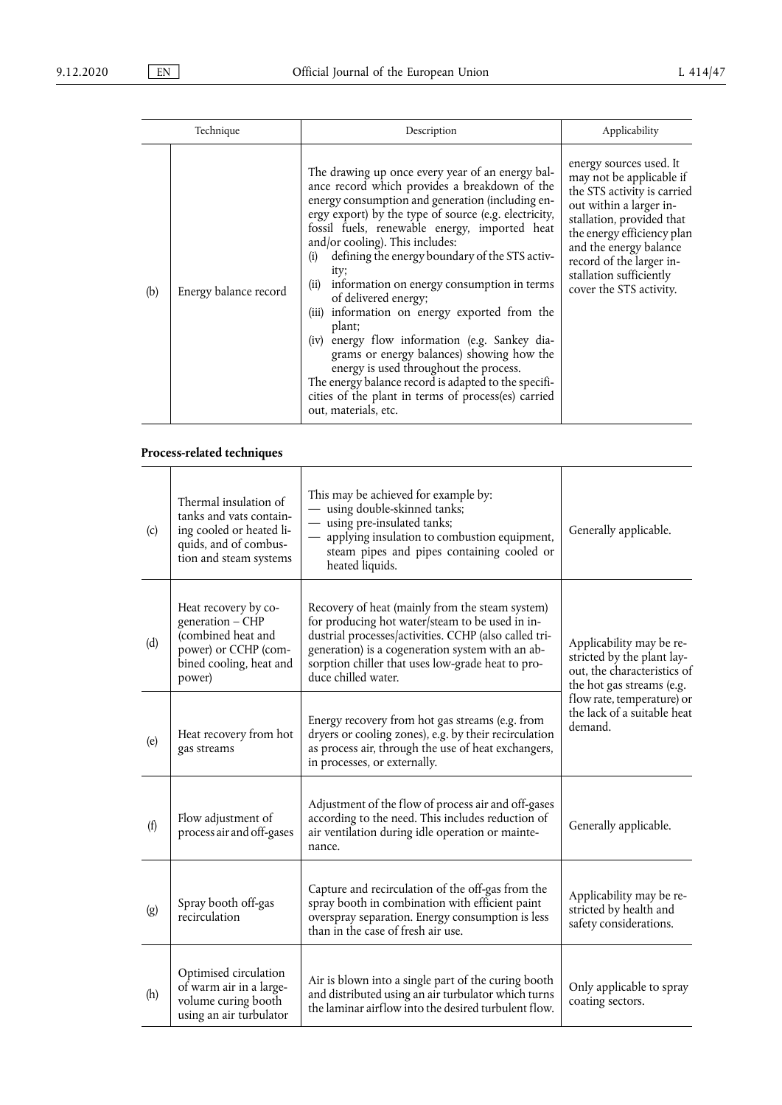|     | Technique             | Description                                                                                                                                                                                                                                                                                                                                                                                                                                                                                                                                                                                                                                                                                                                                                                                  | Applicability                                                                                                                                                                                                                                                                        |
|-----|-----------------------|----------------------------------------------------------------------------------------------------------------------------------------------------------------------------------------------------------------------------------------------------------------------------------------------------------------------------------------------------------------------------------------------------------------------------------------------------------------------------------------------------------------------------------------------------------------------------------------------------------------------------------------------------------------------------------------------------------------------------------------------------------------------------------------------|--------------------------------------------------------------------------------------------------------------------------------------------------------------------------------------------------------------------------------------------------------------------------------------|
| (b) | Energy balance record | The drawing up once every year of an energy bal-<br>ance record which provides a breakdown of the<br>energy consumption and generation (including en-<br>ergy export) by the type of source (e.g. electricity,<br>fossil fuels, renewable energy, imported heat<br>and/or cooling). This includes:<br>defining the energy boundary of the STS activ-<br>(i)<br>ity;<br>information on energy consumption in terms<br>(ii)<br>of delivered energy;<br>(iii) information on energy exported from the<br>plant;<br>(iv) energy flow information (e.g. Sankey dia-<br>grams or energy balances) showing how the<br>energy is used throughout the process.<br>The energy balance record is adapted to the specifi-<br>cities of the plant in terms of process(es) carried<br>out, materials, etc. | energy sources used. It<br>may not be applicable if<br>the STS activity is carried<br>out within a larger in-<br>stallation, provided that<br>the energy efficiency plan<br>and the energy balance<br>record of the larger in-<br>stallation sufficiently<br>cover the STS activity. |

## **Process-related techniques**

| (c) | Thermal insulation of<br>tanks and vats contain-<br>ing cooled or heated li-<br>quids, and of combus-<br>tion and steam systems | This may be achieved for example by:<br>- using double-skinned tanks;<br>- using pre-insulated tanks;<br>- applying insulation to combustion equipment,<br>steam pipes and pipes containing cooled or<br>heated liquids.                                                                    | Generally applicable.                                                                                              |  |
|-----|---------------------------------------------------------------------------------------------------------------------------------|---------------------------------------------------------------------------------------------------------------------------------------------------------------------------------------------------------------------------------------------------------------------------------------------|--------------------------------------------------------------------------------------------------------------------|--|
| (d) | Heat recovery by co-<br>generation - CHP<br>(combined heat and<br>power) or CCHP (com-<br>bined cooling, heat and<br>power)     | Recovery of heat (mainly from the steam system)<br>for producing hot water/steam to be used in in-<br>dustrial processes/activities. CCHP (also called tri-<br>generation) is a cogeneration system with an ab-<br>sorption chiller that uses low-grade heat to pro-<br>duce chilled water. | Applicability may be re-<br>stricted by the plant lay-<br>out, the characteristics of<br>the hot gas streams (e.g. |  |
| (e) | Heat recovery from hot<br>gas streams                                                                                           | Energy recovery from hot gas streams (e.g. from<br>dryers or cooling zones), e.g. by their recirculation<br>as process air, through the use of heat exchangers,<br>in processes, or externally.                                                                                             | flow rate, temperature) or<br>the lack of a suitable heat<br>demand.                                               |  |
| (f) | Flow adjustment of<br>process air and off-gases                                                                                 | Adjustment of the flow of process air and off-gases<br>according to the need. This includes reduction of<br>air ventilation during idle operation or mainte-<br>nance.                                                                                                                      | Generally applicable.                                                                                              |  |
| (g) | Spray booth off-gas<br>recirculation                                                                                            | Capture and recirculation of the off-gas from the<br>spray booth in combination with efficient paint<br>overspray separation. Energy consumption is less<br>than in the case of fresh air use.                                                                                              | Applicability may be re-<br>stricted by health and<br>safety considerations.                                       |  |
| (h) | Optimised circulation<br>of warm air in a large-<br>volume curing booth<br>using an air turbulator                              | Air is blown into a single part of the curing booth<br>and distributed using an air turbulator which turns<br>the laminar airflow into the desired turbulent flow.                                                                                                                          | Only applicable to spray<br>coating sectors.                                                                       |  |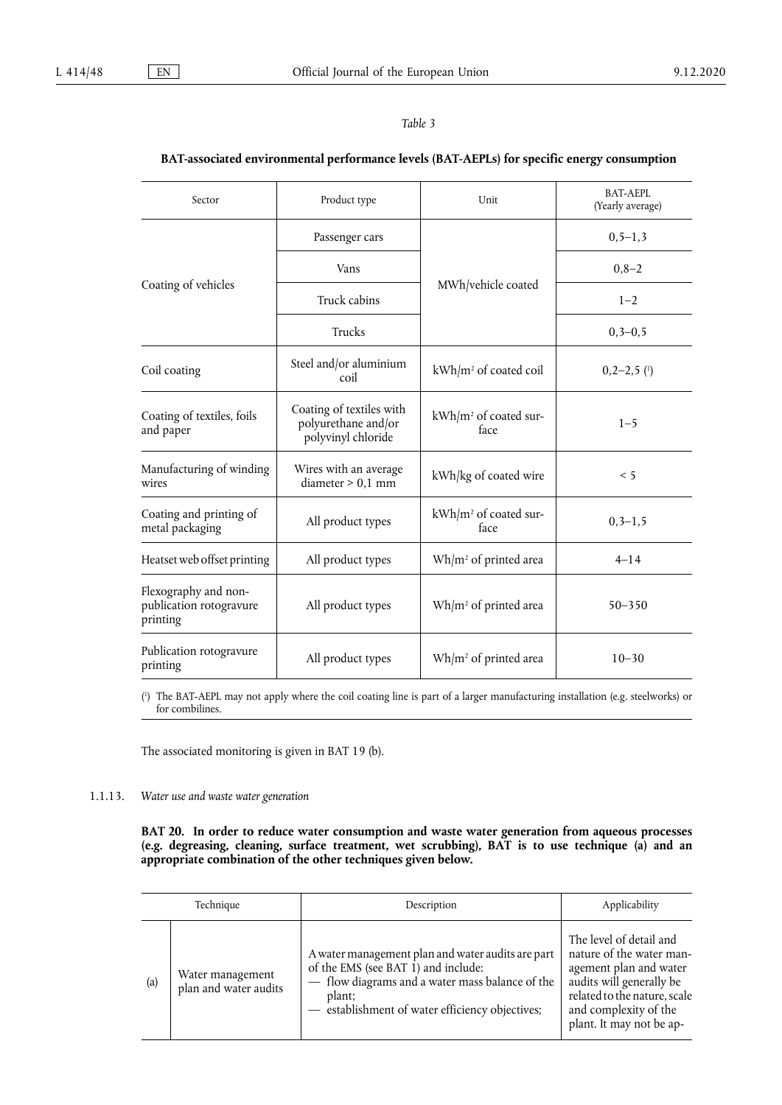## <span id="page-29-1"></span>**BAT-associated environmental performance levels (BAT-AEPLs) for specific energy consumption**

| Sector                                                      | Product type                                                          | Unit                                      | BAT-AEPL<br>(Yearly average) |
|-------------------------------------------------------------|-----------------------------------------------------------------------|-------------------------------------------|------------------------------|
|                                                             | Passenger cars                                                        |                                           | $0, 5 - 1, 3$                |
|                                                             | Vans                                                                  | MWh/vehicle coated                        | $0,8-2$                      |
| Coating of vehicles                                         | Truck cabins                                                          |                                           | $1 - 2$                      |
|                                                             | Trucks                                                                |                                           | $0, 3 - 0, 5$                |
| Coil coating                                                | Steel and/or aluminium<br>coil                                        | kWh/m <sup>2</sup> of coated coil         | $0,2-2,5$ $(1)$              |
| Coating of textiles, foils<br>and paper                     | Coating of textiles with<br>polyurethane and/or<br>polyvinyl chloride | kWh/m <sup>2</sup> of coated sur-<br>face | $1 - 5$                      |
| Manufacturing of winding<br>wires                           | Wires with an average<br>diameter > 0.1 mm                            | kWh/kg of coated wire                     | < 5                          |
| Coating and printing of<br>metal packaging                  | All product types                                                     | kWh/m <sup>2</sup> of coated sur-<br>face | $0, 3 - 1, 5$                |
| Heatset web offset printing                                 | All product types                                                     | Wh/m <sup>2</sup> of printed area         | $4 - 14$                     |
| Flexography and non-<br>publication rotogravure<br>printing | All product types                                                     | $Wh/m^2$ of printed area                  | $50 - 350$                   |
| Publication rotogravure<br>printing                         | All product types                                                     | $Wh/m^2$ of printed area                  | $10 - 30$                    |

<span id="page-29-0"></span>( 1 [\)](#page-29-1) The BAT-AEPL may not apply where the coil coating line is part of a larger manufacturing installation (e.g. steelworks) or for combilines.

The associated monitoring is given in BAT 19 (b).

## 1.1.13. *Water use and waste water generation*

**BAT 20. In order to reduce water consumption and waste water generation from aqueous processes (e.g. degreasing, cleaning, surface treatment, wet scrubbing), BAT is to use technique (a) and an appropriate combination of the other techniques given below.** 

| Technique         |                                           | Description                                                                                                                                                                                            | Applicability                                                                                                                                                                                  |
|-------------------|-------------------------------------------|--------------------------------------------------------------------------------------------------------------------------------------------------------------------------------------------------------|------------------------------------------------------------------------------------------------------------------------------------------------------------------------------------------------|
| $\left( a\right)$ | Water management<br>plan and water audits | A water management plan and water audits are part<br>of the EMS (see BAT 1) and include:<br>- flow diagrams and a water mass balance of the<br>plant;<br>establishment of water efficiency objectives; | The level of detail and<br>nature of the water man-<br>agement plan and water<br>audits will generally be<br>related to the nature, scale<br>and complexity of the<br>plant. It may not be ap- |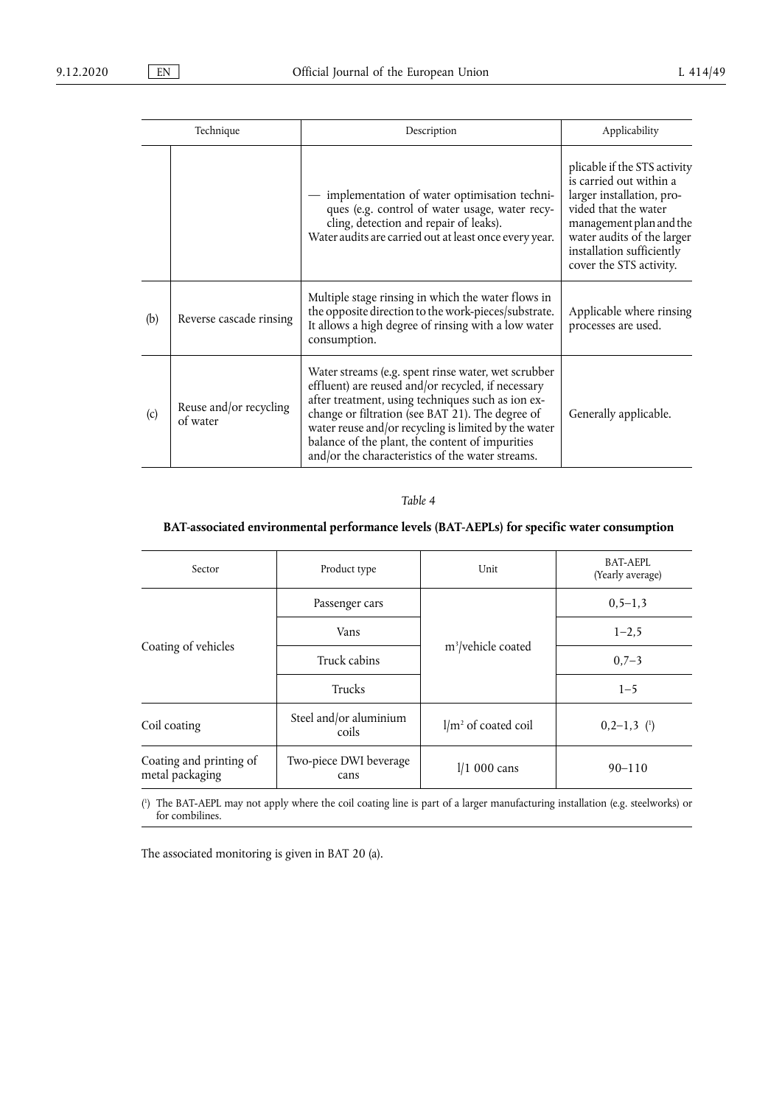| Technique |                                    | Description                                                                                                                                                                                                                                                                                                                                                                       | Applicability                                                                                                                                                                                                                 |
|-----------|------------------------------------|-----------------------------------------------------------------------------------------------------------------------------------------------------------------------------------------------------------------------------------------------------------------------------------------------------------------------------------------------------------------------------------|-------------------------------------------------------------------------------------------------------------------------------------------------------------------------------------------------------------------------------|
|           |                                    | implementation of water optimisation techni-<br>ques (e.g. control of water usage, water recy-<br>cling, detection and repair of leaks).<br>Water audits are carried out at least once every year.                                                                                                                                                                                | plicable if the STS activity<br>is carried out within a<br>larger installation, pro-<br>vided that the water<br>management plan and the<br>water audits of the larger<br>installation sufficiently<br>cover the STS activity. |
| (b)       | Reverse cascade rinsing            | Multiple stage rinsing in which the water flows in<br>the opposite direction to the work-pieces/substrate.<br>It allows a high degree of rinsing with a low water<br>consumption.                                                                                                                                                                                                 | Applicable where rinsing<br>processes are used.                                                                                                                                                                               |
| (c)       | Reuse and/or recycling<br>of water | Water streams (e.g. spent rinse water, wet scrubber<br>effluent) are reused and/or recycled, if necessary<br>after treatment, using techniques such as ion ex-<br>change or filtration (see BAT 21). The degree of<br>water reuse and/or recycling is limited by the water<br>balance of the plant, the content of impurities<br>and/or the characteristics of the water streams. | Generally applicable.                                                                                                                                                                                                         |

## **BAT-associated environmental performance levels (BAT-AEPLs) for specific water consumption**

| Sector                                          | Product type                   | Unit                           | <b>BAT-AEPL</b><br>(Yearly average) |
|-------------------------------------------------|--------------------------------|--------------------------------|-------------------------------------|
|                                                 | Passenger cars                 |                                | $0, 5 - 1, 3$                       |
|                                                 | Vans                           |                                | $1 - 2.5$                           |
| Coating of vehicles                             | Truck cabins                   | m <sup>3</sup> /vehicle coated | $0,7-3$                             |
|                                                 | Trucks                         |                                | $1 - 5$                             |
| Steel and/or aluminium<br>Coil coating<br>coils |                                | $1/m2$ of coated coil          | $0, 2-1, 3$ (1)                     |
| Coating and printing of<br>metal packaging      | Two-piece DWI beverage<br>cans | $1/1$ 000 cans                 | $90 - 110$                          |

<span id="page-30-1"></span><span id="page-30-0"></span>( 1 [\)](#page-30-1) The BAT-AEPL may not apply where the coil coating line is part of a larger manufacturing installation (e.g. steelworks) or for combilines.

The associated monitoring is given in BAT 20 (a).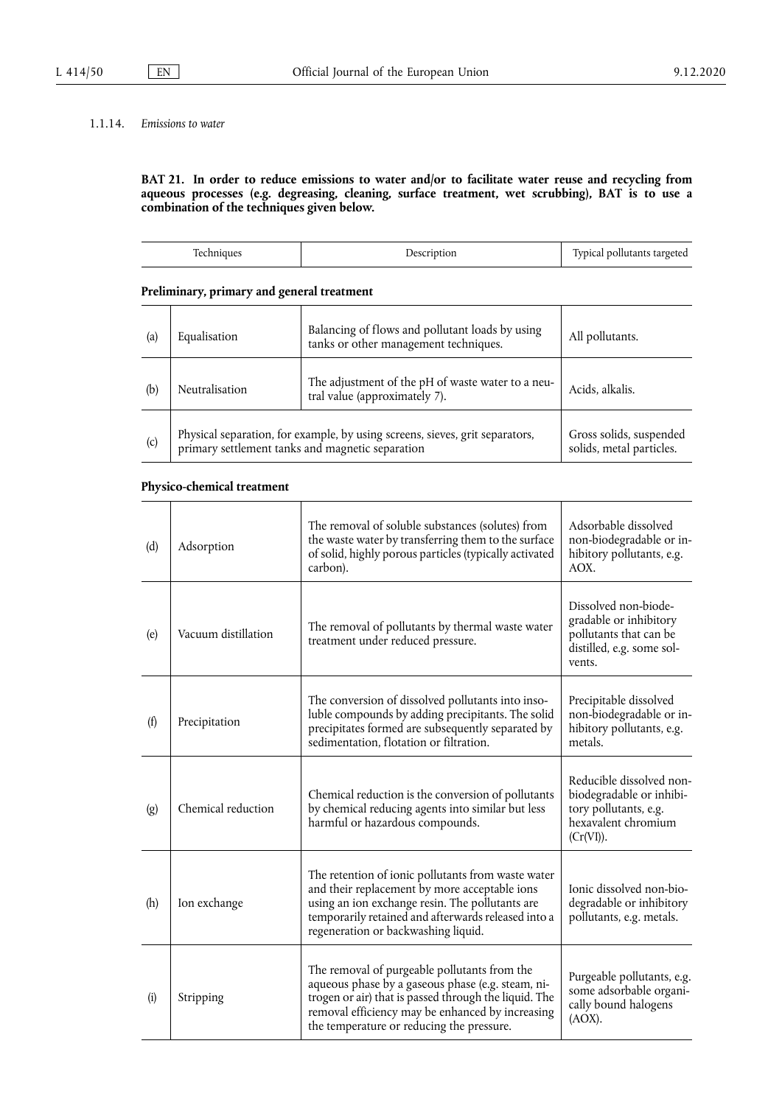## 1.1.14. *Emissions to water*

**BAT 21. In order to reduce emissions to water and/or to facilitate water reuse and recycling from aqueous processes (e.g. degreasing, cleaning, surface treatment, wet scrubbing), BAT is to use a combination of the techniques given below.** 

## **Preliminary, primary and general treatment**

| (a) | Equalisation                                                                                                                     | Balancing of flows and pollutant loads by using<br>tanks or other management techniques. | All pollutants.                                     |
|-----|----------------------------------------------------------------------------------------------------------------------------------|------------------------------------------------------------------------------------------|-----------------------------------------------------|
| (b) | Neutralisation                                                                                                                   | The adjustment of the pH of waste water to a neu-<br>tral value (approximately 7).       | Acids, alkalis.                                     |
| (c) | Physical separation, for example, by using screens, sieves, grit separators,<br>primary settlement tanks and magnetic separation |                                                                                          | Gross solids, suspended<br>solids, metal particles. |

## **Physico-chemical treatment**

| (d)                | Adsorption          | The removal of soluble substances (solutes) from<br>the waste water by transferring them to the surface<br>of solid, highly porous particles (typically activated<br>carbon).                                                                               | Adsorbable dissolved<br>non-biodegradable or in-<br>hibitory pollutants, e.g.<br>AOX.                             |
|--------------------|---------------------|-------------------------------------------------------------------------------------------------------------------------------------------------------------------------------------------------------------------------------------------------------------|-------------------------------------------------------------------------------------------------------------------|
| (e)                | Vacuum distillation | The removal of pollutants by thermal waste water<br>treatment under reduced pressure.                                                                                                                                                                       | Dissolved non-biode-<br>gradable or inhibitory<br>pollutants that can be<br>distilled, e.g. some sol-<br>vents.   |
| (f)                | Precipitation       | The conversion of dissolved pollutants into inso-<br>luble compounds by adding precipitants. The solid<br>precipitates formed are subsequently separated by<br>sedimentation. flotation or filtration.                                                      | Precipitable dissolved<br>non-biodegradable or in-<br>hibitory pollutants, e.g.<br>metals.                        |
| $\left( g \right)$ | Chemical reduction  | Chemical reduction is the conversion of pollutants<br>by chemical reducing agents into similar but less<br>harmful or hazardous compounds.                                                                                                                  | Reducible dissolved non-<br>biodegradable or inhibi-<br>tory pollutants, e.g.<br>hexavalent chromium<br>(Cr(VI)). |
| (h)                | Ion exchange        | The retention of ionic pollutants from waste water<br>and their replacement by more acceptable ions<br>using an ion exchange resin. The pollutants are<br>temporarily retained and afterwards released into a<br>regeneration or backwashing liquid.        | Ionic dissolved non-bio-<br>degradable or inhibitory<br>pollutants, e.g. metals.                                  |
| (i)                | Stripping           | The removal of purgeable pollutants from the<br>aqueous phase by a gaseous phase (e.g. steam, ni-<br>trogen or air) that is passed through the liquid. The<br>removal efficiency may be enhanced by increasing<br>the temperature or reducing the pressure. | Purgeable pollutants, e.g.<br>some adsorbable organi-<br>cally bound halogens<br>$(AOX)$ .                        |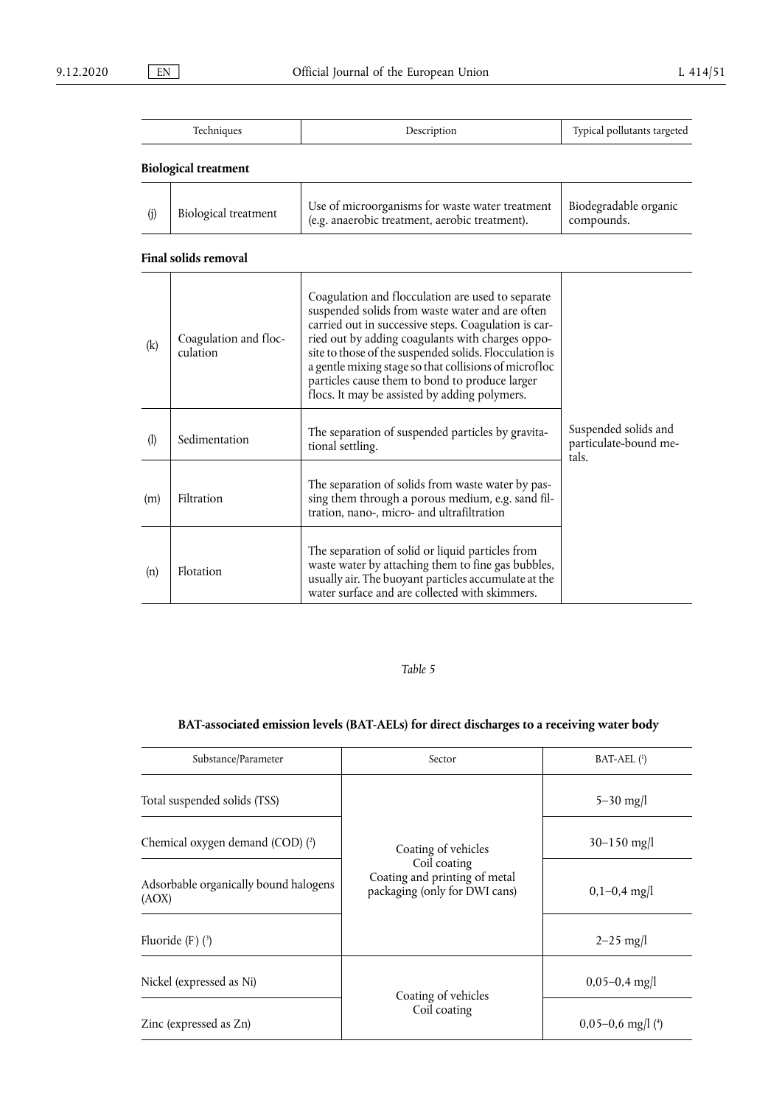| $\overline{\phantom{a}}$<br>$\sim$ | horr | $\overline{ }$<br>l www.<br><br>٠a.<br>uuu |
|------------------------------------|------|--------------------------------------------|

## **Biological treatment**

| Biological treatment | Use of microorganisms for waste water treatment<br>(e.g. anaerobic treatment, aerobic treatment). | Biodegradable organic<br>compounds. |
|----------------------|---------------------------------------------------------------------------------------------------|-------------------------------------|
|                      |                                                                                                   |                                     |

## **Final solids removal**

| (k)                         | Coagulation and floc-<br>culation | Coagulation and flocculation are used to separate<br>suspended solids from waste water and are often<br>carried out in successive steps. Coagulation is car-<br>ried out by adding coagulants with charges oppo-<br>site to those of the suspended solids. Flocculation is<br>a gentle mixing stage so that collisions of microfloc<br>particles cause them to bond to produce larger<br>flocs. It may be assisted by adding polymers. |                                                        |
|-----------------------------|-----------------------------------|----------------------------------------------------------------------------------------------------------------------------------------------------------------------------------------------------------------------------------------------------------------------------------------------------------------------------------------------------------------------------------------------------------------------------------------|--------------------------------------------------------|
| $\left( \mathbf{l} \right)$ | Sedimentation                     | The separation of suspended particles by gravita-<br>tional settling.                                                                                                                                                                                                                                                                                                                                                                  | Suspended solids and<br>particulate-bound me-<br>tals. |
| (m)                         | Filtration                        | The separation of solids from waste water by pas-<br>sing them through a porous medium, e.g. sand fil-<br>tration, nano-, micro- and ultrafiltration                                                                                                                                                                                                                                                                                   |                                                        |
| (n)                         | <b>Flotation</b>                  | The separation of solid or liquid particles from<br>waste water by attaching them to fine gas bubbles,<br>usually air. The buoyant particles accumulate at the<br>water surface and are collected with skimmers.                                                                                                                                                                                                                       |                                                        |

## <span id="page-32-3"></span><span id="page-32-0"></span>*Table 5*

## **BAT-associated emission levels (BAT-AELs) for direct discharges to a receiving water body**

<span id="page-32-2"></span><span id="page-32-1"></span>

| Substance/Parameter                            | Sector                                                                                                | $BAT-AEL$ $(1)$                  |
|------------------------------------------------|-------------------------------------------------------------------------------------------------------|----------------------------------|
| Total suspended solids (TSS)                   |                                                                                                       | $5 - 30$ mg/l                    |
| Chemical oxygen demand (COD) (2)               | Coating of vehicles<br>Coil coating<br>Coating and printing of metal<br>packaging (only for DWI cans) | $30 - 150$ mg/l                  |
| Adsorbable organically bound halogens<br>(AOX) |                                                                                                       | $0,1-0,4$ mg/l                   |
| Fluoride $(F)$ $(3)$                           |                                                                                                       | $2 - 25$ mg/l                    |
| Nickel (expressed as Ni)                       | Coating of vehicles                                                                                   | $0,05-0,4$ mg/l                  |
| Zinc (expressed as Zn)                         | Coil coating                                                                                          | $0,05-0,6$ mg/l ( <sup>4</sup> ) |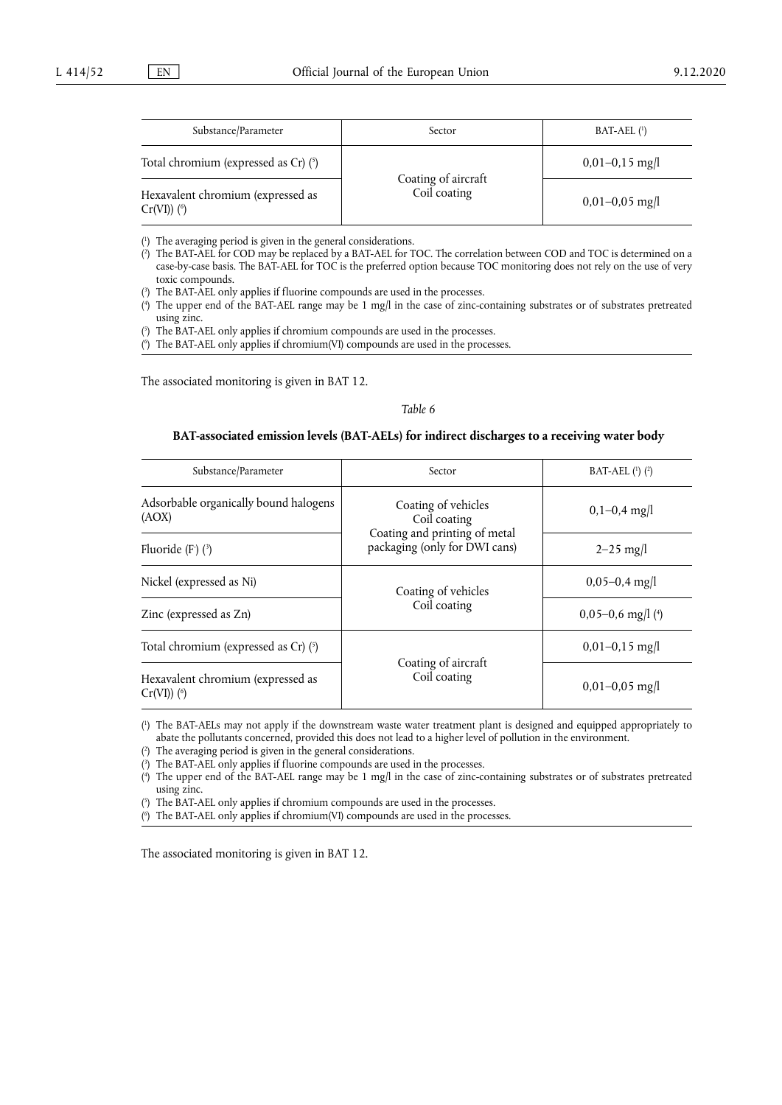<span id="page-33-6"></span>

| Substance/Parameter                                            | Sector                              | $BAT-AEL$ <sup>(1)</sup> |
|----------------------------------------------------------------|-------------------------------------|--------------------------|
| Total chromium (expressed as Cr) $(5)$                         |                                     | $0,01-0,15$ mg/l         |
| Hexavalent chromium (expressed as<br>$Cr(VI)$ ( <sup>6</sup> ) | Coating of aircraft<br>Coil coating | $0,01-0,05$ mg/l         |

<span id="page-33-7"></span><span id="page-33-0"></span>[\(](#page-32-0) 1 ) The averaging period is given in the general considerations.

- <span id="page-33-1"></span>[\(](#page-32-1) 2 ) The BAT-AEL for COD may be replaced by a BAT-AEL for TOC. The correlation between COD and TOC is determined on a case-by-case basis. The BAT-AEL for TOC is the preferred option because TOC monitoring does not rely on the use of very toxic compounds.
- <span id="page-33-2"></span>[\(](#page-32-2) 3 ) The BAT-AEL only applies if fluorine compounds are used in the processes.
- <span id="page-33-3"></span>[\(](#page-32-3) 4 ) The upper end of the BAT-AEL range may be 1 mg/l in the case of zinc-containing substrates or of substrates pretreated using zinc.
- <span id="page-33-4"></span>[\(](#page-33-6) 5 ) The BAT-AEL only applies if chromium compounds are used in the processes.

<span id="page-33-5"></span>[\(](#page-33-7) 6 ) The BAT-AEL only applies if chromium(VI) compounds are used in the processes.

The associated monitoring is given in BAT 12.

#### <span id="page-33-16"></span><span id="page-33-14"></span>*Table 6*

## **BAT-associated emission levels (BAT-AELs) for indirect discharges to a receiving water body**

<span id="page-33-15"></span>

| Substance/Parameter                                             | Sector                                                                                                | BAT-AEL $(1)$ $(2)$ |
|-----------------------------------------------------------------|-------------------------------------------------------------------------------------------------------|---------------------|
| Adsorbable organically bound halogens<br>(AOX)                  | Coating of vehicles<br>Coil coating<br>Coating and printing of metal<br>packaging (only for DWI cans) | $0,1-0,4$ mg/l      |
| Fluoride $(F)$ $(3)$                                            |                                                                                                       | $2 - 25$ mg/l       |
| Nickel (expressed as Ni)                                        | Coating of vehicles<br>Coil coating                                                                   | $0,05-0,4$ mg/l     |
| Zinc (expressed as Zn)                                          |                                                                                                       | $0,05-0,6$ mg/l (4) |
| Total chromium (expressed as Cr) (5)                            | Coating of aircraft<br>Coil coating                                                                   | $0,01-0,15$ mg/l    |
| Hexavalent chromium (expressed as<br>$Cr(VI))$ ( $\binom{6}{7}$ |                                                                                                       | $0,01-0,05$ mg/l    |

<span id="page-33-18"></span><span id="page-33-17"></span><span id="page-33-8"></span>[\(](#page-33-14) 1 ) The BAT-AELs may not apply if the downstream waste water treatment plant is designed and equipped appropriately to abate the pollutants concerned, provided this does not lead to a higher level of pollution in the environment.

<span id="page-33-9"></span> $($ <sup>2</sup> ) The averaging period is given in the general considerations.

<span id="page-33-10"></span>[\(](#page-33-15) 3 ) The BAT-AEL only applies if fluorine compounds are used in the processes.

<span id="page-33-11"></span>[\(](#page-33-16) 4 ) The upper end of the BAT-AEL range may be 1 mg/l in the case of zinc-containing substrates or of substrates pretreated using zinc.

<span id="page-33-12"></span>[\(](#page-33-17) 5 ) The BAT-AEL only applies if chromium compounds are used in the processes.

<span id="page-33-13"></span>[\(](#page-33-18) 6 ) The BAT-AEL only applies if chromium(VI) compounds are used in the processes.

The associated monitoring is given in BAT 12.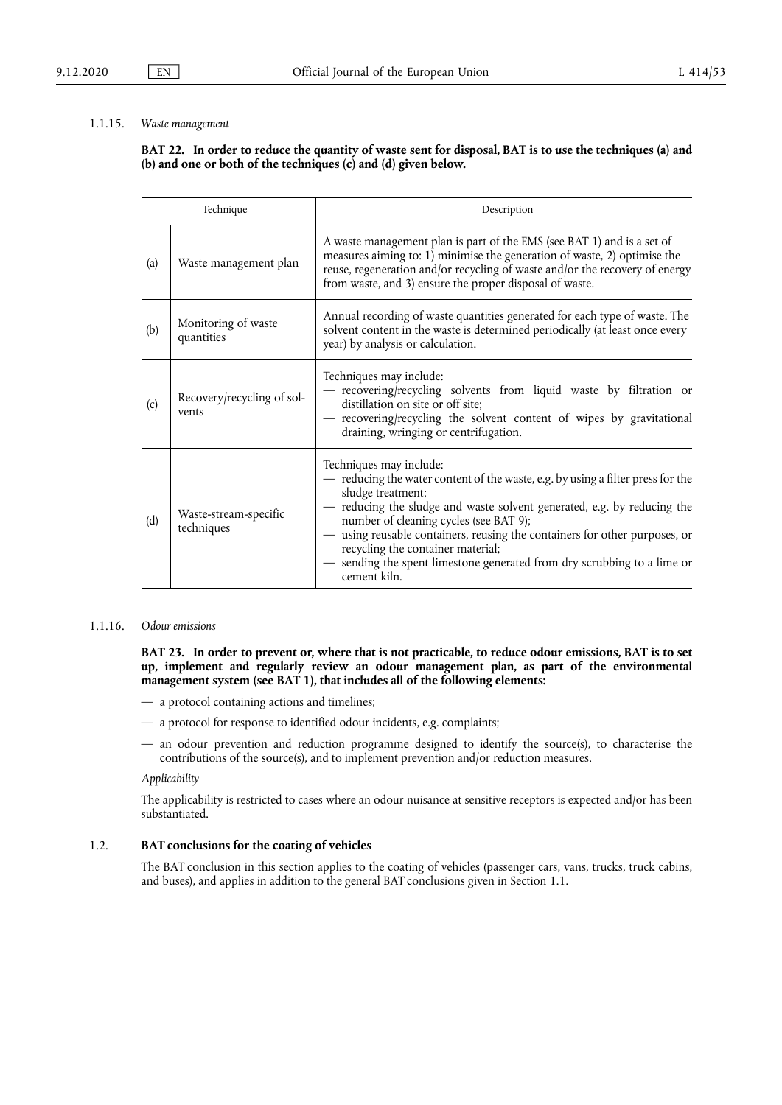#### 1.1.15. *Waste management*

## **BAT 22. In order to reduce the quantity of waste sent for disposal, BAT is to use the techniques (a) and (b) and one or both of the techniques (c) and (d) given below.**

| Technique |                                     | Description                                                                                                                                                                                                                                                                                                                                                                                                                                                      |
|-----------|-------------------------------------|------------------------------------------------------------------------------------------------------------------------------------------------------------------------------------------------------------------------------------------------------------------------------------------------------------------------------------------------------------------------------------------------------------------------------------------------------------------|
| (a)       | Waste management plan               | A waste management plan is part of the EMS (see BAT 1) and is a set of<br>measures aiming to: 1) minimise the generation of waste, 2) optimise the<br>reuse, regeneration and/or recycling of waste and/or the recovery of energy<br>from waste, and 3) ensure the proper disposal of waste.                                                                                                                                                                     |
| (b)       | Monitoring of waste<br>quantities   | Annual recording of waste quantities generated for each type of waste. The<br>solvent content in the waste is determined periodically (at least once every<br>year) by analysis or calculation.                                                                                                                                                                                                                                                                  |
| (c)       | Recovery/recycling of sol-<br>vents | Techniques may include:<br>- recovering/recycling solvents from liquid waste by filtration or<br>distillation on site or off site;<br>- recovering/recycling the solvent content of wipes by gravitational<br>draining, wringing or centrifugation.                                                                                                                                                                                                              |
| (d)       | Waste-stream-specific<br>techniques | Techniques may include:<br>- reducing the water content of the waste, e.g. by using a filter press for the<br>sludge treatment;<br>- reducing the sludge and waste solvent generated, e.g. by reducing the<br>number of cleaning cycles (see BAT 9);<br>using reusable containers, reusing the containers for other purposes, or<br>recycling the container material;<br>- sending the spent limestone generated from dry scrubbing to a lime or<br>cement kiln. |

#### 1.1.16. *Odour emissions*

**BAT 23. In order to prevent or, where that is not practicable, to reduce odour emissions, BAT is to set up, implement and regularly review an odour management plan, as part of the environmental management system (see BAT 1), that includes all of the following elements:** 

- a protocol containing actions and timelines;
- a protocol for response to identified odour incidents, e.g. complaints;
- an odour prevention and reduction programme designed to identify the source(s), to characterise the contributions of the source(s), and to implement prevention and/or reduction measures.

#### *Applicability*

The applicability is restricted to cases where an odour nuisance at sensitive receptors is expected and/or has been substantiated.

## 1.2. **BAT conclusions for the coating of vehicles**

The BAT conclusion in this section applies to the coating of vehicles (passenger cars, vans, trucks, truck cabins, and buses), and applies in addition to the general BAT conclusions given in Section 1.1.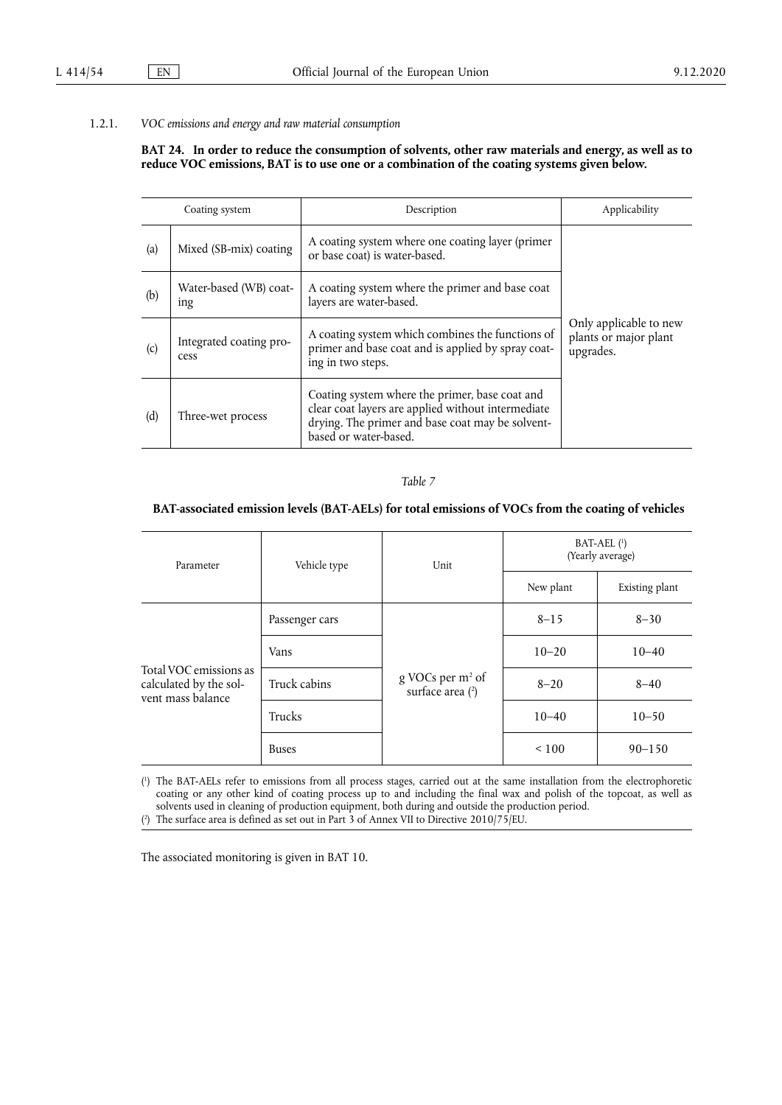#### 1.2.1. *VOC emissions and energy and raw material consumption*

#### **BAT 24. In order to reduce the consumption of solvents, other raw materials and energy, as well as to reduce VOC emissions, BAT is to use one or a combination of the coating systems given below.**

|     | Coating system                  | Description                                                                                                                                                                       | Applicability                                                |
|-----|---------------------------------|-----------------------------------------------------------------------------------------------------------------------------------------------------------------------------------|--------------------------------------------------------------|
| (a) | Mixed (SB-mix) coating          | A coating system where one coating layer (primer<br>or base coat) is water-based.                                                                                                 |                                                              |
| (b) | Water-based (WB) coat-<br>ing   | A coating system where the primer and base coat<br>layers are water-based.                                                                                                        |                                                              |
| (c) | Integrated coating pro-<br>cess | A coating system which combines the functions of<br>primer and base coat and is applied by spray coat-<br>ing in two steps.                                                       | Only applicable to new<br>plants or major plant<br>upgrades. |
| (d) | Three-wet process               | Coating system where the primer, base coat and<br>clear coat layers are applied without intermediate<br>drying. The primer and base coat may be solvent-<br>based or water-based. |                                                              |

<span id="page-35-3"></span><span id="page-35-2"></span>*Table 7* 

## **BAT-associated emission levels (BAT-AELs) for total emissions of VOCs from the coating of vehicles**

| Parameter                                                             | Vehicle type   | Unit                                             | $BAT-AEL$ <sup>(1)</sup><br>(Yearly average) |                |
|-----------------------------------------------------------------------|----------------|--------------------------------------------------|----------------------------------------------|----------------|
|                                                                       |                |                                                  | New plant                                    | Existing plant |
| Total VOC emissions as<br>calculated by the sol-<br>vent mass balance | Passenger cars | g VOCs per m <sup>2</sup> of<br>surface area (2) | $8 - 15$                                     | $8 - 30$       |
|                                                                       | Vans           |                                                  | $10 - 20$                                    | $10 - 40$      |
|                                                                       | Truck cabins   |                                                  | $8 - 20$                                     | $8 - 40$       |
|                                                                       | <b>Trucks</b>  |                                                  | $10 - 40$                                    | $10 - 50$      |
|                                                                       | <b>Buses</b>   |                                                  | ${}_{\leq 100}$                              | $90 - 150$     |

<span id="page-35-0"></span>[\(](#page-35-2) 1 ) The BAT-AELs refer to emissions from all process stages, carried out at the same installation from the electrophoretic coating or any other kind of coating process up to and including the final wax and polish of the topcoat, as well as solvents used in cleaning of production equipment, both during and outside the production period.

<span id="page-35-1"></span>[\(](#page-35-3) 2 ) The surface area is defined as set out in Part 3 of Annex VII to Directive 2010/75/EU.

The associated monitoring is given in BAT 10.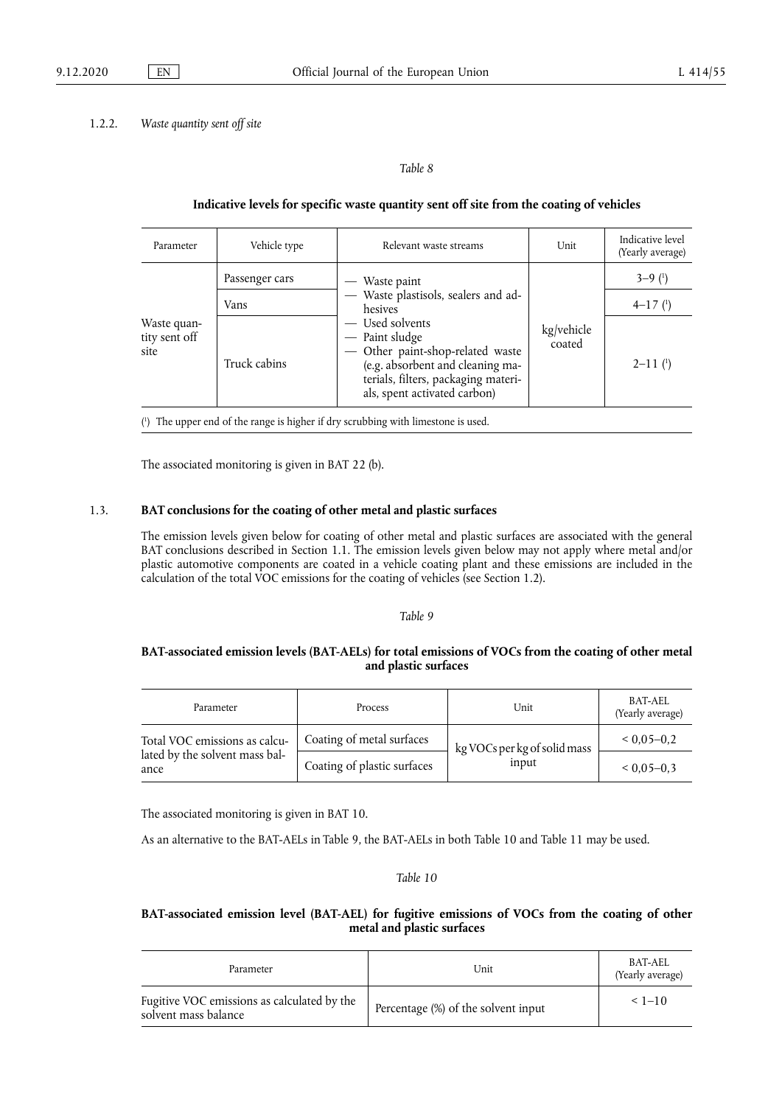#### 1.2.2. *Waste quantity sent off site*

<span id="page-36-1"></span>*Table 8* 

#### **Indicative levels for specific waste quantity sent off site from the coating of vehicles**

| Parameter                            | Vehicle type   | Relevant waste streams                                                                                                                                                                                                                              | Unit                 | Indicative level<br>(Yearly average) |
|--------------------------------------|----------------|-----------------------------------------------------------------------------------------------------------------------------------------------------------------------------------------------------------------------------------------------------|----------------------|--------------------------------------|
|                                      | Passenger cars | — Waste paint<br>- Waste plastisols, sealers and ad-<br>hesives<br>— Used solvents<br>- Paint sludge<br>- Other paint-shop-related waste<br>(e.g. absorbent and cleaning ma-<br>terials, filters, packaging materi-<br>als, spent activated carbon) | kg/vehicle<br>coated | $3-9$ ( <sup>1</sup> )               |
|                                      | Vans           |                                                                                                                                                                                                                                                     |                      | $4-17$ ( <sup>1</sup> )              |
| Waste quan-<br>tity sent off<br>site | Truck cabins   |                                                                                                                                                                                                                                                     |                      | $2 - 11$ $(1)$                       |

<span id="page-36-0"></span>[\(](#page-36-1) 1 ) The upper end of the range is higher if dry scrubbing with limestone is used.

The associated monitoring is given in BAT 22 (b).

## 1.3. **BAT conclusions for the coating of other metal and plastic surfaces**

The emission levels given below for coating of other metal and plastic surfaces are associated with the general BAT conclusions described in Section 1.1. The emission levels given below may not apply where metal and/or plastic automotive components are coated in a vehicle coating plant and these emissions are included in the calculation of the total VOC emissions for the coating of vehicles (see Section 1.2).

#### *Table 9*

## **BAT-associated emission levels (BAT-AELs) for total emissions of VOCs from the coating of other metal and plastic surfaces**

| Parameter                              | Process                     | Unit                         | BAT-AEL<br>(Yearly average) |
|----------------------------------------|-----------------------------|------------------------------|-----------------------------|
| Total VOC emissions as calcu-          | Coating of metal surfaces   | kg VOCs per kg of solid mass | $0.05 - 0.2$                |
| lated by the solvent mass bal-<br>ance | Coating of plastic surfaces | input                        | $< 0.05 - 0.3$              |

The associated monitoring is given in BAT 10.

As an alternative to the BAT-AELs in Table 9, the BAT-AELs in both Table 10 and Table 11 may be used.

#### *Table 10*

## **BAT-associated emission level (BAT-AEL) for fugitive emissions of VOCs from the coating of other metal and plastic surfaces**

| Parameter                                                           | Unit                                | BAT-AEL<br>(Yearly average) |
|---------------------------------------------------------------------|-------------------------------------|-----------------------------|
| Fugitive VOC emissions as calculated by the<br>solvent mass balance | Percentage (%) of the solvent input | $< 1 - 10$                  |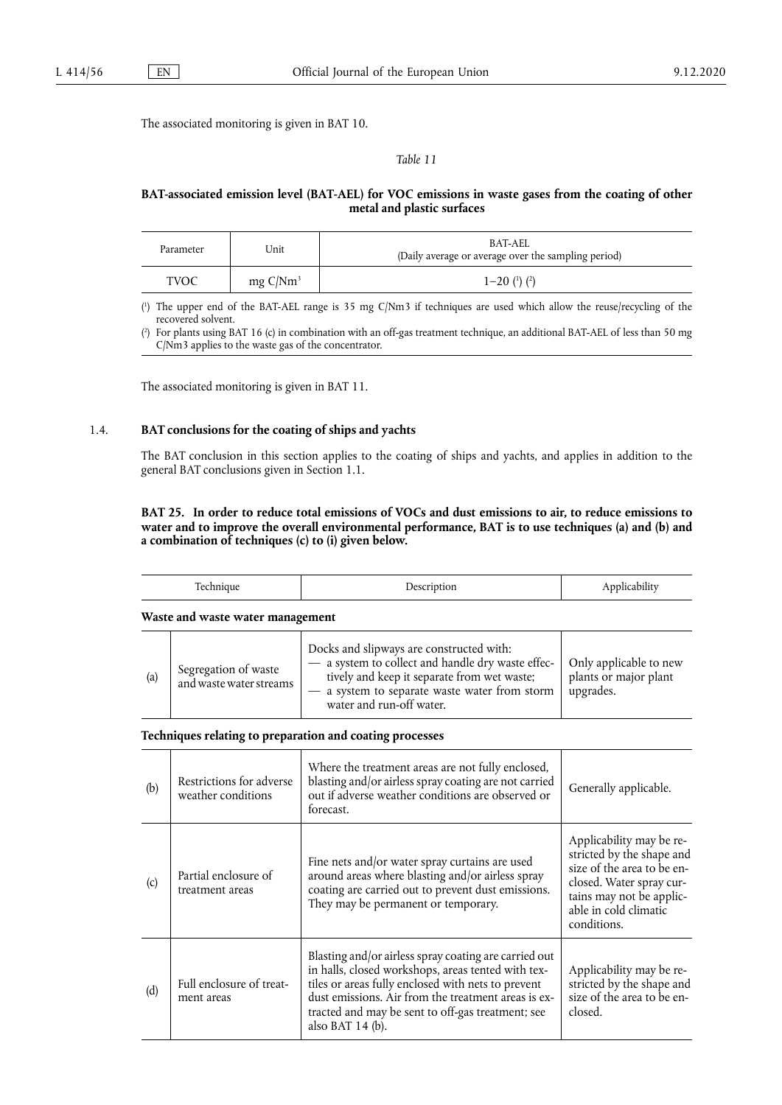The associated monitoring is given in BAT 10.

<span id="page-37-2"></span>*Table 11* 

## **BAT-associated emission level (BAT-AEL) for VOC emissions in waste gases from the coating of other metal and plastic surfaces**

| Parameter | Unit                | BAT-AEL<br>(Daily average or average over the sampling period) |
|-----------|---------------------|----------------------------------------------------------------|
| TVOC      | $mg \frac{C}{Nm^3}$ | $1 - 20$ ( <sup>1</sup> ) ( <sup>2</sup> )                     |

<span id="page-37-0"></span>[\(](#page-37-2) 1 ) The upper end of the BAT-AEL range is 35 mg C/Nm3 if techniques are used which allow the reuse/recycling of the recovered solvent.

<span id="page-37-1"></span> $(2)$  $(2)$ ) For plants using BAT 16 (c) in combination with an off-gas treatment technique, an additional BAT-AEL of less than 50 mg C/Nm3 applies to the waste gas of the concentrator.

The associated monitoring is given in BAT 11.

#### 1.4. **BAT conclusions for the coating of ships and yachts**

The BAT conclusion in this section applies to the coating of ships and yachts, and applies in addition to the general BAT conclusions given in Section 1.1.

## **BAT 25. In order to reduce total emissions of VOCs and dust emissions to air, to reduce emissions to water and to improve the overall environmental performance, BAT is to use techniques (a) and (b) and a combination of techniques (c) to (i) given below.**

|     | Technique                                       | Description                                                                                                                                                                                                                                                                                         | Applicability                                                                                                                                                                       |
|-----|-------------------------------------------------|-----------------------------------------------------------------------------------------------------------------------------------------------------------------------------------------------------------------------------------------------------------------------------------------------------|-------------------------------------------------------------------------------------------------------------------------------------------------------------------------------------|
|     | Waste and waste water management                |                                                                                                                                                                                                                                                                                                     |                                                                                                                                                                                     |
| (a) | Segregation of waste<br>and waste water streams | Docks and slipways are constructed with:<br>- a system to collect and handle dry waste effec-<br>tively and keep it separate from wet waste;<br>- a system to separate waste water from storm<br>water and run-off water.                                                                           | Only applicable to new<br>plants or major plant<br>upgrades.                                                                                                                        |
|     |                                                 | Techniques relating to preparation and coating processes                                                                                                                                                                                                                                            |                                                                                                                                                                                     |
| (b) | Restrictions for adverse<br>weather conditions  | Where the treatment areas are not fully enclosed,<br>blasting and/or airless spray coating are not carried<br>out if adverse weather conditions are observed or<br>forecast.                                                                                                                        | Generally applicable.                                                                                                                                                               |
| (c) | Partial enclosure of<br>treatment areas         | Fine nets and/or water spray curtains are used<br>around areas where blasting and/or airless spray<br>coating are carried out to prevent dust emissions.<br>They may be permanent or temporary.                                                                                                     | Applicability may be re-<br>stricted by the shape and<br>size of the area to be en-<br>closed. Water spray cur-<br>tains may not be applic-<br>able in cold climatic<br>conditions. |
| (d) | Full enclosure of treat-<br>ment areas          | Blasting and/or airless spray coating are carried out<br>in halls, closed workshops, areas tented with tex-<br>tiles or areas fully enclosed with nets to prevent<br>dust emissions. Air from the treatment areas is ex-<br>tracted and may be sent to off-gas treatment; see<br>also BAT $14$ (b). | Applicability may be re-<br>stricted by the shape and<br>size of the area to be en-<br>closed.                                                                                      |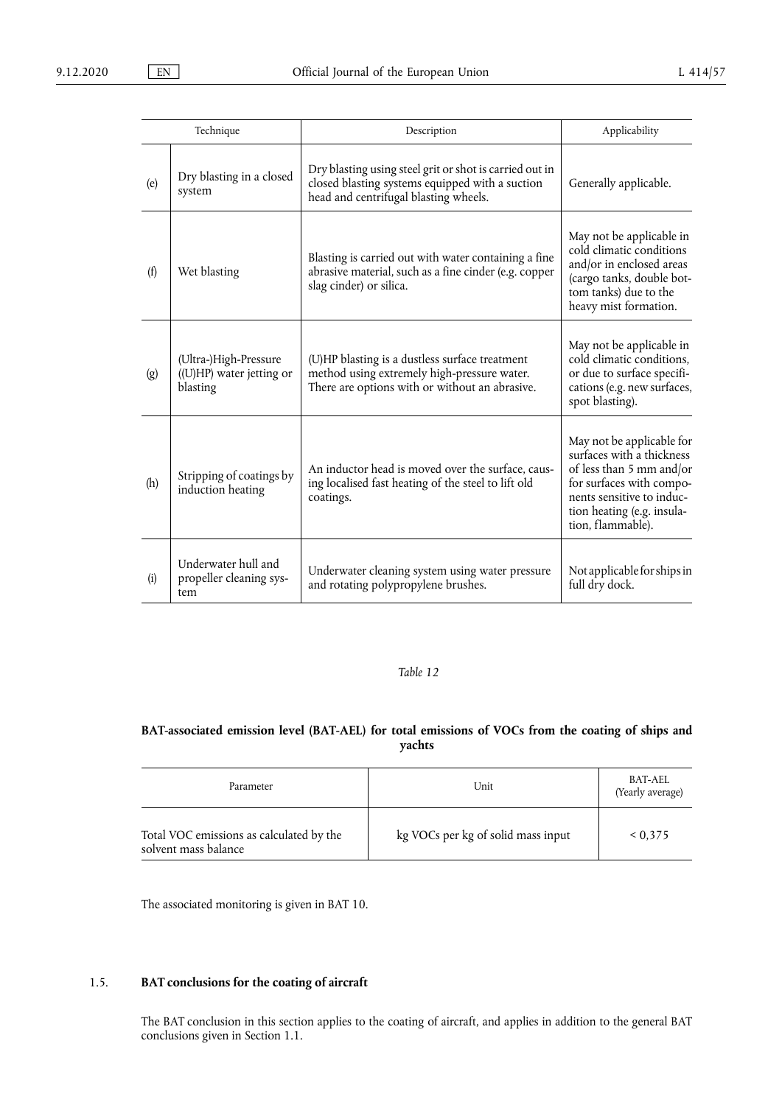| Technique |                                                               | Description                                                                                                                                         | Applicability                                                                                                                                                                                  |
|-----------|---------------------------------------------------------------|-----------------------------------------------------------------------------------------------------------------------------------------------------|------------------------------------------------------------------------------------------------------------------------------------------------------------------------------------------------|
| (e)       | Dry blasting in a closed<br>system                            | Dry blasting using steel grit or shot is carried out in<br>closed blasting systems equipped with a suction<br>head and centrifugal blasting wheels. | Generally applicable.                                                                                                                                                                          |
| (f)       | Wet blasting                                                  | Blasting is carried out with water containing a fine<br>abrasive material, such as a fine cinder (e.g. copper<br>slag cinder) or silica.            | May not be applicable in<br>cold climatic conditions<br>and/or in enclosed areas<br>(cargo tanks, double bot-<br>tom tanks) due to the<br>heavy mist formation.                                |
| (g)       | (Ultra-)High-Pressure<br>((U)HP) water jetting or<br>blasting | (U)HP blasting is a dustless surface treatment<br>method using extremely high-pressure water.<br>There are options with or without an abrasive.     | May not be applicable in<br>cold climatic conditions,<br>or due to surface specifi-<br>cations (e.g. new surfaces,<br>spot blasting).                                                          |
| (h)       | Stripping of coatings by<br>induction heating                 | An inductor head is moved over the surface, caus-<br>ing localised fast heating of the steel to lift old<br>coatings.                               | May not be applicable for<br>surfaces with a thickness<br>of less than 5 mm and/or<br>for surfaces with compo-<br>nents sensitive to induc-<br>tion heating (e.g. insula-<br>tion, flammable). |
| (i)       | Underwater hull and<br>propeller cleaning sys-<br>tem         | Underwater cleaning system using water pressure<br>and rotating polypropylene brushes.                                                              | Not applicable for ships in<br>full dry dock.                                                                                                                                                  |

## **BAT-associated emission level (BAT-AEL) for total emissions of VOCs from the coating of ships and yachts**

| Parameter                                                        | Unit                               | BAT-AEL<br>(Yearly average) |
|------------------------------------------------------------------|------------------------------------|-----------------------------|
| Total VOC emissions as calculated by the<br>solvent mass balance | kg VOCs per kg of solid mass input | ${}< 0.375$                 |

The associated monitoring is given in BAT 10.

## 1.5. **BAT conclusions for the coating of aircraft**

The BAT conclusion in this section applies to the coating of aircraft, and applies in addition to the general BAT conclusions given in Section 1.1.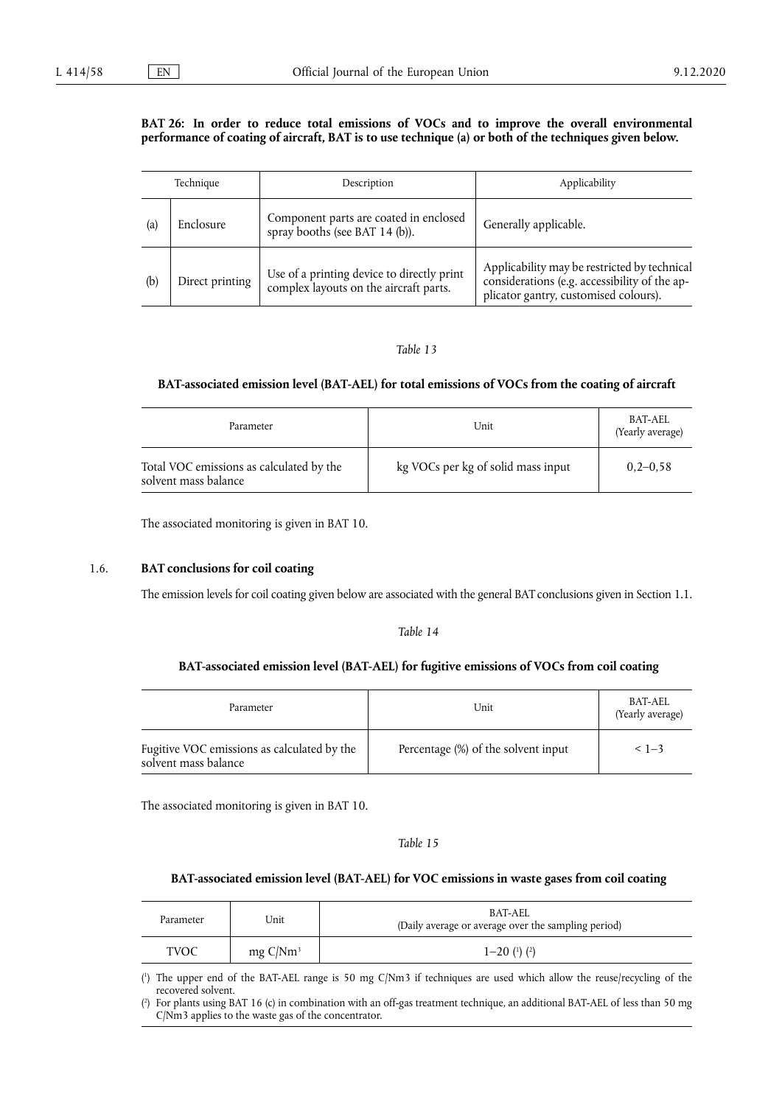#### BAT 26: In order to reduce total emissions of VOCs and to improve the overall environmental **performance of coating of aircraft, BAT is to use technique (a) or both of the techniques given below.**

|     | Technique       | Description                                                                          | Applicability                                                                                                                          |
|-----|-----------------|--------------------------------------------------------------------------------------|----------------------------------------------------------------------------------------------------------------------------------------|
| (a) | Enclosure       | Component parts are coated in enclosed<br>spray booths (see BAT 14 (b)).             | Generally applicable.                                                                                                                  |
| (b) | Direct printing | Use of a printing device to directly print<br>complex layouts on the aircraft parts. | Applicability may be restricted by technical<br>considerations (e.g. accessibility of the ap-<br>plicator gantry, customised colours). |

#### *Table 13*

## **BAT-associated emission level (BAT-AEL) for total emissions of VOCs from the coating of aircraft**

| Parameter                                                        | Unit                               | BAT-AEL<br>(Yearly average) |
|------------------------------------------------------------------|------------------------------------|-----------------------------|
| Total VOC emissions as calculated by the<br>solvent mass balance | kg VOCs per kg of solid mass input | $0.2 - 0.58$                |

The associated monitoring is given in BAT 10.

## 1.6. **BAT conclusions for coil coating**

The emission levels for coil coating given below are associated with the general BAT conclusions given in Section 1.1.

#### *Table 14*

## **BAT-associated emission level (BAT-AEL) for fugitive emissions of VOCs from coil coating**

| Parameter                                                           | Unit                                | BAT-AEL<br>(Yearly average) |
|---------------------------------------------------------------------|-------------------------------------|-----------------------------|
| Fugitive VOC emissions as calculated by the<br>solvent mass balance | Percentage (%) of the solvent input | $< 1 - 3$                   |

The associated monitoring is given in BAT 10.

<span id="page-39-2"></span>*Table 15* 

## **BAT-associated emission level (BAT-AEL) for VOC emissions in waste gases from coil coating**

| Parameter | Unit                | BAT-AEL<br>(Daily average or average over the sampling period) |
|-----------|---------------------|----------------------------------------------------------------|
| TVOC      | $mg \frac{C}{Nm^3}$ | $1 - 20$ ( <sup>1</sup> ) ( <sup>2</sup> )                     |

<span id="page-39-0"></span>[\(](#page-39-2) 1 ) The upper end of the BAT-AEL range is 50 mg C/Nm3 if techniques are used which allow the reuse/recycling of the recovered solvent.

<span id="page-39-1"></span> $($ <sup>2</sup> ) For plants using BAT 16 (c) in combination with an off-gas treatment technique, an additional BAT-AEL of less than 50 mg C/Nm3 applies to the waste gas of the concentrator.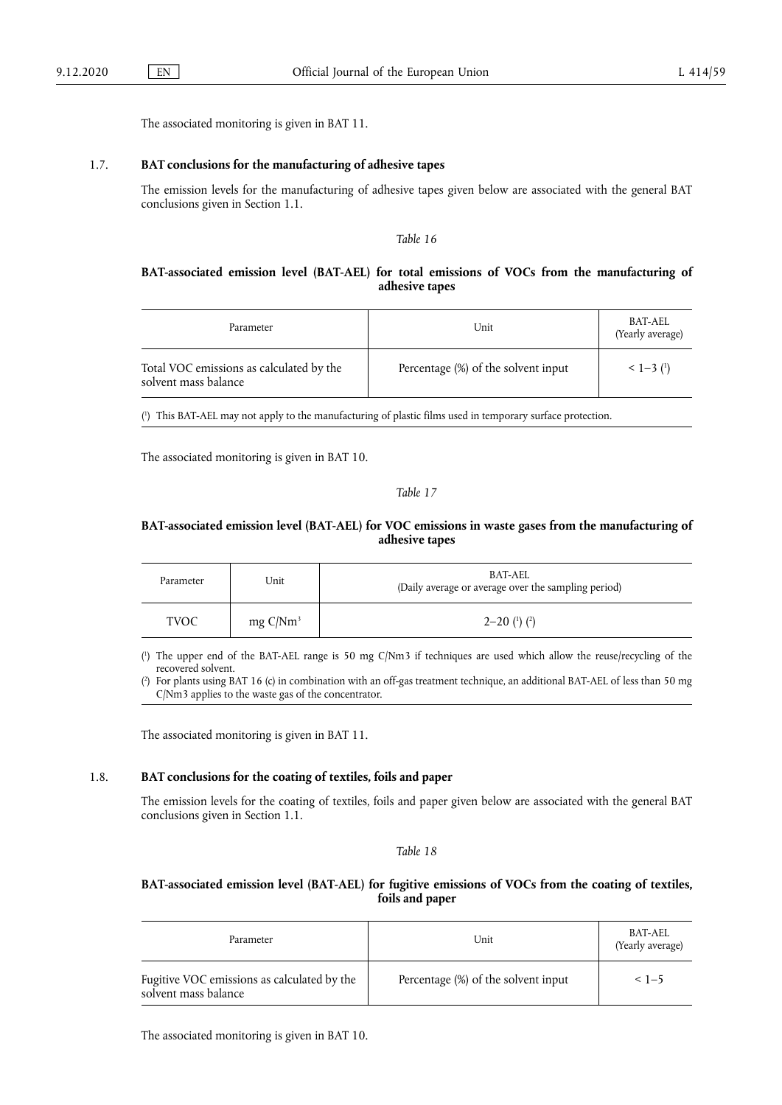The associated monitoring is given in BAT 11.

## 1.7. **BAT conclusions for the manufacturing of adhesive tapes**

The emission levels for the manufacturing of adhesive tapes given below are associated with the general BAT conclusions given in Section 1.1.

<span id="page-40-1"></span>*Table 16* 

#### **BAT-associated emission level (BAT-AEL) for total emissions of VOCs from the manufacturing of adhesive tapes**

| Parameter                                                        | Unit                                | BAT-AEL<br>(Yearly average) |
|------------------------------------------------------------------|-------------------------------------|-----------------------------|
| Total VOC emissions as calculated by the<br>solvent mass balance | Percentage (%) of the solvent input | $<$ 1-3 $(1)$               |

<span id="page-40-0"></span>( 1 [\)](#page-40-1) This BAT-AEL may not apply to the manufacturing of plastic films used in temporary surface protection.

The associated monitoring is given in BAT 10.

#### <span id="page-40-4"></span>*Table 17*

## **BAT-associated emission level (BAT-AEL) for VOC emissions in waste gases from the manufacturing of adhesive tapes**

| Parameter   | Unit                | BAT-AEL<br>(Daily average or average over the sampling period) |  |
|-------------|---------------------|----------------------------------------------------------------|--|
| <b>TVOC</b> | $mg \frac{C}{Nm^3}$ | $2-20$ ( <sup>1</sup> ) ( <sup>2</sup> )                       |  |

<span id="page-40-2"></span>[\(](#page-40-4) 1 ) The upper end of the BAT-AEL range is 50 mg C/Nm3 if techniques are used which allow the reuse/recycling of the recovered solvent.

<span id="page-40-3"></span> $(2)$  $(2)$ ) For plants using BAT 16 (c) in combination with an off-gas treatment technique, an additional BAT-AEL of less than 50 mg C/Nm3 applies to the waste gas of the concentrator.

The associated monitoring is given in BAT 11.

#### 1.8. **BAT conclusions for the coating of textiles, foils and paper**

The emission levels for the coating of textiles, foils and paper given below are associated with the general BAT conclusions given in Section 1.1.

#### *Table 18*

## **BAT-associated emission level (BAT-AEL) for fugitive emissions of VOCs from the coating of textiles, foils and paper**

| Parameter                                                           | Unit                                | BAT-AEL<br>(Yearly average) |
|---------------------------------------------------------------------|-------------------------------------|-----------------------------|
| Fugitive VOC emissions as calculated by the<br>solvent mass balance | Percentage (%) of the solvent input | $< 1 - 5$                   |

The associated monitoring is given in BAT 10.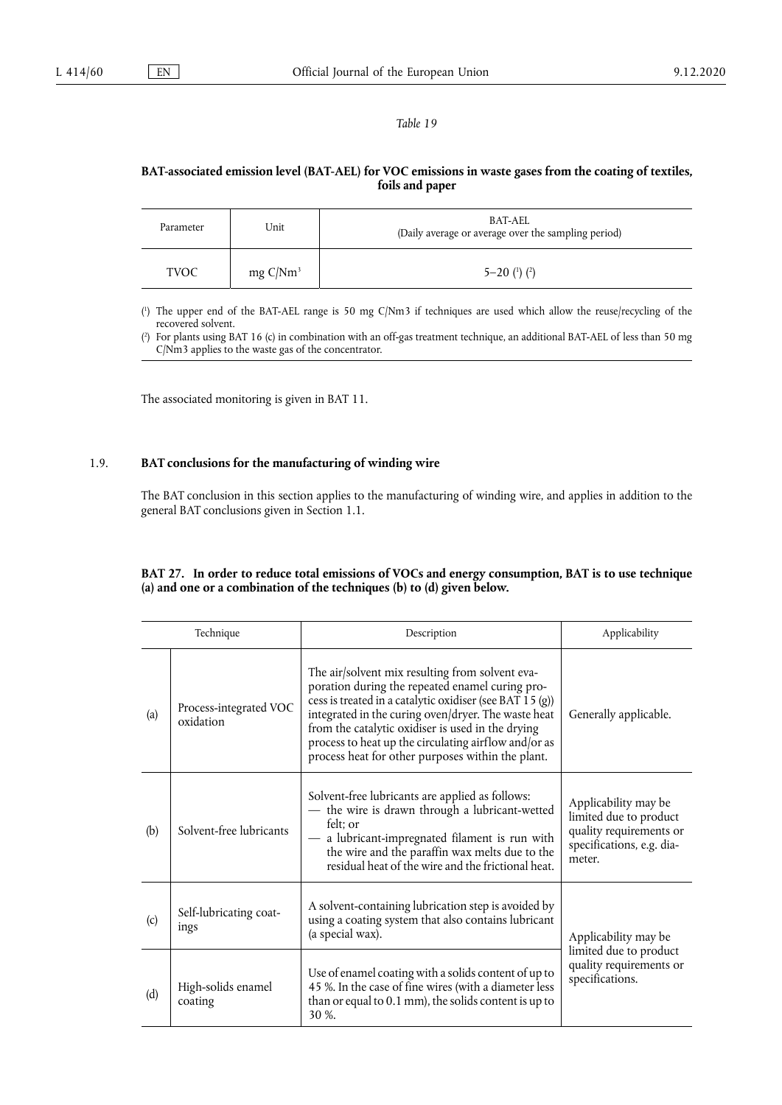## **BAT-associated emission level (BAT-AEL) for VOC emissions in waste gases from the coating of textiles, foils and paper**

<span id="page-41-2"></span>

| Parameter   | Unit                | BAT-AEL<br>(Daily average or average over the sampling period) |
|-------------|---------------------|----------------------------------------------------------------|
| <b>TVOC</b> | $mg \frac{C}{Nm^3}$ | $5 - 20$ ( <sup>1</sup> ) ( <sup>2</sup> )                     |

<span id="page-41-0"></span>[\(](#page-41-2) 1 ) The upper end of the BAT-AEL range is 50 mg C/Nm3 if techniques are used which allow the reuse/recycling of the recovered solvent.

<span id="page-41-1"></span>[\(](#page-41-2) 2 ) For plants using BAT 16 (c) in combination with an off-gas treatment technique, an additional BAT-AEL of less than 50 mg C/Nm3 applies to the waste gas of the concentrator.

The associated monitoring is given in BAT 11.

## 1.9. **BAT conclusions for the manufacturing of winding wire**

The BAT conclusion in this section applies to the manufacturing of winding wire, and applies in addition to the general BAT conclusions given in Section 1.1.

## **BAT 27. In order to reduce total emissions of VOCs and energy consumption, BAT is to use technique (a) and one or a combination of the techniques (b) to (d) given below.**

|     | Technique                           | Description                                                                                                                                                                                                                                                                                                                                                                             | Applicability                                                                                                    |
|-----|-------------------------------------|-----------------------------------------------------------------------------------------------------------------------------------------------------------------------------------------------------------------------------------------------------------------------------------------------------------------------------------------------------------------------------------------|------------------------------------------------------------------------------------------------------------------|
| (a) | Process-integrated VOC<br>oxidation | The air/solvent mix resulting from solvent eva-<br>poration during the repeated enamel curing pro-<br>cess is treated in a catalytic oxidiser (see BAT 15 (g))<br>integrated in the curing oven/dryer. The waste heat<br>from the catalytic oxidiser is used in the drying<br>process to heat up the circulating airflow and/or as<br>process heat for other purposes within the plant. | Generally applicable.                                                                                            |
| (b) | Solvent-free lubricants             | Solvent-free lubricants are applied as follows:<br>- the wire is drawn through a lubricant-wetted<br>felt: or<br>- a lubricant-impregnated filament is run with<br>the wire and the paraffin wax melts due to the<br>residual heat of the wire and the frictional heat.                                                                                                                 | Applicability may be<br>limited due to product<br>quality requirements or<br>specifications, e.g. dia-<br>meter. |
| (c) | Self-lubricating coat-<br>ings      | A solvent-containing lubrication step is avoided by<br>using a coating system that also contains lubricant<br>(a special wax).                                                                                                                                                                                                                                                          | Applicability may be                                                                                             |
| (d) | High-solids enamel<br>coating       | Use of enamel coating with a solids content of up to<br>45 %. In the case of fine wires (with a diameter less<br>than or equal to 0.1 mm), the solids content is up to<br>30 %.                                                                                                                                                                                                         | limited due to product<br>quality requirements or<br>specifications.                                             |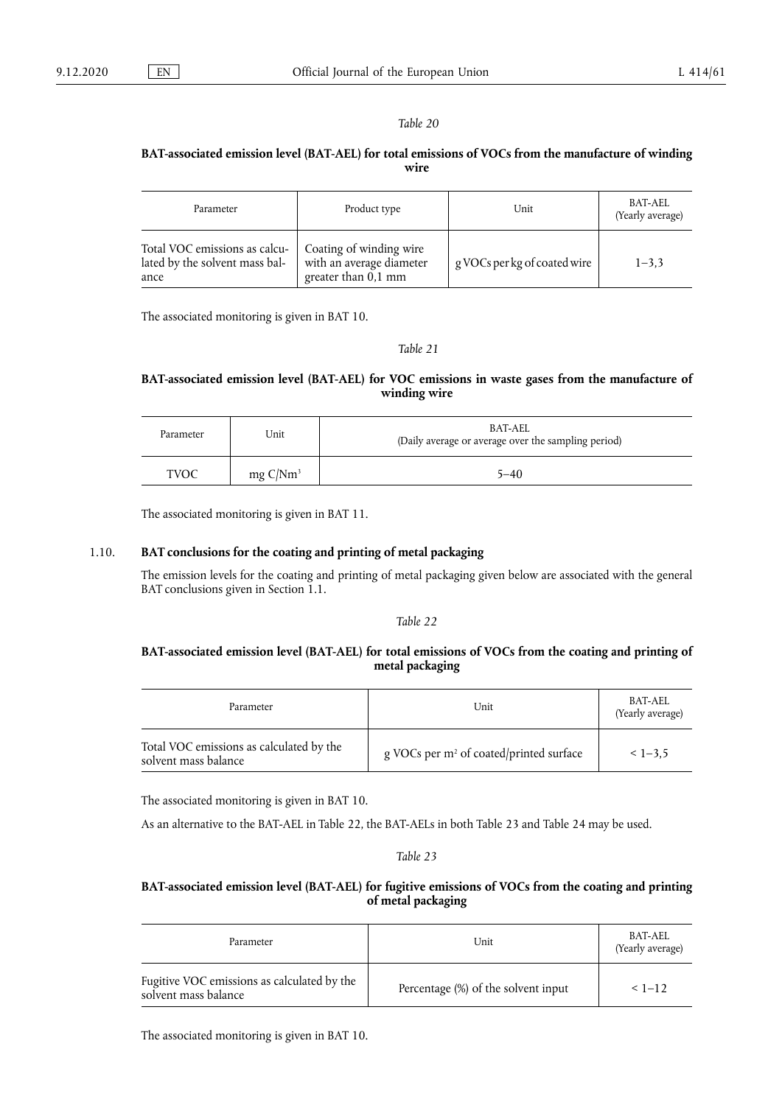## **BAT-associated emission level (BAT-AEL) for total emissions of VOCs from the manufacture of winding wire**

| Parameter                                                               | Product type                                                                 | Unit                         | <b>BAT-AEL</b><br>(Yearly average) |
|-------------------------------------------------------------------------|------------------------------------------------------------------------------|------------------------------|------------------------------------|
| Total VOC emissions as calcu-<br>lated by the solvent mass bal-<br>ance | Coating of winding wire<br>with an average diameter<br>greater than $0,1$ mm | g VOCs per kg of coated wire | $1 - 3.3$                          |

The associated monitoring is given in BAT 10.

*Table 21* 

## **BAT-associated emission level (BAT-AEL) for VOC emissions in waste gases from the manufacture of winding wire**

| Parameter | Unit                | BAT-AEL<br>(Daily average or average over the sampling period) |
|-----------|---------------------|----------------------------------------------------------------|
| TVOC      | $mg \frac{C}{Nm^3}$ | 5–40                                                           |

The associated monitoring is given in BAT 11.

## 1.10. **BAT conclusions for the coating and printing of metal packaging**

The emission levels for the coating and printing of metal packaging given below are associated with the general BAT conclusions given in Section 1.1.

#### *Table 22*

## **BAT-associated emission level (BAT-AEL) for total emissions of VOCs from the coating and printing of metal packaging**

| Parameter                                                        | Unit                                                | BAT-AEL<br>(Yearly average) |
|------------------------------------------------------------------|-----------------------------------------------------|-----------------------------|
| Total VOC emissions as calculated by the<br>solvent mass balance | g VOCs per m <sup>2</sup> of coated/printed surface | $< 1 - 3.5$                 |

The associated monitoring is given in BAT 10.

As an alternative to the BAT-AEL in Table 22, the BAT-AELs in both Table 23 and Table 24 may be used.

## *Table 23*

## **BAT-associated emission level (BAT-AEL) for fugitive emissions of VOCs from the coating and printing of metal packaging**

| Parameter                                                           | Unit                                | BAT-AEL<br>(Yearly average) |
|---------------------------------------------------------------------|-------------------------------------|-----------------------------|
| Fugitive VOC emissions as calculated by the<br>solvent mass balance | Percentage (%) of the solvent input | $< 1 - 12$                  |

The associated monitoring is given in BAT 10.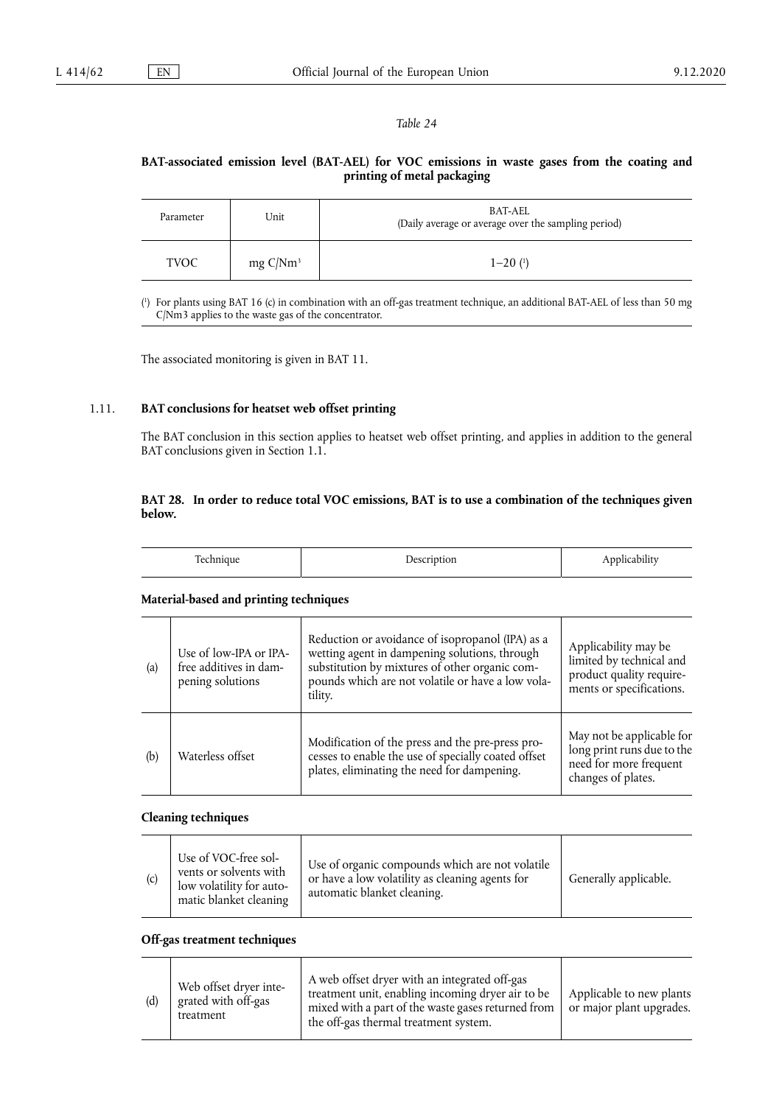## **BAT-associated emission level (BAT-AEL) for VOC emissions in waste gases from the coating and printing of metal packaging**

| Parameter   | Unit                | BAT-AEL<br>(Daily average or average over the sampling period) |
|-------------|---------------------|----------------------------------------------------------------|
| <b>TVOC</b> | $mg \frac{C}{Nm^3}$ | $1 - 20$ $(1)$                                                 |

<span id="page-43-1"></span><span id="page-43-0"></span>[\(](#page-43-1) 1 ) For plants using BAT 16 (c) in combination with an off-gas treatment technique, an additional BAT-AEL of less than 50 mg C/Nm3 applies to the waste gas of the concentrator.

The associated monitoring is given in BAT 11.

## 1.11. **BAT conclusions for heatset web offset printing**

The BAT conclusion in this section applies to heatset web offset printing, and applies in addition to the general BAT conclusions given in Section 1.1.

## **BAT 28. In order to reduce total VOC emissions, BAT is to use a combination of the techniques given below.**

#### **Material-based and printing techniques**

| (a) | Use of low-IPA or IPA-<br>free additives in dam-<br>pening solutions | Reduction or avoidance of isopropanol (IPA) as a<br>wetting agent in dampening solutions, through<br>substitution by mixtures of other organic com-<br>pounds which are not volatile or have a low vola-<br>tility. | Applicability may be<br>limited by technical and<br>product quality require-<br>ments or specifications. |
|-----|----------------------------------------------------------------------|---------------------------------------------------------------------------------------------------------------------------------------------------------------------------------------------------------------------|----------------------------------------------------------------------------------------------------------|
| (b) | Waterless offset                                                     | Modification of the press and the pre-press pro-<br>cesses to enable the use of specially coated offset<br>plates, eliminating the need for dampening.                                                              | May not be applicable for<br>long print runs due to the<br>need for more frequent<br>changes of plates.  |

#### **Cleaning techniques**

|  | Use of VOC-free sol-<br>vents or solvents with<br>low volatility for auto-<br>matic blanket cleaning | Use of organic compounds which are not volatile<br>or have a low volatility as cleaning agents for<br>automatic blanket cleaning. | Generally applicable. |
|--|------------------------------------------------------------------------------------------------------|-----------------------------------------------------------------------------------------------------------------------------------|-----------------------|
|--|------------------------------------------------------------------------------------------------------|-----------------------------------------------------------------------------------------------------------------------------------|-----------------------|

## **Off-gas treatment techniques**

| (d) | Web offset dryer inte-<br>grated with off-gas<br>treatment | A web offset dryer with an integrated off-gas<br>treatment unit, enabling incoming dryer air to be<br>mixed with a part of the waste gases returned from<br>the off-gas thermal treatment system. | Applicable to new plants<br>or major plant upgrades. |
|-----|------------------------------------------------------------|---------------------------------------------------------------------------------------------------------------------------------------------------------------------------------------------------|------------------------------------------------------|
|-----|------------------------------------------------------------|---------------------------------------------------------------------------------------------------------------------------------------------------------------------------------------------------|------------------------------------------------------|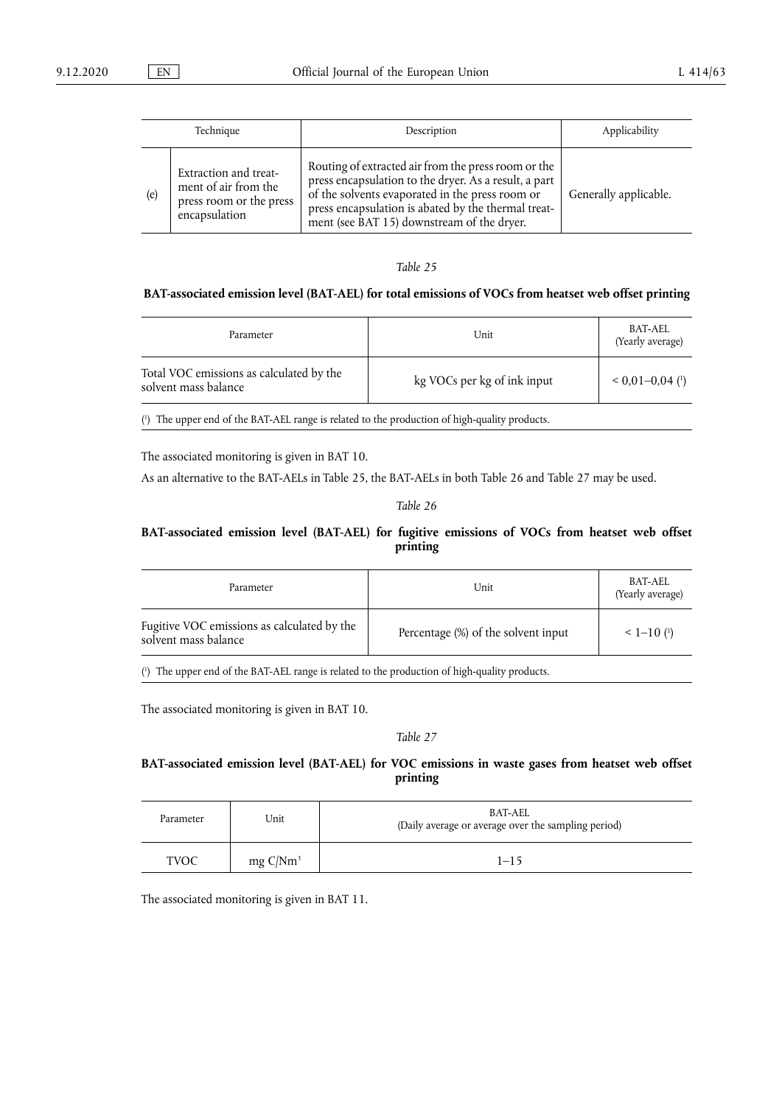| Technique |                                                                                           | Description                                                                                                                                                                                                                                                          | Applicability         |
|-----------|-------------------------------------------------------------------------------------------|----------------------------------------------------------------------------------------------------------------------------------------------------------------------------------------------------------------------------------------------------------------------|-----------------------|
| (e)       | Extraction and treat-<br>ment of air from the<br>press room or the press<br>encapsulation | Routing of extracted air from the press room or the<br>press encapsulation to the dryer. As a result, a part<br>of the solvents evaporated in the press room or<br>press encapsulation is abated by the thermal treat-<br>ment (see BAT 15) downstream of the dryer. | Generally applicable. |

## **BAT-associated emission level (BAT-AEL) for total emissions of VOCs from heatset web offset printing**

| Parameter                                                        | Unit                        | BAT-AEL<br>(Yearly average)    |
|------------------------------------------------------------------|-----------------------------|--------------------------------|
| Total VOC emissions as calculated by the<br>solvent mass balance | kg VOCs per kg of ink input | $0.01 - 0.04$ ( <sup>1</sup> ) |

<span id="page-44-0"></span>( 1 [\)](#page-44-1) The upper end of the BAT-AEL range is related to the production of high-quality products.

The associated monitoring is given in BAT 10.

As an alternative to the BAT-AELs in Table 25, the BAT-AELs in both Table 26 and Table 27 may be used.

## <span id="page-44-1"></span>*Table 26*

## **BAT-associated emission level (BAT-AEL) for fugitive emissions of VOCs from heatset web offset printing**

| Parameter                                                           | Unit                                | BAT-AEL<br>(Yearly average) |
|---------------------------------------------------------------------|-------------------------------------|-----------------------------|
| Fugitive VOC emissions as calculated by the<br>solvent mass balance | Percentage (%) of the solvent input | $1 - 10$ ( <sup>1</sup> )   |

<span id="page-44-2"></span>( 1 [\)](#page-44-3) The upper end of the BAT-AEL range is related to the production of high-quality products.

The associated monitoring is given in BAT 10.

### <span id="page-44-3"></span>*Table 27*

## **BAT-associated emission level (BAT-AEL) for VOC emissions in waste gases from heatset web offset printing**

| Parameter   | Unit                | BAT-AEL<br>(Daily average or average over the sampling period) |
|-------------|---------------------|----------------------------------------------------------------|
| <b>TVOC</b> | $mg \frac{C}{Nm^3}$ | $1 - 15$                                                       |

The associated monitoring is given in BAT 11.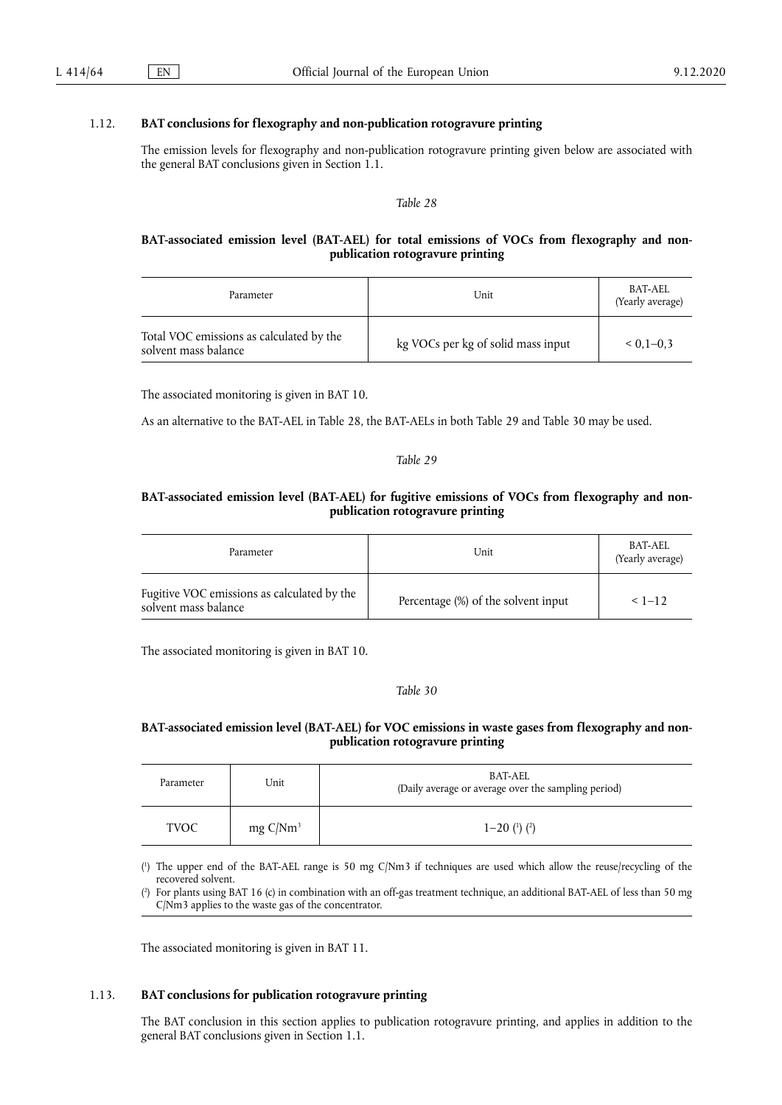## 1.12. **BAT conclusions for flexography and non-publication rotogravure printing**

The emission levels for flexography and non-publication rotogravure printing given below are associated with the general BAT conclusions given in Section 1.1.

#### *Table 28*

### **BAT-associated emission level (BAT-AEL) for total emissions of VOCs from flexography and nonpublication rotogravure printing**

| Parameter                                                        | Unit                               | BAT-AEL<br>(Yearly average) |
|------------------------------------------------------------------|------------------------------------|-----------------------------|
| Total VOC emissions as calculated by the<br>solvent mass balance | kg VOCs per kg of solid mass input | $0.1 - 0.3$                 |

The associated monitoring is given in BAT 10.

As an alternative to the BAT-AEL in Table 28, the BAT-AELs in both Table 29 and Table 30 may be used.

#### *Table 29*

## **BAT-associated emission level (BAT-AEL) for fugitive emissions of VOCs from flexography and nonpublication rotogravure printing**

| Parameter                                                           | Unit                                | BAT-AEL<br>(Yearly average) |
|---------------------------------------------------------------------|-------------------------------------|-----------------------------|
| Fugitive VOC emissions as calculated by the<br>solvent mass balance | Percentage (%) of the solvent input | $< 1 - 12$                  |

The associated monitoring is given in BAT 10.

#### <span id="page-45-2"></span>*Table 30*

## **BAT-associated emission level (BAT-AEL) for VOC emissions in waste gases from flexography and nonpublication rotogravure printing**

| Parameter   | Unit                | BAT-AEL<br>(Daily average or average over the sampling period) |
|-------------|---------------------|----------------------------------------------------------------|
| <b>TVOC</b> | $mg \frac{C}{Nm^3}$ | $1 - 20$ ( <sup>1</sup> ) ( <sup>2</sup> )                     |

<span id="page-45-0"></span>[\(](#page-45-2) 1 ) The upper end of the BAT-AEL range is 50 mg C/Nm3 if techniques are used which allow the reuse/recycling of the recovered solvent.

<span id="page-45-1"></span>[\(](#page-45-2) 2 ) For plants using BAT 16 (c) in combination with an off-gas treatment technique, an additional BAT-AEL of less than 50 mg C/Nm3 applies to the waste gas of the concentrator.

The associated monitoring is given in BAT 11.

#### 1.13. **BAT conclusions for publication rotogravure printing**

The BAT conclusion in this section applies to publication rotogravure printing, and applies in addition to the general BAT conclusions given in Section 1.1.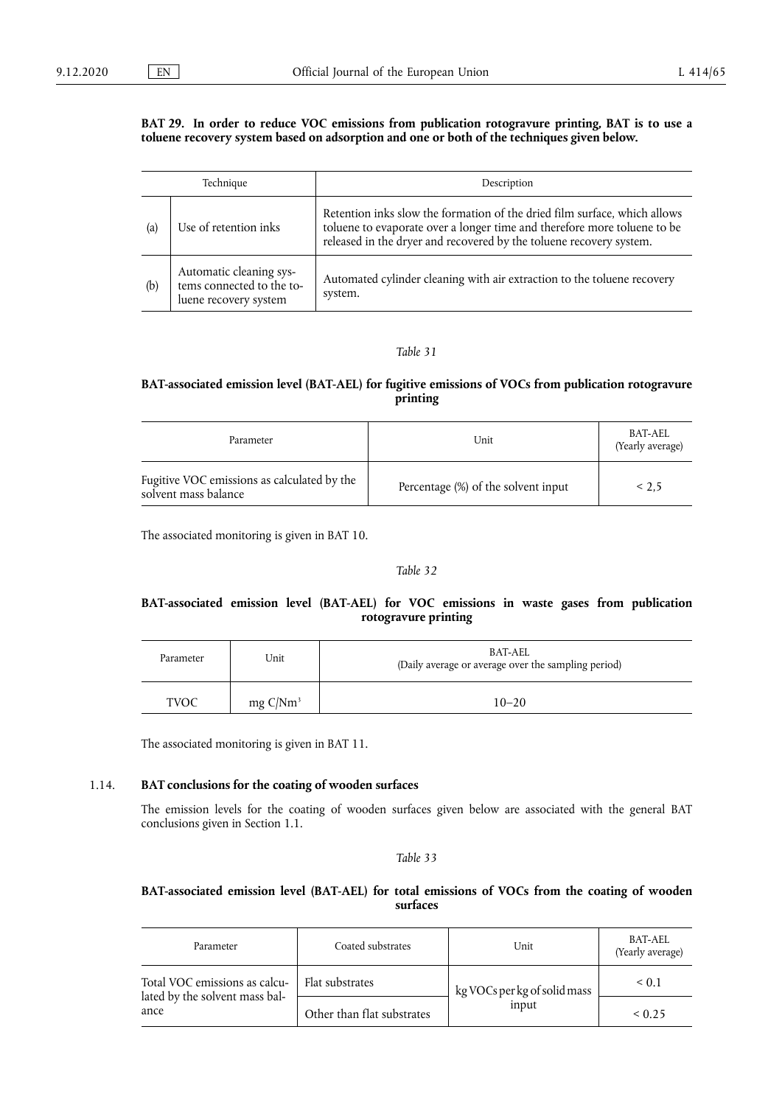#### **BAT 29. In order to reduce VOC emissions from publication rotogravure printing, BAT is to use a toluene recovery system based on adsorption and one or both of the techniques given below.**

| Technique |                                                                               | Description                                                                                                                                                                                                                  |
|-----------|-------------------------------------------------------------------------------|------------------------------------------------------------------------------------------------------------------------------------------------------------------------------------------------------------------------------|
| (a)       | Use of retention inks                                                         | Retention inks slow the formation of the dried film surface, which allows<br>toluene to evaporate over a longer time and therefore more toluene to be<br>released in the dryer and recovered by the toluene recovery system. |
| (b)       | Automatic cleaning sys-<br>tems connected to the to-<br>luene recovery system | Automated cylinder cleaning with air extraction to the toluene recovery<br>system.                                                                                                                                           |

## *Table 31*

## **BAT-associated emission level (BAT-AEL) for fugitive emissions of VOCs from publication rotogravure printing**

| Parameter                                                           | Unit                                | BAT-AEL<br>(Yearly average) |
|---------------------------------------------------------------------|-------------------------------------|-----------------------------|
| Fugitive VOC emissions as calculated by the<br>solvent mass balance | Percentage (%) of the solvent input | < 2.5                       |

The associated monitoring is given in BAT 10.

## *Table 32*

## **BAT-associated emission level (BAT-AEL) for VOC emissions in waste gases from publication rotogravure printing**

| Parameter   | Unit                | BAT-AEL<br>(Daily average or average over the sampling period) |
|-------------|---------------------|----------------------------------------------------------------|
| <b>TVOC</b> | $mg \frac{C}{Nm^3}$ | $10 - 20$                                                      |

The associated monitoring is given in BAT 11.

#### 1.14. **BAT conclusions for the coating of wooden surfaces**

The emission levels for the coating of wooden surfaces given below are associated with the general BAT conclusions given in Section 1.1.

#### *Table 33*

#### **BAT-associated emission level (BAT-AEL) for total emissions of VOCs from the coating of wooden surfaces**

| Parameter                                                       | Coated substrates          | Unit                                  | <b>BAT-AEL</b><br>(Yearly average) |
|-----------------------------------------------------------------|----------------------------|---------------------------------------|------------------------------------|
| Total VOC emissions as calcu-<br>lated by the solvent mass bal- | Flat substrates            | kg VOCs per kg of solid mass<br>input | $\le 0.1$                          |
| ance                                                            | Other than flat substrates |                                       | < 0.25                             |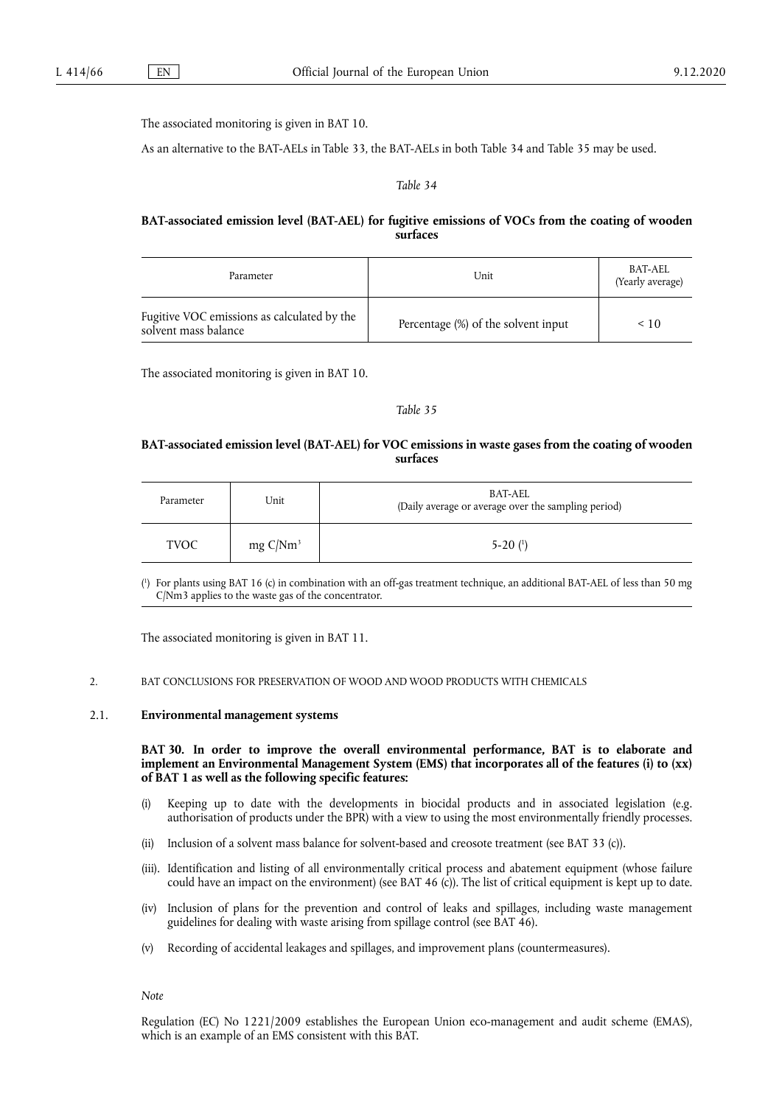The associated monitoring is given in BAT 10.

As an alternative to the BAT-AELs in Table 33, the BAT-AELs in both Table 34 and Table 35 may be used.

#### *Table 34*

## **BAT-associated emission level (BAT-AEL) for fugitive emissions of VOCs from the coating of wooden surfaces**

| Parameter                                                           | Unit                                | BAT-AEL<br>(Yearly average) |
|---------------------------------------------------------------------|-------------------------------------|-----------------------------|
| Fugitive VOC emissions as calculated by the<br>solvent mass balance | Percentage (%) of the solvent input | $\leq 10$                   |

The associated monitoring is given in BAT 10.

### <span id="page-47-1"></span>*Table 35*

#### **BAT-associated emission level (BAT-AEL) for VOC emissions in waste gases from the coating of wooden surfaces**

| Parameter   | Unit        | BAT-AEL<br>(Daily average or average over the sampling period) |
|-------------|-------------|----------------------------------------------------------------|
| <b>TVOC</b> | mg $C/Nm^3$ | $5-20(1)$                                                      |

<span id="page-47-0"></span>[\(](#page-47-1) 1 ) For plants using BAT 16 (c) in combination with an off-gas treatment technique, an additional BAT-AEL of less than 50 mg C/Nm3 applies to the waste gas of the concentrator.

The associated monitoring is given in BAT 11.

#### 2. BAT CONCLUSIONS FOR PRESERVATION OF WOOD AND WOOD PRODUCTS WITH CHEMICALS

#### 2.1. **Environmental management systems**

**BAT 30. In order to improve the overall environmental performance, BAT is to elaborate and implement an Environmental Management System (EMS) that incorporates all of the features (i) to (xx) of BAT 1 as well as the following specific features:** 

- (i) Keeping up to date with the developments in biocidal products and in associated legislation (e.g. authorisation of products under the BPR) with a view to using the most environmentally friendly processes.
- (ii) Inclusion of a solvent mass balance for solvent-based and creosote treatment (see BAT 33 (c)).
- (iii). Identification and listing of all environmentally critical process and abatement equipment (whose failure could have an impact on the environment) (see BAT 46 (c)). The list of critical equipment is kept up to date.
- (iv) Inclusion of plans for the prevention and control of leaks and spillages, including waste management guidelines for dealing with waste arising from spillage control (see BAT 46).
- (v) Recording of accidental leakages and spillages, and improvement plans (countermeasures).

*Note* 

Regulation (EC) No 1221/2009 establishes the European Union eco-management and audit scheme (EMAS), which is an example of an EMS consistent with this BAT.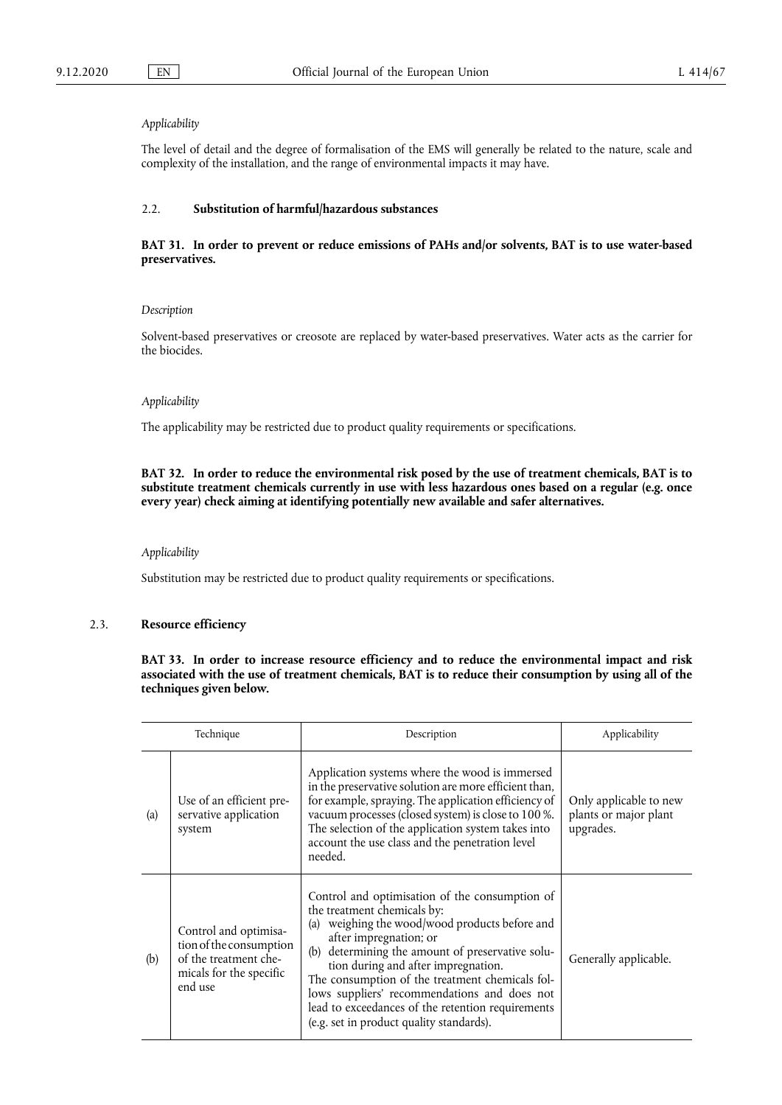## *Applicability*

The level of detail and the degree of formalisation of the EMS will generally be related to the nature, scale and complexity of the installation, and the range of environmental impacts it may have.

#### 2.2. **Substitution of harmful/hazardous substances**

#### **BAT 31. In order to prevent or reduce emissions of PAHs and/or solvents, BAT is to use water-based preservatives.**

#### *Description*

Solvent-based preservatives or creosote are replaced by water-based preservatives. Water acts as the carrier for the biocides.

#### *Applicability*

The applicability may be restricted due to product quality requirements or specifications.

#### **BAT 32. In order to reduce the environmental risk posed by the use of treatment chemicals, BAT is to substitute treatment chemicals currently in use with less hazardous ones based on a regular (e.g. once every year) check aiming at identifying potentially new available and safer alternatives.**

## *Applicability*

Substitution may be restricted due to product quality requirements or specifications.

### 2.3. **Resource efficiency**

**BAT 33. In order to increase resource efficiency and to reduce the environmental impact and risk associated with the use of treatment chemicals, BAT is to reduce their consumption by using all of the techniques given below.** 

|                   | Technique                                                                                                       | Description                                                                                                                                                                                                                                                                                                                                                                                                                                                    | Applicability                                                |
|-------------------|-----------------------------------------------------------------------------------------------------------------|----------------------------------------------------------------------------------------------------------------------------------------------------------------------------------------------------------------------------------------------------------------------------------------------------------------------------------------------------------------------------------------------------------------------------------------------------------------|--------------------------------------------------------------|
| $\left( a\right)$ | Use of an efficient pre-<br>servative application<br>system                                                     | Application systems where the wood is immersed<br>in the preservative solution are more efficient than,<br>for example, spraying. The application efficiency of<br>vacuum processes (closed system) is close to 100 %.<br>The selection of the application system takes into<br>account the use class and the penetration level<br>needed.                                                                                                                     | Only applicable to new<br>plants or major plant<br>upgrades. |
| (b)               | Control and optimisa-<br>tion of the consumption<br>of the treatment che-<br>micals for the specific<br>end use | Control and optimisation of the consumption of<br>the treatment chemicals by:<br>weighing the wood/wood products before and<br>(a)<br>after impregnation; or<br>determining the amount of preservative solu-<br>(b)<br>tion during and after impregnation.<br>The consumption of the treatment chemicals fol-<br>lows suppliers' recommendations and does not<br>lead to exceedances of the retention requirements<br>(e.g. set in product quality standards). | Generally applicable.                                        |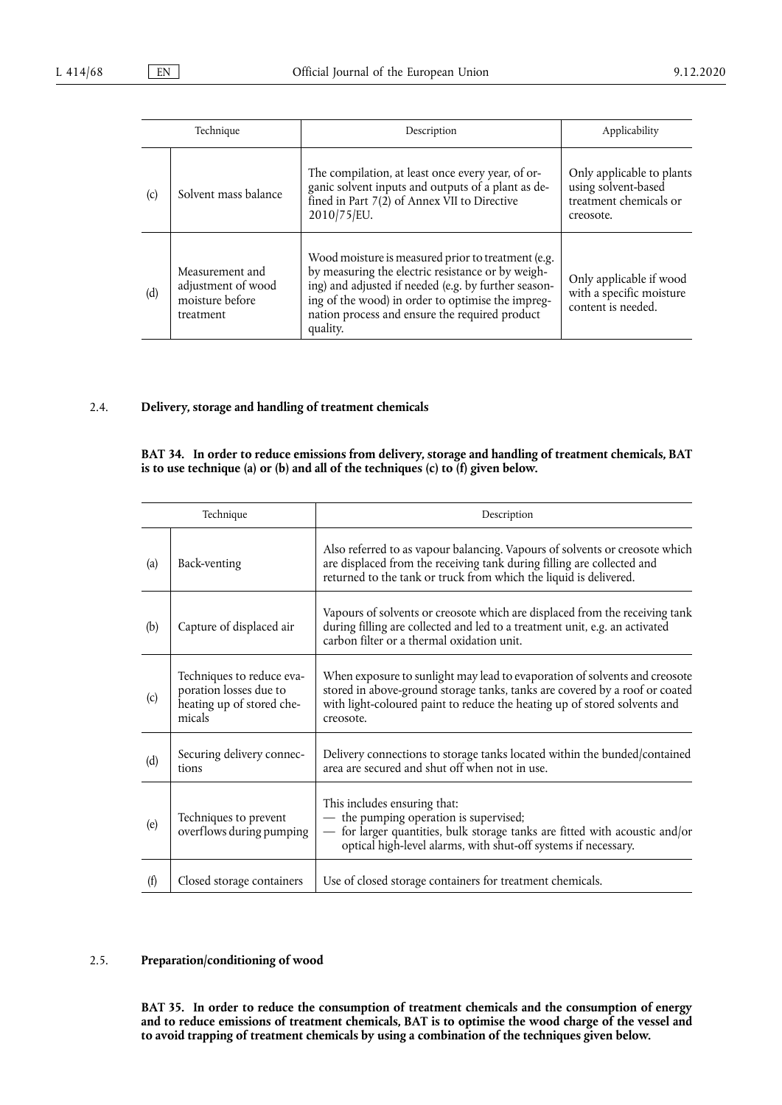|     | Technique                                                             | Description                                                                                                                                                                                                                                                                        | Applicability                                                                           |
|-----|-----------------------------------------------------------------------|------------------------------------------------------------------------------------------------------------------------------------------------------------------------------------------------------------------------------------------------------------------------------------|-----------------------------------------------------------------------------------------|
| (c) | Solvent mass balance                                                  | The compilation, at least once every year, of or-<br>ganic solvent inputs and outputs of a plant as de-<br>fined in Part $7(2)$ of Annex VII to Directive<br>2010/75/EU.                                                                                                           | Only applicable to plants<br>using solvent-based<br>treatment chemicals or<br>creosote. |
| (d) | Measurement and<br>adjustment of wood<br>moisture before<br>treatment | Wood moisture is measured prior to treatment (e.g.<br>by measuring the electric resistance or by weigh-<br>ing) and adjusted if needed (e.g. by further season-<br>ing of the wood) in order to optimise the impreg-<br>nation process and ensure the required product<br>quality. | Only applicable if wood<br>with a specific moisture<br>content is needed.               |

## 2.4. **Delivery, storage and handling of treatment chemicals**

## **BAT 34. In order to reduce emissions from delivery, storage and handling of treatment chemicals, BAT is to use technique (a) or (b) and all of the techniques (c) to (f) given below.**

|                   | Technique                                                                                  | Description                                                                                                                                                                                                                                         |
|-------------------|--------------------------------------------------------------------------------------------|-----------------------------------------------------------------------------------------------------------------------------------------------------------------------------------------------------------------------------------------------------|
| $\left( a\right)$ | Back-venting                                                                               | Also referred to as vapour balancing. Vapours of solvents or creosote which<br>are displaced from the receiving tank during filling are collected and<br>returned to the tank or truck from which the liquid is delivered.                          |
| (b)               | Capture of displaced air                                                                   | Vapours of solvents or creosote which are displaced from the receiving tank<br>during filling are collected and led to a treatment unit, e.g. an activated<br>carbon filter or a thermal oxidation unit.                                            |
| (c)               | Techniques to reduce eva-<br>poration losses due to<br>heating up of stored che-<br>micals | When exposure to sunlight may lead to evaporation of solvents and creosote<br>stored in above-ground storage tanks, tanks are covered by a roof or coated<br>with light-coloured paint to reduce the heating up of stored solvents and<br>creosote. |
| (d)               | Securing delivery connec-<br>tions                                                         | Delivery connections to storage tanks located within the bunded/contained<br>area are secured and shut off when not in use.                                                                                                                         |
| (e)               | Techniques to prevent<br>overflows during pumping                                          | This includes ensuring that:<br>- the pumping operation is supervised;<br>for larger quantities, bulk storage tanks are fitted with acoustic and/or<br>$\overline{\phantom{0}}$<br>optical high-level alarms, with shut-off systems if necessary.   |
| (f)               | Closed storage containers                                                                  | Use of closed storage containers for treatment chemicals.                                                                                                                                                                                           |

## 2.5. **Preparation/conditioning of wood**

**BAT 35. In order to reduce the consumption of treatment chemicals and the consumption of energy and to reduce emissions of treatment chemicals, BAT is to optimise the wood charge of the vessel and to avoid trapping of treatment chemicals by using a combination of the techniques given below.**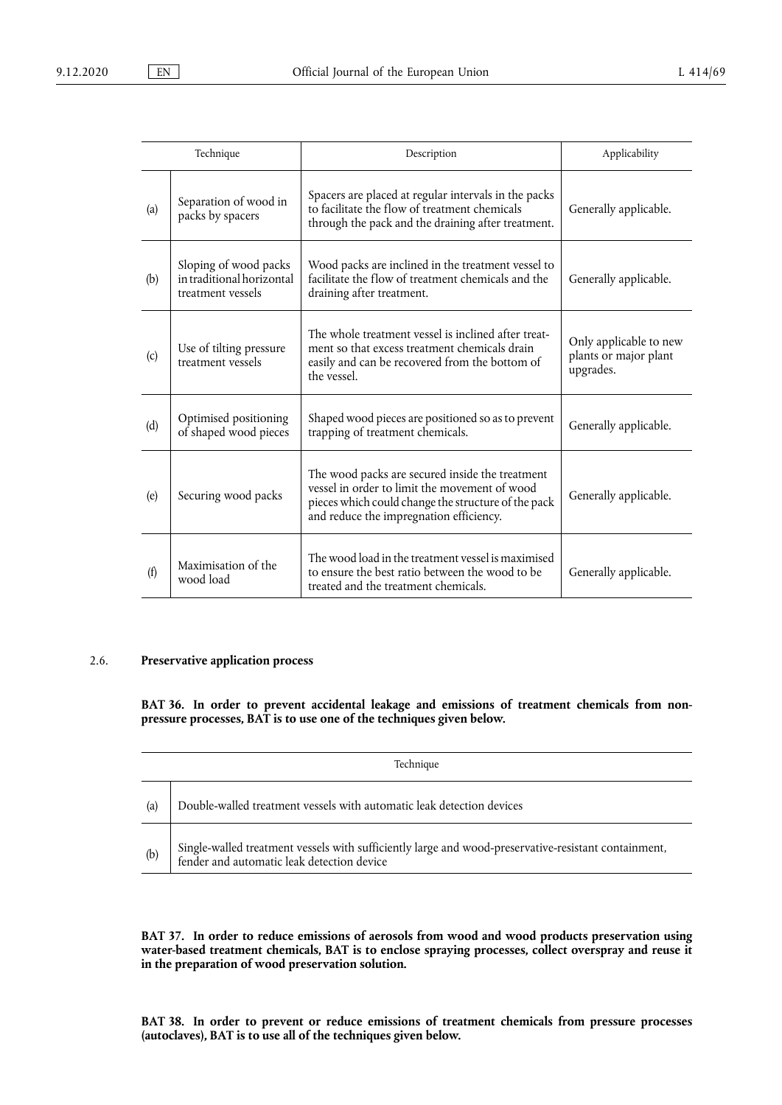|     | Technique                                                               | Description                                                                                                                                                                                        | Applicability                                                |
|-----|-------------------------------------------------------------------------|----------------------------------------------------------------------------------------------------------------------------------------------------------------------------------------------------|--------------------------------------------------------------|
| (a) | Separation of wood in<br>packs by spacers                               | Spacers are placed at regular intervals in the packs<br>to facilitate the flow of treatment chemicals<br>through the pack and the draining after treatment.                                        | Generally applicable.                                        |
| (b) | Sloping of wood packs<br>in traditional horizontal<br>treatment vessels | Wood packs are inclined in the treatment vessel to<br>facilitate the flow of treatment chemicals and the<br>draining after treatment.                                                              | Generally applicable.                                        |
| (c) | Use of tilting pressure<br>treatment vessels                            | The whole treatment vessel is inclined after treat-<br>ment so that excess treatment chemicals drain<br>easily and can be recovered from the bottom of<br>the vessel.                              | Only applicable to new<br>plants or major plant<br>upgrades. |
| (d) | Optimised positioning<br>of shaped wood pieces                          | Shaped wood pieces are positioned so as to prevent<br>trapping of treatment chemicals.                                                                                                             | Generally applicable.                                        |
| (e) | Securing wood packs                                                     | The wood packs are secured inside the treatment<br>vessel in order to limit the movement of wood<br>pieces which could change the structure of the pack<br>and reduce the impregnation efficiency. | Generally applicable.                                        |
| (f) | Maximisation of the<br>wood load                                        | The wood load in the treatment vessel is maximised<br>to ensure the best ratio between the wood to be<br>treated and the treatment chemicals.                                                      | Generally applicable.                                        |

## 2.6. **Preservative application process**

**BAT 36. In order to prevent accidental leakage and emissions of treatment chemicals from nonpressure processes, BAT is to use one of the techniques given below.** 

|     | Technique                                                                                                                                          |  |  |
|-----|----------------------------------------------------------------------------------------------------------------------------------------------------|--|--|
| (a) | Double-walled treatment vessels with automatic leak detection devices                                                                              |  |  |
| (b) | Single-walled treatment vessels with sufficiently large and wood-preservative-resistant containment,<br>fender and automatic leak detection device |  |  |

**BAT 37. In order to reduce emissions of aerosols from wood and wood products preservation using water-based treatment chemicals, BAT is to enclose spraying processes, collect overspray and reuse it in the preparation of wood preservation solution.** 

**BAT 38. In order to prevent or reduce emissions of treatment chemicals from pressure processes (autoclaves), BAT is to use all of the techniques given below.**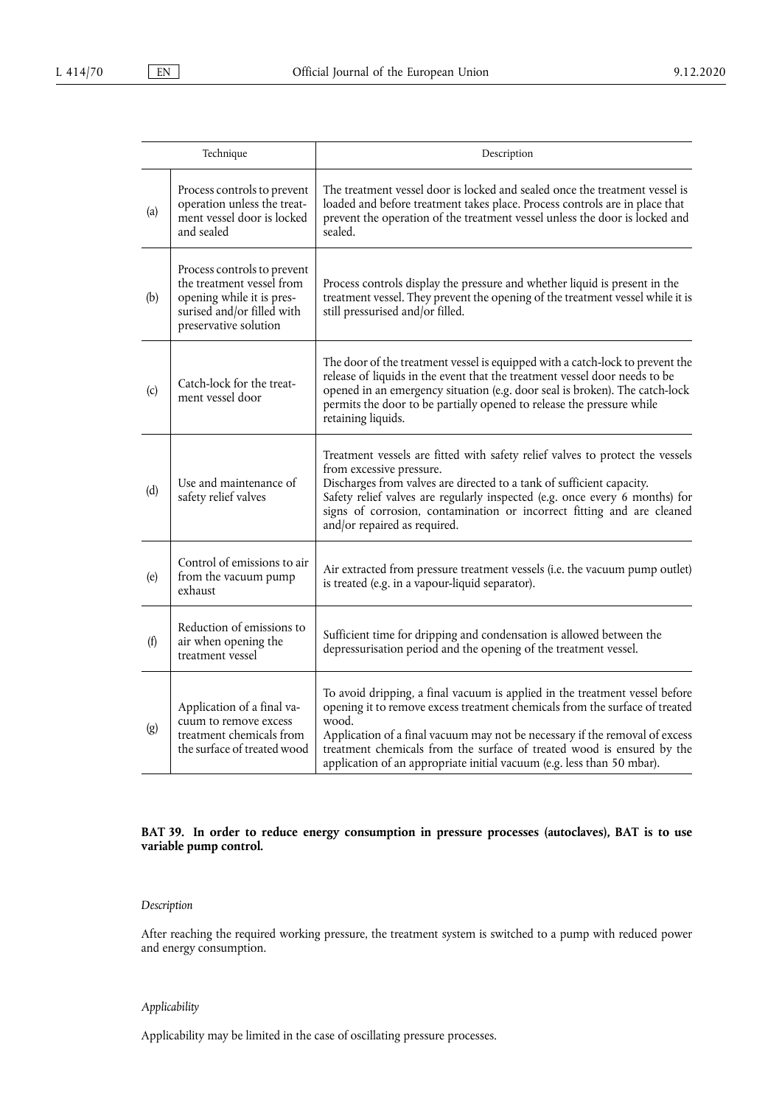|     | Technique                                                                                                                                    | Description                                                                                                                                                                                                                                                                                                                                                                                            |
|-----|----------------------------------------------------------------------------------------------------------------------------------------------|--------------------------------------------------------------------------------------------------------------------------------------------------------------------------------------------------------------------------------------------------------------------------------------------------------------------------------------------------------------------------------------------------------|
| (a) | Process controls to prevent<br>operation unless the treat-<br>ment vessel door is locked<br>and sealed                                       | The treatment vessel door is locked and sealed once the treatment vessel is<br>loaded and before treatment takes place. Process controls are in place that<br>prevent the operation of the treatment vessel unless the door is locked and<br>sealed.                                                                                                                                                   |
| (b) | Process controls to prevent<br>the treatment vessel from<br>opening while it is pres-<br>surised and/or filled with<br>preservative solution | Process controls display the pressure and whether liquid is present in the<br>treatment vessel. They prevent the opening of the treatment vessel while it is<br>still pressurised and/or filled.                                                                                                                                                                                                       |
| (c) | Catch-lock for the treat-<br>ment vessel door                                                                                                | The door of the treatment vessel is equipped with a catch-lock to prevent the<br>release of liquids in the event that the treatment vessel door needs to be<br>opened in an emergency situation (e.g. door seal is broken). The catch-lock<br>permits the door to be partially opened to release the pressure while<br>retaining liquids.                                                              |
| (d) | Use and maintenance of<br>safety relief valves                                                                                               | Treatment vessels are fitted with safety relief valves to protect the vessels<br>from excessive pressure.<br>Discharges from valves are directed to a tank of sufficient capacity.<br>Safety relief valves are regularly inspected (e.g. once every 6 months) for<br>signs of corrosion, contamination or incorrect fitting and are cleaned<br>and/or repaired as required.                            |
| (e) | Control of emissions to air<br>from the vacuum pump<br>exhaust                                                                               | Air extracted from pressure treatment vessels (i.e. the vacuum pump outlet)<br>is treated (e.g. in a vapour-liquid separator).                                                                                                                                                                                                                                                                         |
| (f) | Reduction of emissions to<br>air when opening the<br>treatment vessel                                                                        | Sufficient time for dripping and condensation is allowed between the<br>depressurisation period and the opening of the treatment vessel.                                                                                                                                                                                                                                                               |
| (g) | Application of a final va-<br>cuum to remove excess<br>treatment chemicals from<br>the surface of treated wood                               | To avoid dripping, a final vacuum is applied in the treatment vessel before<br>opening it to remove excess treatment chemicals from the surface of treated<br>wood.<br>Application of a final vacuum may not be necessary if the removal of excess<br>treatment chemicals from the surface of treated wood is ensured by the<br>application of an appropriate initial vacuum (e.g. less than 50 mbar). |

## **BAT 39. In order to reduce energy consumption in pressure processes (autoclaves), BAT is to use variable pump control.**

## *Description*

After reaching the required working pressure, the treatment system is switched to a pump with reduced power and energy consumption.

## *Applicability*

Applicability may be limited in the case of oscillating pressure processes.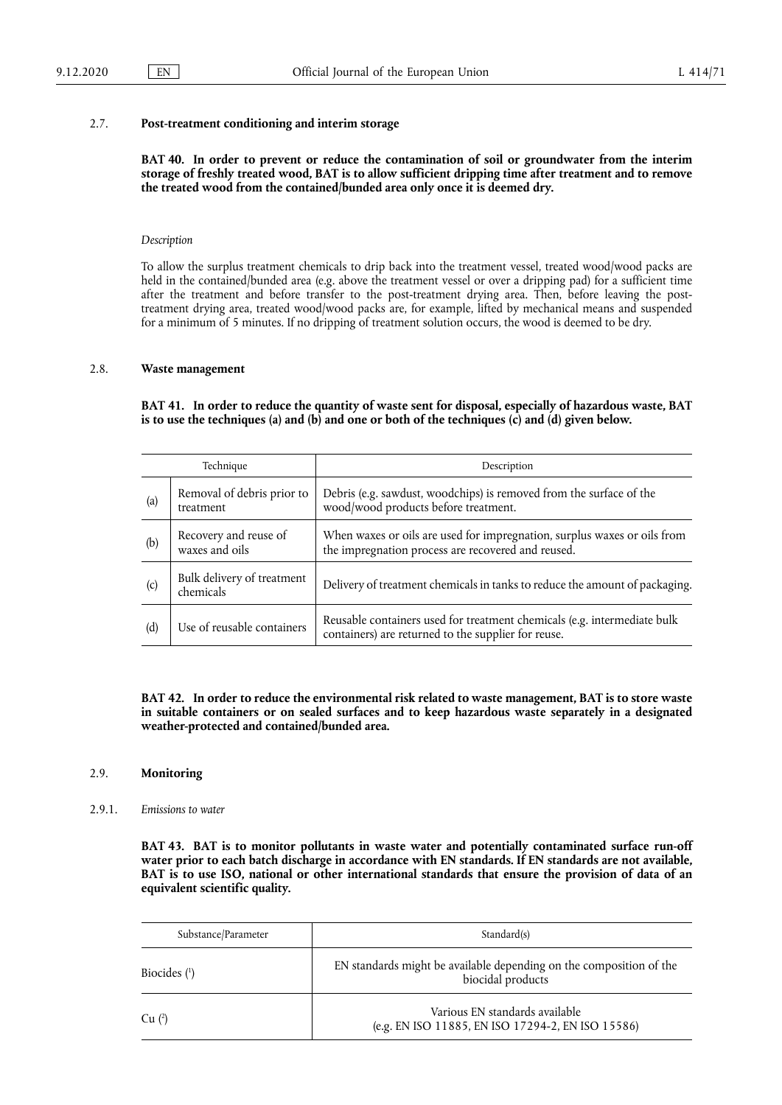#### 2.7. **Post-treatment conditioning and interim storage**

**BAT 40. In order to prevent or reduce the contamination of soil or groundwater from the interim storage of freshly treated wood, BAT is to allow sufficient dripping time after treatment and to remove the treated wood from the contained/bunded area only once it is deemed dry.** 

#### *Description*

To allow the surplus treatment chemicals to drip back into the treatment vessel, treated wood/wood packs are held in the contained/bunded area (e.g. above the treatment vessel or over a dripping pad) for a sufficient time after the treatment and before transfer to the post-treatment drying area. Then, before leaving the posttreatment drying area, treated wood/wood packs are, for example, lifted by mechanical means and suspended for a minimum of 5 minutes. If no dripping of treatment solution occurs, the wood is deemed to be dry.

## 2.8. **Waste management**

**BAT 41. In order to reduce the quantity of waste sent for disposal, especially of hazardous waste, BAT**  is to use the techniques (a) and (b) and one or both of the techniques  $(c)$  and  $(d)$  given below.

|     | Technique                               | Description                                                                                                                     |
|-----|-----------------------------------------|---------------------------------------------------------------------------------------------------------------------------------|
| (a) | Removal of debris prior to<br>treatment | Debris (e.g. sawdust, woodchips) is removed from the surface of the<br>wood/wood products before treatment.                     |
| (b) | Recovery and reuse of<br>waxes and oils | When waxes or oils are used for impregnation, surplus waxes or oils from<br>the impregnation process are recovered and reused.  |
| (c) | Bulk delivery of treatment<br>chemicals | Delivery of treatment chemicals in tanks to reduce the amount of packaging.                                                     |
| (d) | Use of reusable containers              | Reusable containers used for treatment chemicals (e.g. intermediate bulk<br>containers) are returned to the supplier for reuse. |

**BAT 42. In order to reduce the environmental risk related to waste management, BAT is to store waste in suitable containers or on sealed surfaces and to keep hazardous waste separately in a designated weather-protected and contained/bunded area.** 

#### 2.9. **Monitoring**

#### 2.9.1. *Emissions to water*

**BAT 43. BAT is to monitor pollutants in waste water and potentially contaminated surface run-off water prior to each batch discharge in accordance with EN standards. If EN standards are not available, BAT is to use ISO, national or other international standards that ensure the provision of data of an equivalent scientific quality.** 

<span id="page-52-1"></span><span id="page-52-0"></span>

| Substance/Parameter | Standard(s)                                                                              |
|---------------------|------------------------------------------------------------------------------------------|
| Biocides $(1)$      | EN standards might be available depending on the composition of the<br>biocidal products |
| $Cu$ $(2)$          | Various EN standards available<br>(e.g. EN ISO 11885, EN ISO 17294-2, EN ISO 15586)      |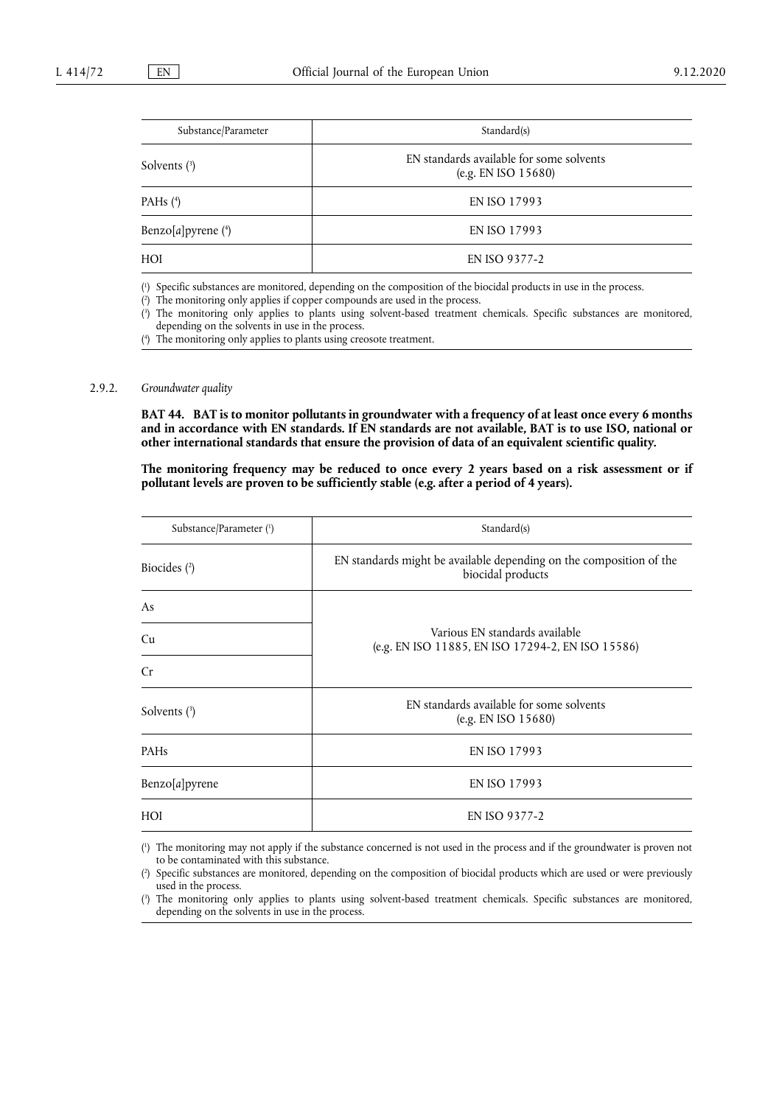<span id="page-53-4"></span>

| Substance/Parameter  | Standard(s)                                                     |
|----------------------|-----------------------------------------------------------------|
| Solvents $(3)$       | EN standards available for some solvents<br>(e.g. EN ISO 15680) |
| PAHs $(4)$           | EN ISO 17993                                                    |
| Benzo[a]pyrene $(4)$ | EN ISO 17993                                                    |
| HOI                  | EN ISO 9377-2                                                   |

<span id="page-53-5"></span><span id="page-53-0"></span>[\(](#page-52-0) 1 ) Specific substances are monitored, depending on the composition of the biocidal products in use in the process.

<span id="page-53-1"></span>[\(](#page-52-1) 2 ) The monitoring only applies if copper compounds are used in the process.

<span id="page-53-2"></span>[\(](#page-53-4) 3 ) The monitoring only applies to plants using solvent-based treatment chemicals. Specific substances are monitored, depending on the solvents in use in the process.

<span id="page-53-3"></span>[\(](#page-53-5) 4 ) The monitoring only applies to plants using creosote treatment.

## 2.9.2. *Groundwater quality*

**BAT 44. BAT is to monitor pollutants in groundwater with a frequency of at least once every 6 months and in accordance with EN standards. If EN standards are not available, BAT is to use ISO, national or other international standards that ensure the provision of data of an equivalent scientific quality.** 

The monitoring frequency may be reduced to once every 2 years based on a risk assessment or if **pollutant levels are proven to be sufficiently stable (e.g. after a period of 4 years).** 

<span id="page-53-10"></span><span id="page-53-9"></span>

| Substance/Parameter (1) | Standard(s)                                                                              |  |
|-------------------------|------------------------------------------------------------------------------------------|--|
| Biocides $(2)$          | EN standards might be available depending on the composition of the<br>biocidal products |  |
| As                      |                                                                                          |  |
| Cu                      | Various EN standards available<br>(e.g. EN ISO 11885, EN ISO 17294-2, EN ISO 15586)      |  |
| Cr                      |                                                                                          |  |
| Solvents $(3)$          | EN standards available for some solvents<br>(e.g. EN ISO 15680)                          |  |
| PAHs                    | EN ISO 17993                                                                             |  |
| Benzo[a]pyrene          | EN ISO 17993                                                                             |  |
| HOI                     | EN ISO 9377-2                                                                            |  |

<span id="page-53-11"></span><span id="page-53-6"></span>[\(](#page-53-9) 1 ) The monitoring may not apply if the substance concerned is not used in the process and if the groundwater is proven not to be contaminated with this substance.

<span id="page-53-7"></span> $($ <sup>2</sup> ) Specific substances are monitored, depending on the composition of biocidal products which are used or were previously used in the process.

<span id="page-53-8"></span>[\(](#page-53-11) 3 ) The monitoring only applies to plants using solvent-based treatment chemicals. Specific substances are monitored, depending on the solvents in use in the process.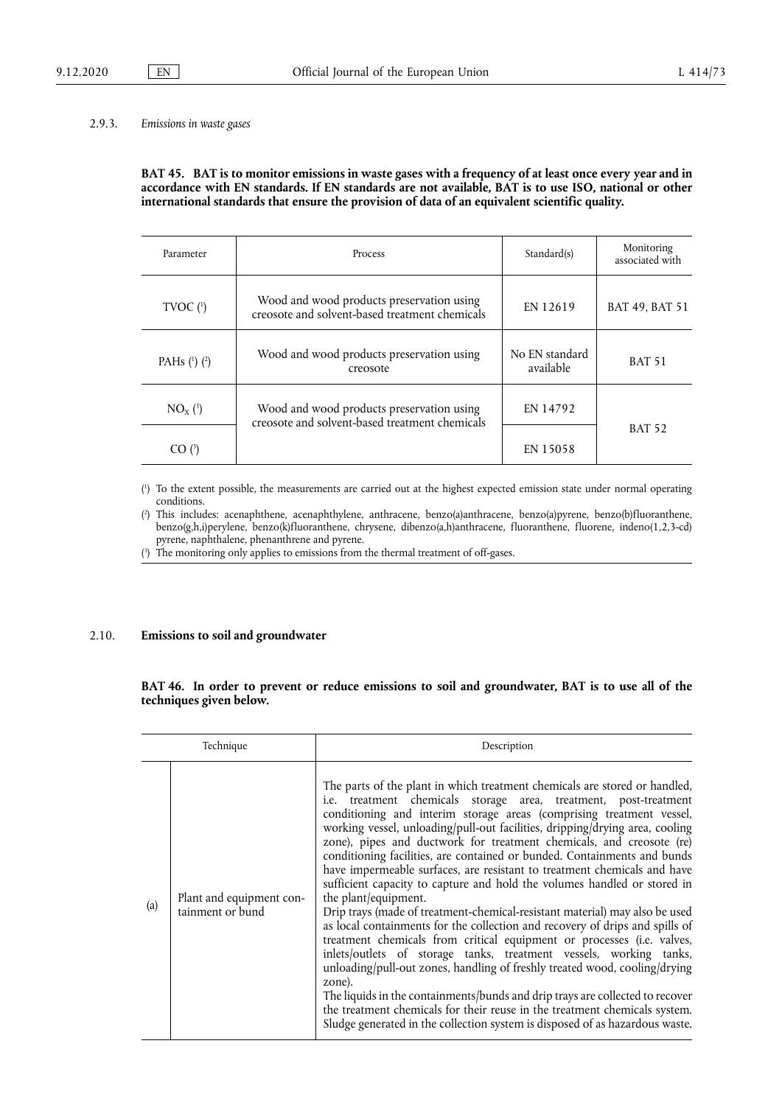#### 2.9.3. *Emissions in waste gases*

## **BAT 45. BAT is to monitor emissions in waste gases with a frequency of at least once every year and in accordance with EN standards. If EN standards are not available, BAT is to use ISO, national or other international standards that ensure the provision of data of an equivalent scientific quality.**

<span id="page-54-3"></span>

| Parameter        | <b>Process</b>                                                                              | Standard(s)                 | Monitoring<br>associated with |
|------------------|---------------------------------------------------------------------------------------------|-----------------------------|-------------------------------|
| TVOC $(^{1})$    | Wood and wood products preservation using<br>creosote and solvent-based treatment chemicals | EN 12619                    | BAT 49, BAT 51                |
| PAHs $(1)$ $(2)$ | Wood and wood products preservation using<br>creosote                                       | No EN standard<br>available | <b>BAT 51</b>                 |
| $NO_{x}$ (3)     | Wood and wood products preservation using<br>creosote and solvent-based treatment chemicals | EN 14792                    |                               |
| CO(3)            |                                                                                             | EN 15058                    | <b>BAT 52</b>                 |

<span id="page-54-4"></span><span id="page-54-0"></span>[\(](#page-54-3) 1 ) To the extent possible, the measurements are carried out at the highest expected emission state under normal operating conditions.

<span id="page-54-1"></span> $($ <sup>2</sup> ) This includes: acenaphthene, acenaphthylene, anthracene, benzo(a)anthracene, benzo(a)pyrene, benzo(b)fluoranthene, benzo(g,h,i)perylene, benzo(k)fluoranthene, chrysene, dibenzo(a,h)anthracene, fluoranthene, fluorene, indeno(1,2,3-cd) pyrene, naphthalene, phenanthrene and pyrene.

<span id="page-54-2"></span>[\(](#page-54-4) 3 ) The monitoring only applies to emissions from the thermal treatment of off-gases.

#### 2.10. **Emissions to soil and groundwater**

BAT 46. In order to prevent or reduce emissions to soil and groundwater, BAT is to use all of the **techniques given below.** 

|     | Technique                                    | Description                                                                                                                                                                                                                                                                                                                                                                                                                                                                                                                                                                                                                                                                                                                                                                                                                                                                                                                                                                                                                                                                                                                                                                                                                                                                                      |
|-----|----------------------------------------------|--------------------------------------------------------------------------------------------------------------------------------------------------------------------------------------------------------------------------------------------------------------------------------------------------------------------------------------------------------------------------------------------------------------------------------------------------------------------------------------------------------------------------------------------------------------------------------------------------------------------------------------------------------------------------------------------------------------------------------------------------------------------------------------------------------------------------------------------------------------------------------------------------------------------------------------------------------------------------------------------------------------------------------------------------------------------------------------------------------------------------------------------------------------------------------------------------------------------------------------------------------------------------------------------------|
| (a) | Plant and equipment con-<br>tainment or bund | The parts of the plant in which treatment chemicals are stored or handled,<br>i.e. treatment chemicals storage area, treatment, post-treatment<br>conditioning and interim storage areas (comprising treatment vessel,<br>working vessel, unloading/pull-out facilities, dripping/drying area, cooling<br>zone), pipes and ductwork for treatment chemicals, and creosote (re)<br>conditioning facilities, are contained or bunded. Containments and bunds<br>have impermeable surfaces, are resistant to treatment chemicals and have<br>sufficient capacity to capture and hold the volumes handled or stored in<br>the plant/equipment.<br>Drip trays (made of treatment-chemical-resistant material) may also be used<br>as local containments for the collection and recovery of drips and spills of<br>treatment chemicals from critical equipment or processes (i.e. valves,<br>inlets/outlets of storage tanks, treatment vessels, working tanks,<br>unloading/pull-out zones, handling of freshly treated wood, cooling/drying<br>zone).<br>The liquids in the containments/bunds and drip trays are collected to recover<br>the treatment chemicals for their reuse in the treatment chemicals system.<br>Sludge generated in the collection system is disposed of as hazardous waste. |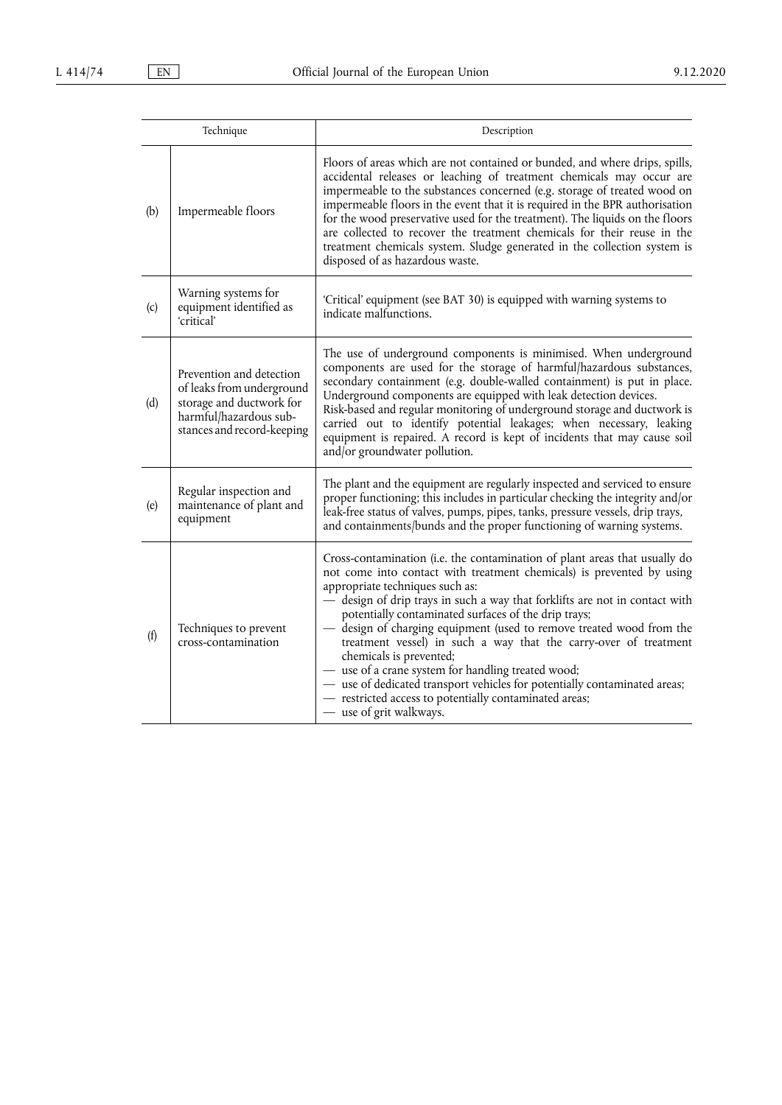|     | Technique                                                                                                                                 | Description                                                                                                                                                                                                                                                                                                                                                                                                                                                                                                                                                                                                                                                                                                                |
|-----|-------------------------------------------------------------------------------------------------------------------------------------------|----------------------------------------------------------------------------------------------------------------------------------------------------------------------------------------------------------------------------------------------------------------------------------------------------------------------------------------------------------------------------------------------------------------------------------------------------------------------------------------------------------------------------------------------------------------------------------------------------------------------------------------------------------------------------------------------------------------------------|
| (b) | Impermeable floors                                                                                                                        | Floors of areas which are not contained or bunded, and where drips, spills,<br>accidental releases or leaching of treatment chemicals may occur are<br>impermeable to the substances concerned (e.g. storage of treated wood on<br>impermeable floors in the event that it is required in the BPR authorisation<br>for the wood preservative used for the treatment). The liquids on the floors<br>are collected to recover the treatment chemicals for their reuse in the<br>treatment chemicals system. Sludge generated in the collection system is<br>disposed of as hazardous waste.                                                                                                                                  |
| (c) | Warning systems for<br>equipment identified as<br>'critical'                                                                              | 'Critical' equipment (see BAT 30) is equipped with warning systems to<br>indicate malfunctions.                                                                                                                                                                                                                                                                                                                                                                                                                                                                                                                                                                                                                            |
| (d) | Prevention and detection<br>of leaks from underground<br>storage and ductwork for<br>harmful/hazardous sub-<br>stances and record-keeping | The use of underground components is minimised. When underground<br>components are used for the storage of harmful/hazardous substances,<br>secondary containment (e.g. double-walled containment) is put in place.<br>Underground components are equipped with leak detection devices.<br>Risk-based and regular monitoring of underground storage and ductwork is<br>carried out to identify potential leakages; when necessary, leaking<br>equipment is repaired. A record is kept of incidents that may cause soil<br>and/or groundwater pollution.                                                                                                                                                                    |
| (e) | Regular inspection and<br>maintenance of plant and<br>equipment                                                                           | The plant and the equipment are regularly inspected and serviced to ensure<br>proper functioning; this includes in particular checking the integrity and/or<br>leak-free status of valves, pumps, pipes, tanks, pressure vessels, drip trays,<br>and containments/bunds and the proper functioning of warning systems.                                                                                                                                                                                                                                                                                                                                                                                                     |
| (f) | Techniques to prevent<br>cross-contamination                                                                                              | Cross-contamination (i.e. the contamination of plant areas that usually do<br>not come into contact with treatment chemicals) is prevented by using<br>appropriate techniques such as:<br>— design of drip trays in such a way that forklifts are not in contact with<br>potentially contaminated surfaces of the drip trays;<br>design of charging equipment (used to remove treated wood from the<br>treatment vessel) in such a way that the carry-over of treatment<br>chemicals is prevented;<br>- use of a crane system for handling treated wood;<br>- use of dedicated transport vehicles for potentially contaminated areas;<br>- restricted access to potentially contaminated areas;<br>- use of grit walkways. |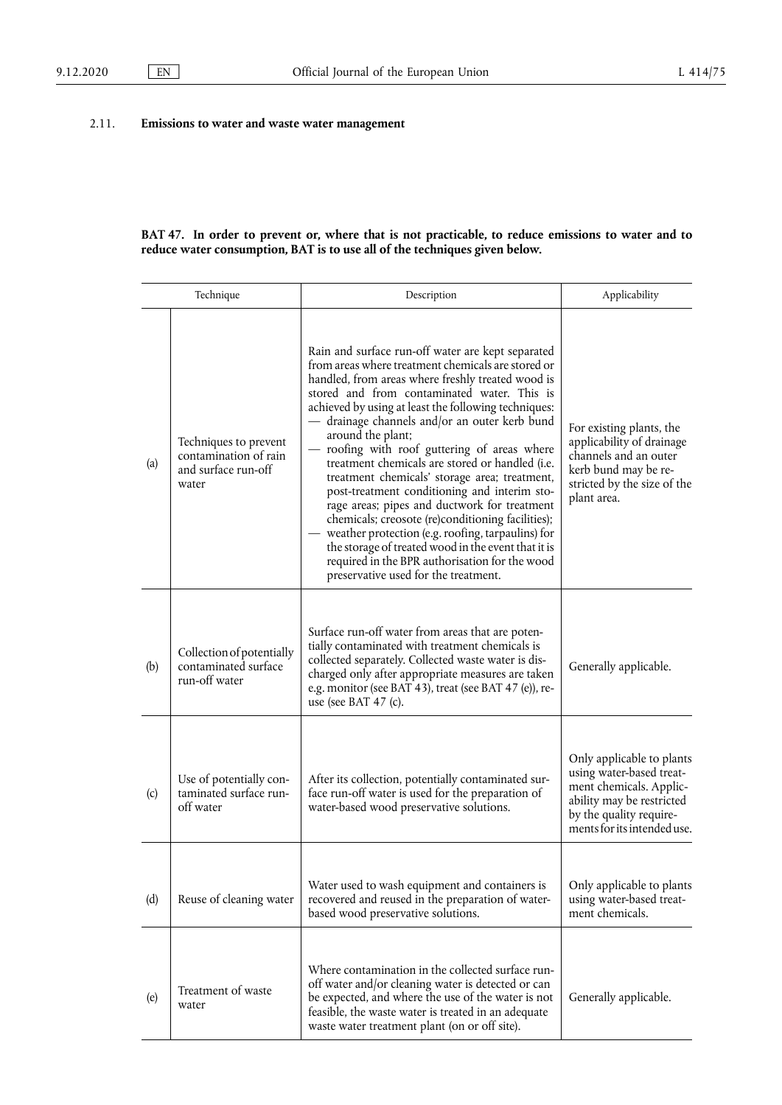## 2.11. **Emissions to water and waste water management**

#### **BAT 47. In order to prevent or, where that is not practicable, to reduce emissions to water and to reduce water consumption, BAT is to use all of the techniques given below.**

| Technique |                                                                                | Description                                                                                                                                                                                                                                                                                                                                                                                                                                                                                                                                                                                                                                                                                                                                                                                                                                              | Applicability                                                                                                                                                           |
|-----------|--------------------------------------------------------------------------------|----------------------------------------------------------------------------------------------------------------------------------------------------------------------------------------------------------------------------------------------------------------------------------------------------------------------------------------------------------------------------------------------------------------------------------------------------------------------------------------------------------------------------------------------------------------------------------------------------------------------------------------------------------------------------------------------------------------------------------------------------------------------------------------------------------------------------------------------------------|-------------------------------------------------------------------------------------------------------------------------------------------------------------------------|
| (a)       | Techniques to prevent<br>contamination of rain<br>and surface run-off<br>water | Rain and surface run-off water are kept separated<br>from areas where treatment chemicals are stored or<br>handled, from areas where freshly treated wood is<br>stored and from contaminated water. This is<br>achieved by using at least the following techniques:<br>- drainage channels and/or an outer kerb bund<br>around the plant;<br>roofing with roof guttering of areas where<br>treatment chemicals are stored or handled (i.e.<br>treatment chemicals' storage area; treatment,<br>post-treatment conditioning and interim sto-<br>rage areas; pipes and ductwork for treatment<br>chemicals; creosote (re)conditioning facilities);<br>- weather protection (e.g. roofing, tarpaulins) for<br>the storage of treated wood in the event that it is<br>required in the BPR authorisation for the wood<br>preservative used for the treatment. | For existing plants, the<br>applicability of drainage<br>channels and an outer<br>kerb bund may be re-<br>stricted by the size of the<br>plant area.                    |
| (b)       | Collection of potentially<br>contaminated surface<br>run-off water             | Surface run-off water from areas that are poten-<br>tially contaminated with treatment chemicals is<br>collected separately. Collected waste water is dis-<br>charged only after appropriate measures are taken<br>e.g. monitor (see BAT 43), treat (see BAT 47 (e)), re-<br>use (see BAT 47 (c).                                                                                                                                                                                                                                                                                                                                                                                                                                                                                                                                                        | Generally applicable.                                                                                                                                                   |
| (c)       | Use of potentially con-<br>taminated surface run-<br>off water                 | After its collection, potentially contaminated sur-<br>face run-off water is used for the preparation of<br>water-based wood preservative solutions.                                                                                                                                                                                                                                                                                                                                                                                                                                                                                                                                                                                                                                                                                                     | Only applicable to plants<br>using water-based treat-<br>ment chemicals. Applic-<br>ability may be restricted<br>by the quality require-<br>ments for its intended use. |
| (d)       | Reuse of cleaning water                                                        | Water used to wash equipment and containers is<br>recovered and reused in the preparation of water-<br>based wood preservative solutions.                                                                                                                                                                                                                                                                                                                                                                                                                                                                                                                                                                                                                                                                                                                | Only applicable to plants<br>using water-based treat-<br>ment chemicals.                                                                                                |
| (e)       | Treatment of waste<br>water                                                    | Where contamination in the collected surface run-<br>off water and/or cleaning water is detected or can<br>be expected, and where the use of the water is not<br>feasible, the waste water is treated in an adequate<br>waste water treatment plant (on or off site).                                                                                                                                                                                                                                                                                                                                                                                                                                                                                                                                                                                    | Generally applicable.                                                                                                                                                   |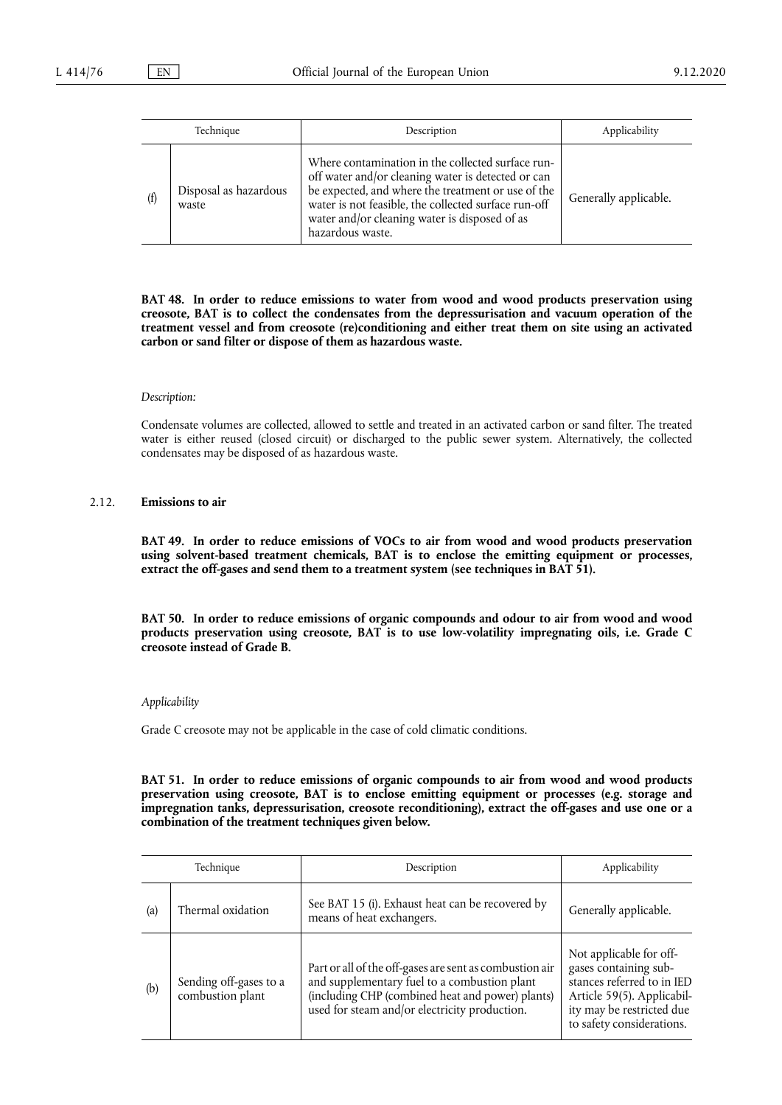|     | Technique                      | Description                                                                                                                                                                                                                                                                                | Applicability         |
|-----|--------------------------------|--------------------------------------------------------------------------------------------------------------------------------------------------------------------------------------------------------------------------------------------------------------------------------------------|-----------------------|
| (f) | Disposal as hazardous<br>waste | Where contamination in the collected surface run-<br>off water and/or cleaning water is detected or can<br>be expected, and where the treatment or use of the<br>water is not feasible, the collected surface run-off<br>water and/or cleaning water is disposed of as<br>hazardous waste. | Generally applicable. |

**BAT 48. In order to reduce emissions to water from wood and wood products preservation using creosote, BAT is to collect the condensates from the depressurisation and vacuum operation of the treatment vessel and from creosote (re)conditioning and either treat them on site using an activated carbon or sand filter or dispose of them as hazardous waste.** 

#### *Description:*

Condensate volumes are collected, allowed to settle and treated in an activated carbon or sand filter. The treated water is either reused (closed circuit) or discharged to the public sewer system. Alternatively, the collected condensates may be disposed of as hazardous waste.

#### 2.12. **Emissions to air**

**BAT 49. In order to reduce emissions of VOCs to air from wood and wood products preservation using solvent-based treatment chemicals, BAT is to enclose the emitting equipment or processes, extract the off-gases and send them to a treatment system (see techniques in BAT 51).** 

**BAT 50. In order to reduce emissions of organic compounds and odour to air from wood and wood products preservation using creosote, BAT is to use low-volatility impregnating oils, i.e. Grade C creosote instead of Grade B.** 

#### *Applicability*

Grade C creosote may not be applicable in the case of cold climatic conditions.

**BAT 51. In order to reduce emissions of organic compounds to air from wood and wood products preservation using creosote, BAT is to enclose emitting equipment or processes (e.g. storage and impregnation tanks, depressurisation, creosote reconditioning), extract the off-gases and use one or a combination of the treatment techniques given below.** 

|     | Technique                                  | Description                                                                                                                                                                                                  | Applicability                                                                                                                                                          |
|-----|--------------------------------------------|--------------------------------------------------------------------------------------------------------------------------------------------------------------------------------------------------------------|------------------------------------------------------------------------------------------------------------------------------------------------------------------------|
| (a) | Thermal oxidation                          | See BAT 15 (i). Exhaust heat can be recovered by<br>means of heat exchangers.                                                                                                                                | Generally applicable.                                                                                                                                                  |
| (b) | Sending off-gases to a<br>combustion plant | Part or all of the off-gases are sent as combustion air<br>and supplementary fuel to a combustion plant<br>(including CHP (combined heat and power) plants)<br>used for steam and/or electricity production. | Not applicable for off-<br>gases containing sub-<br>stances referred to in IED<br>Article 59(5). Applicabil-<br>ity may be restricted due<br>to safety considerations. |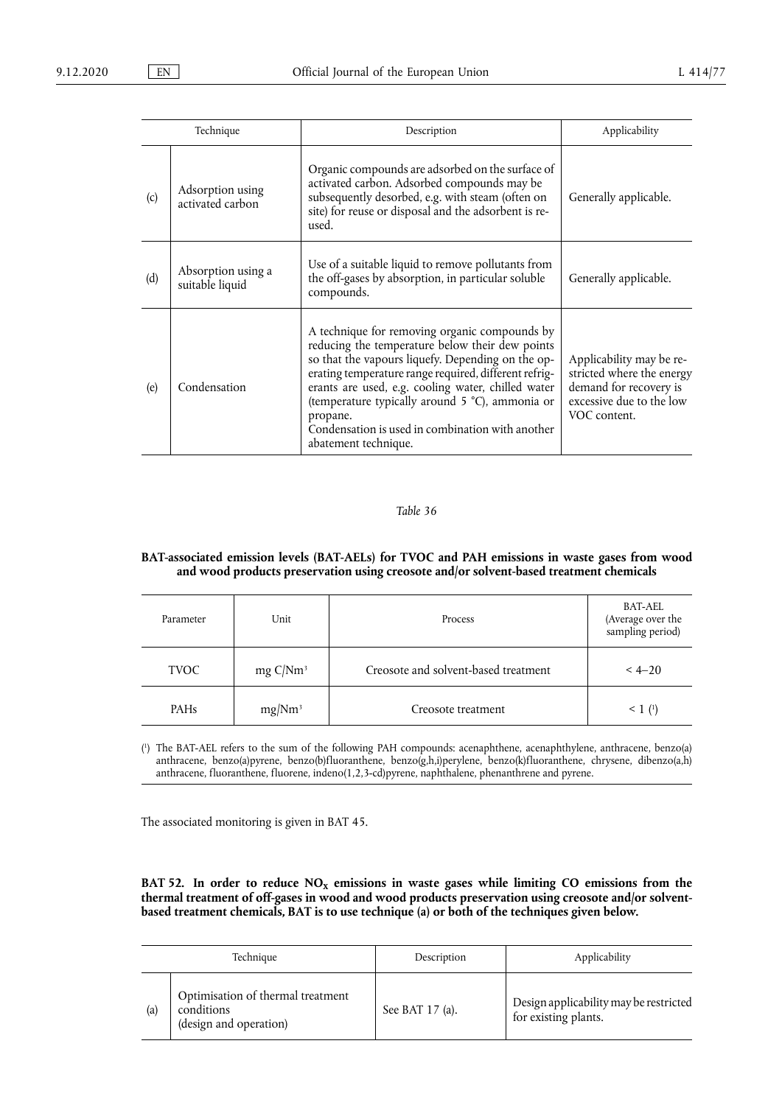|     | Technique                             | Description                                                                                                                                                                                                                                                                                                                                                                                                     | Applicability                                                                                                               |
|-----|---------------------------------------|-----------------------------------------------------------------------------------------------------------------------------------------------------------------------------------------------------------------------------------------------------------------------------------------------------------------------------------------------------------------------------------------------------------------|-----------------------------------------------------------------------------------------------------------------------------|
| (c) | Adsorption using<br>activated carbon  | Organic compounds are adsorbed on the surface of<br>activated carbon. Adsorbed compounds may be<br>subsequently desorbed, e.g. with steam (often on<br>site) for reuse or disposal and the adsorbent is re-<br>used.                                                                                                                                                                                            | Generally applicable.                                                                                                       |
| (d) | Absorption using a<br>suitable liquid | Use of a suitable liquid to remove pollutants from<br>the off-gases by absorption, in particular soluble<br>compounds.                                                                                                                                                                                                                                                                                          | Generally applicable.                                                                                                       |
| (e) | Condensation                          | A technique for removing organic compounds by<br>reducing the temperature below their dew points<br>so that the vapours liquefy. Depending on the op-<br>erating temperature range required, different refrig-<br>erants are used, e.g. cooling water, chilled water<br>(temperature typically around 5 °C), ammonia or<br>propane.<br>Condensation is used in combination with another<br>abatement technique. | Applicability may be re-<br>stricted where the energy<br>demand for recovery is<br>excessive due to the low<br>VOC content. |

### **BAT-associated emission levels (BAT-AELs) for TVOC and PAH emissions in waste gases from wood and wood products preservation using creosote and/or solvent-based treatment chemicals**

| Parameter   | Unit                | <b>Process</b>                       | <b>BAT-AEL</b><br>(Average over the<br>sampling period) |
|-------------|---------------------|--------------------------------------|---------------------------------------------------------|
| <b>TVOC</b> | $mg \frac{C}{Nm^3}$ | Creosote and solvent-based treatment | $< 4 - 20$                                              |
| <b>PAHs</b> | mg/Nm <sup>3</sup>  | Creosote treatment                   | $< 1$ ( <sup>1</sup> )                                  |

<span id="page-58-1"></span><span id="page-58-0"></span>[\(](#page-58-1) 1 ) The BAT-AEL refers to the sum of the following PAH compounds: acenaphthene, acenaphthylene, anthracene, benzo(a) anthracene, benzo(a)pyrene, benzo(b)fluoranthene, benzo(g,h,i)perylene, benzo(k)fluoranthene, chrysene, dibenzo(a,h) anthracene, fluoranthene, fluorene, indeno(1,2,3-cd)pyrene, naphthalene, phenanthrene and pyrene.

The associated monitoring is given in BAT 45.

BAT 52. In order to reduce  $NO<sub>x</sub>$  emissions in waste gases while limiting CO emissions from the **thermal treatment of off-gases in wood and wood products preservation using creosote and/or solventbased treatment chemicals, BAT is to use technique (a) or both of the techniques given below.** 

|     | Technique                                                                 | Description     | Applicability                                                  |
|-----|---------------------------------------------------------------------------|-----------------|----------------------------------------------------------------|
| (a) | Optimisation of thermal treatment<br>conditions<br>(design and operation) | See BAT 17 (a). | Design applicability may be restricted<br>for existing plants. |